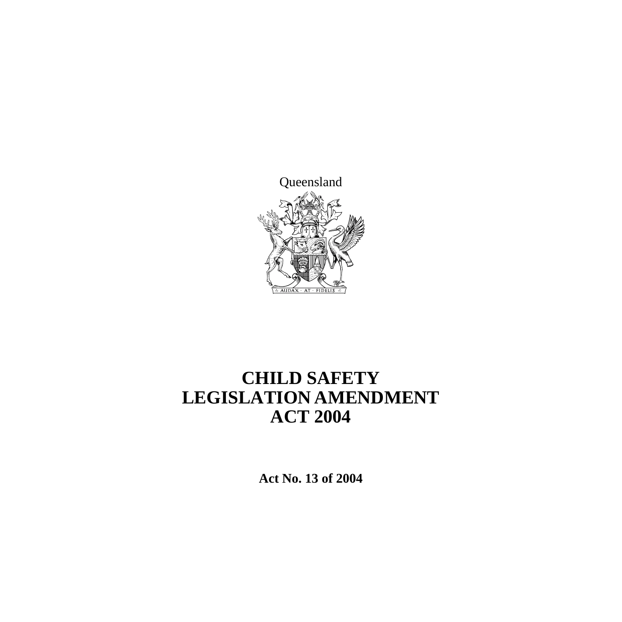

# **CHILD SAFETY LEGISLATION AMENDMENT ACT 2004**

**Act No. 13 of 2004**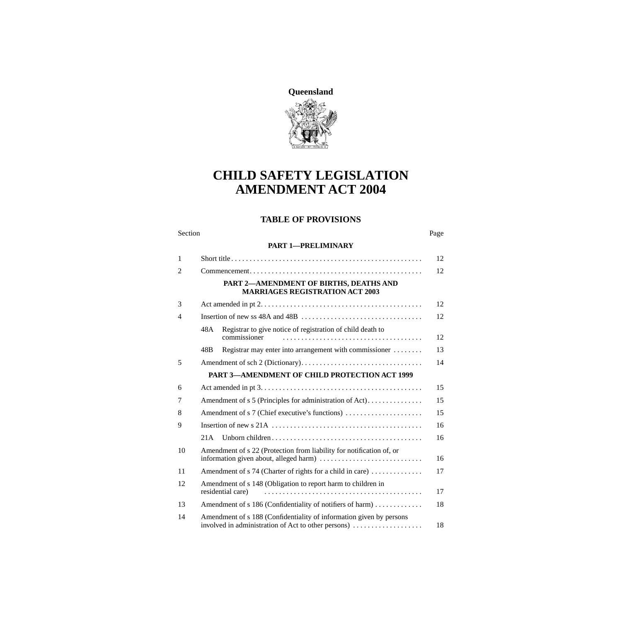

# **CHILD SAFETY LEGISLATION AMENDMENT ACT 2004**

#### **TABLE OF PROVISIONS**

#### Section Page

#### **[PART 1—PRELIMINARY](#page-13-0)**

| 1              |                                                                                                                            | 12 |
|----------------|----------------------------------------------------------------------------------------------------------------------------|----|
| $\overline{2}$ |                                                                                                                            | 12 |
|                | PART 2-AMENDMENT OF BIRTHS, DEATHS AND<br><b>MARRIAGES REGISTRATION ACT 2003</b>                                           |    |
| 3              |                                                                                                                            | 12 |
| $\overline{4}$ |                                                                                                                            |    |
|                | Registrar to give notice of registration of child death to<br>48A<br>commissioner                                          | 12 |
|                | Registrar may enter into arrangement with commissioner<br>48B                                                              | 13 |
| 5              |                                                                                                                            | 14 |
|                | <b>PART 3-AMENDMENT OF CHILD PROTECTION ACT 1999</b>                                                                       |    |
| 6              |                                                                                                                            | 15 |
| 7              | Amendment of s 5 (Principles for administration of Act)                                                                    | 15 |
| 8              | Amendment of s 7 (Chief executive's functions)                                                                             | 15 |
| 9              |                                                                                                                            |    |
|                | 21A                                                                                                                        | 16 |
| 10             | Amendment of s 22 (Protection from liability for notification of, or                                                       | 16 |
| 11             | Amendment of s 74 (Charter of rights for a child in care)                                                                  | 17 |
| 12             | Amendment of s 148 (Obligation to report harm to children in<br>residential care)                                          | 17 |
| 13             | Amendment of s 186 (Confidentiality of notifiers of harm)                                                                  | 18 |
| 14             | Amendment of s 188 (Confidentiality of information given by persons<br>involved in administration of Act to other persons) | 18 |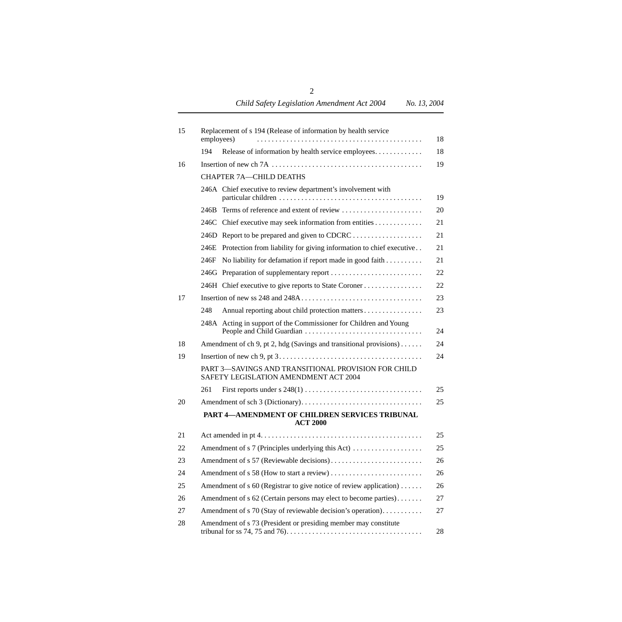| 15 | Replacement of s 194 (Release of information by health service<br>employees)                 | 18 |  |
|----|----------------------------------------------------------------------------------------------|----|--|
|    | Release of information by health service employees<br>194                                    | 18 |  |
| 16 |                                                                                              | 19 |  |
|    | <b>CHAPTER 7A-CHILD DEATHS</b>                                                               |    |  |
|    | 246A Chief executive to review department's involvement with                                 | 19 |  |
|    | 246B Terms of reference and extent of review                                                 | 20 |  |
|    | 246C Chief executive may seek information from entities                                      | 21 |  |
|    |                                                                                              | 21 |  |
|    | 246E Protection from liability for giving information to chief executive                     | 21 |  |
|    | No liability for defamation if report made in good faith<br>246F                             | 21 |  |
|    | 246G Preparation of supplementary report                                                     | 22 |  |
|    | 246H Chief executive to give reports to State Coroner                                        | 22 |  |
| 17 |                                                                                              | 23 |  |
|    | 248<br>Annual reporting about child protection matters                                       | 23 |  |
|    | 248A Acting in support of the Commissioner for Children and Young                            | 24 |  |
| 18 | Amendment of ch 9, pt 2, hdg (Savings and transitional provisions)                           | 24 |  |
| 19 | 24                                                                                           |    |  |
|    | PART 3-SAVINGS AND TRANSITIONAL PROVISION FOR CHILD<br>SAFETY LEGISLATION AMENDMENT ACT 2004 |    |  |
|    | 261                                                                                          | 25 |  |
| 20 |                                                                                              | 25 |  |
|    | PART 4-AMENDMENT OF CHILDREN SERVICES TRIBUNAL<br><b>ACT 2000</b>                            |    |  |
| 21 |                                                                                              | 25 |  |
| 22 | Amendment of s 7 (Principles underlying this Act)                                            | 25 |  |
| 23 |                                                                                              |    |  |
| 24 |                                                                                              |    |  |
| 25 | Amendment of s 60 (Registrar to give notice of review application)                           |    |  |
| 26 | Amendment of s 62 (Certain persons may elect to become parties)<br>27                        |    |  |
| 27 | Amendment of s 70 (Stay of reviewable decision's operation).                                 | 27 |  |
| 28 | Amendment of s 73 (President or presiding member may constitute                              | 28 |  |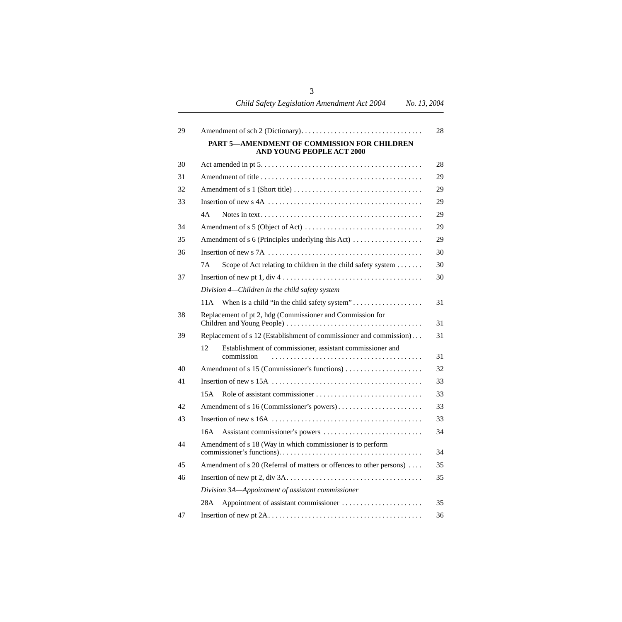*Child Safety Legislation Amendment Act 2004 No. 13, 2004*

| 29 |                                                                                 | 28 |
|----|---------------------------------------------------------------------------------|----|
|    | PART 5-AMENDMENT OF COMMISSION FOR CHILDREN<br><b>AND YOUNG PEOPLE ACT 2000</b> |    |
| 30 |                                                                                 | 28 |
| 31 |                                                                                 | 29 |
| 32 |                                                                                 | 29 |
| 33 |                                                                                 | 29 |
|    | 4A                                                                              | 29 |
| 34 |                                                                                 | 29 |
| 35 | Amendment of s 6 (Principles underlying this Act)                               | 29 |
| 36 |                                                                                 | 30 |
|    | 7Α<br>Scope of Act relating to children in the child safety system              | 30 |
| 37 | Insertion of new pt $1, div 4, \ldots, , , , , , ,$                             | 30 |
|    | Division 4—Children in the child safety system                                  |    |
|    | 11A                                                                             | 31 |
| 38 | Replacement of pt 2, hdg (Commissioner and Commission for                       | 31 |
| 39 | Replacement of s 12 (Establishment of commissioner and commission)              |    |
|    | Establishment of commissioner, assistant commissioner and<br>12<br>commission   | 31 |
| 40 | Amendment of s 15 (Commissioner's functions)                                    | 32 |
| 41 |                                                                                 | 33 |
|    | 15A                                                                             | 33 |
| 42 |                                                                                 | 33 |
| 43 |                                                                                 | 33 |
|    | 16A                                                                             | 34 |
| 44 | Amendment of s 18 (Way in which commissioner is to perform                      | 34 |
| 45 | Amendment of s 20 (Referral of matters or offences to other persons)<br>35      |    |
| 46 |                                                                                 | 35 |
|    | Division 3A-Appointment of assistant commissioner                               |    |
|    | 28A                                                                             | 35 |
| 47 |                                                                                 | 36 |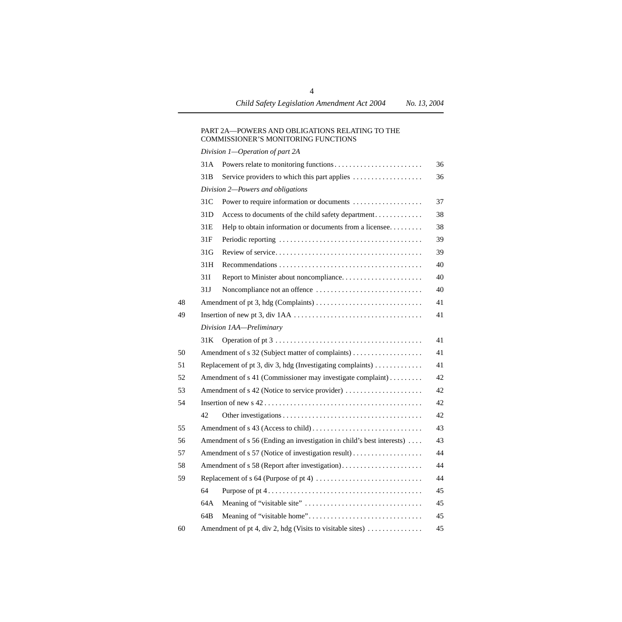#### [PART 2A—POWERS AND OBLIGATIONS RELATING TO THE](#page-37-1)  COMMISSIONER'S MONITORING FUNCTIONS

|    |                 | Division 1-Operation of part 2A                                                   |    |
|----|-----------------|-----------------------------------------------------------------------------------|----|
|    | 31A             |                                                                                   | 36 |
|    | 31B             | Service providers to which this part applies                                      | 36 |
|    |                 | Division 2-Powers and obligations                                                 |    |
|    | 31C             | Power to require information or documents                                         | 37 |
|    | 31D             | Access to documents of the child safety department                                | 38 |
|    | 31E             | Help to obtain information or documents from a licensee                           | 38 |
|    | 31F             |                                                                                   | 39 |
|    | 31 <sub>G</sub> |                                                                                   | 39 |
|    | 31H             |                                                                                   | 40 |
|    | 31I             |                                                                                   | 40 |
|    | 31J             |                                                                                   | 40 |
| 48 |                 |                                                                                   | 41 |
| 49 |                 |                                                                                   | 41 |
|    |                 | Division 1AA-Preliminary                                                          |    |
|    | 31K             |                                                                                   | 41 |
| 50 |                 |                                                                                   | 41 |
| 51 |                 | Replacement of pt 3, div 3, hdg (Investigating complaints) $\dots\dots\dots\dots$ | 41 |
| 52 |                 | Amendment of s 41 (Commissioner may investigate complaint)                        | 42 |
| 53 |                 |                                                                                   | 42 |
| 54 |                 |                                                                                   | 42 |
|    | 42              |                                                                                   | 42 |
| 55 |                 |                                                                                   | 43 |
| 56 |                 | Amendment of s 56 (Ending an investigation in child's best interests)             | 43 |
| 57 |                 |                                                                                   | 44 |
| 58 |                 | Amendment of s 58 (Report after investigation)                                    | 44 |
| 59 |                 |                                                                                   | 44 |
|    | 64              |                                                                                   | 45 |
|    | 64A             |                                                                                   | 45 |
|    | 64B             |                                                                                   | 45 |
| 60 |                 | Amendment of pt 4, div 2, hdg (Visits to visitable sites)                         | 45 |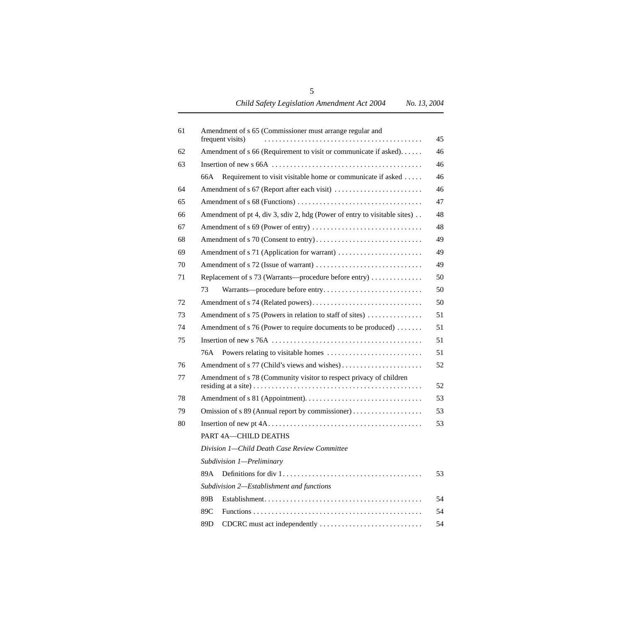| 61 | Amendment of s 65 (Commissioner must arrange regular and<br>frequent visits) | 45 |  |
|----|------------------------------------------------------------------------------|----|--|
| 62 | Amendment of s 66 (Requirement to visit or communicate if asked)             | 46 |  |
| 63 |                                                                              | 46 |  |
|    | Requirement to visit visitable home or communicate if asked<br>66A           | 46 |  |
| 64 |                                                                              | 46 |  |
| 65 |                                                                              | 47 |  |
| 66 | Amendment of pt 4, div 3, sdiv 2, hdg (Power of entry to visitable sites).   | 48 |  |
| 67 |                                                                              | 48 |  |
| 68 |                                                                              | 49 |  |
| 69 | Amendment of s 71 (Application for warrant)                                  | 49 |  |
| 70 |                                                                              | 49 |  |
| 71 | Replacement of s 73 (Warrants—procedure before entry)                        | 50 |  |
|    | 73                                                                           | 50 |  |
| 72 |                                                                              | 50 |  |
| 73 | Amendment of s 75 (Powers in relation to staff of sites)                     | 51 |  |
| 74 | Amendment of s 76 (Power to require documents to be produced) $\dots\dots$   | 51 |  |
| 75 |                                                                              | 51 |  |
|    | 76A.                                                                         | 51 |  |
| 76 |                                                                              | 52 |  |
| 77 | Amendment of s 78 (Community visitor to respect privacy of children          |    |  |
| 78 |                                                                              | 53 |  |
| 79 | Omission of s 89 (Annual report by commissioner)                             | 53 |  |
| 80 |                                                                              | 53 |  |
|    | PART 4A-CHILD DEATHS                                                         |    |  |
|    | Division 1—Child Death Case Review Committee                                 |    |  |
|    | Subdivision 1-Preliminary                                                    |    |  |
|    | 89A                                                                          | 53 |  |
|    | Subdivision 2-Establishment and functions                                    |    |  |
|    | 89B                                                                          | 54 |  |
|    | 89C                                                                          | 54 |  |
|    | CDCRC must act independently<br>89D                                          | 54 |  |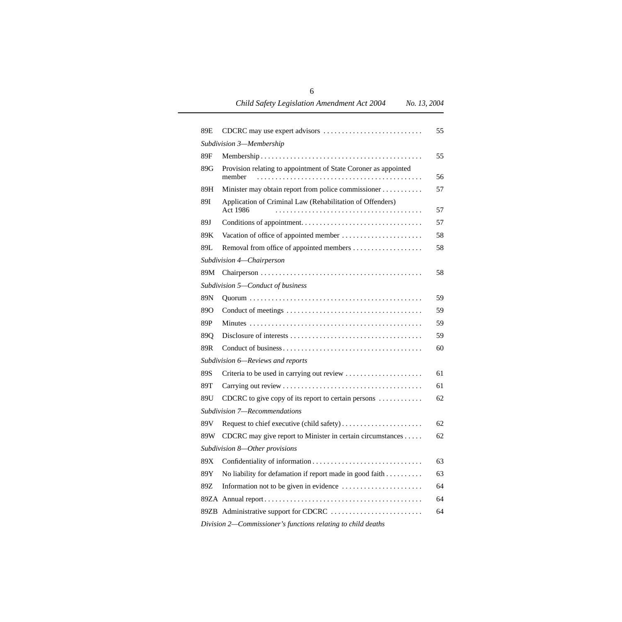*Child Safety Legislation Amendment Act 2004 No. 13, 2004*

| 89E             | CDCRC may use expert advisors                                             | 55 |
|-----------------|---------------------------------------------------------------------------|----|
|                 | Subdivision 3-Membership                                                  |    |
| 89F             |                                                                           | 55 |
| 89G             | Provision relating to appointment of State Coroner as appointed<br>member | 56 |
| 89H             | Minister may obtain report from police commissioner                       | 57 |
| <b>89I</b>      | Application of Criminal Law (Rehabilitation of Offenders)<br>Act 1986     | 57 |
| 89J             |                                                                           | 57 |
| 89K             |                                                                           | 58 |
| 89L             |                                                                           | 58 |
|                 | Subdivision 4-Chairperson                                                 |    |
| 89M             |                                                                           | 58 |
|                 | Subdivision 5-Conduct of business                                         |    |
| 89N             |                                                                           | 59 |
| 89O             |                                                                           | 59 |
| 89P             |                                                                           | 59 |
| 89Q             |                                                                           | 59 |
| 89R             |                                                                           | 60 |
|                 | Subdivision 6—Reviews and reports                                         |    |
| 89S             | Criteria to be used in carrying out review                                | 61 |
| 89T             |                                                                           | 61 |
| 89U             | CDCRC to give copy of its report to certain persons                       | 62 |
|                 | Subdivision 7-Recommendations                                             |    |
| 89 <sub>V</sub> |                                                                           | 62 |
| 89W             | CDCRC may give report to Minister in certain circumstances                | 62 |
|                 | Subdivision 8-Other provisions                                            |    |
| 89X             |                                                                           | 63 |
| 89Y             | No liability for defamation if report made in good faith                  | 63 |
| 89Z             |                                                                           | 64 |
|                 |                                                                           | 64 |
|                 | 89ZB Administrative support for CDCRC                                     | 64 |
|                 | Division 2-Commissioner's functions relating to child deaths              |    |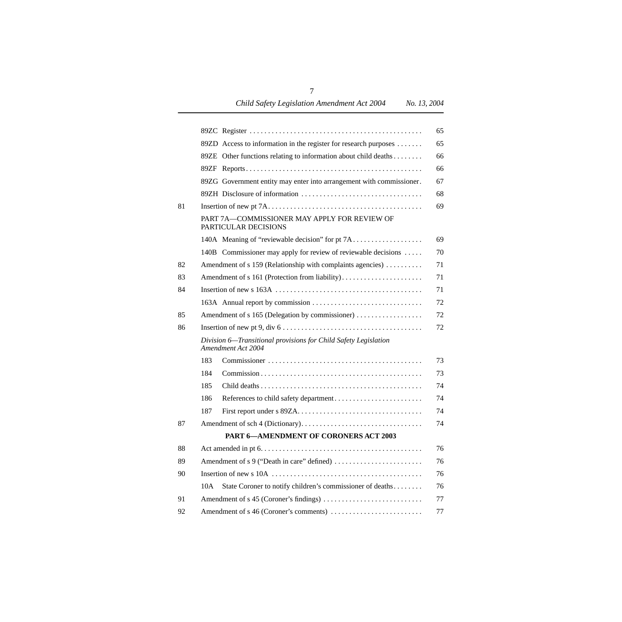|    |                                                                                                      | 65 |
|----|------------------------------------------------------------------------------------------------------|----|
|    | 89ZD Access to information in the register for research purposes                                     | 65 |
|    | 89ZE Other functions relating to information about child deaths                                      | 66 |
|    |                                                                                                      | 66 |
|    | 89ZG Government entity may enter into arrangement with commissioner.                                 | 67 |
|    |                                                                                                      | 68 |
| 81 |                                                                                                      | 69 |
|    | PART 7A-COMMISSIONER MAY APPLY FOR REVIEW OF<br>PARTICULAR DECISIONS                                 |    |
|    | 140A Meaning of "reviewable decision" for pt 7A                                                      | 69 |
|    | 140B Commissioner may apply for review of reviewable decisions                                       |    |
| 82 | Amendment of s 159 (Relationship with complaints agencies)                                           |    |
| 83 | Amendment of s 161 (Protection from liability)                                                       |    |
| 84 |                                                                                                      |    |
|    |                                                                                                      |    |
| 85 | Amendment of s 165 (Delegation by commissioner)                                                      |    |
| 86 | Insertion of new pt 9, div $6 \ldots \ldots \ldots \ldots \ldots \ldots \ldots \ldots \ldots \ldots$ |    |
|    | Division 6—Transitional provisions for Child Safety Legislation<br>Amendment Act 2004                |    |
|    | 183                                                                                                  |    |
|    | 184                                                                                                  |    |
|    | 185                                                                                                  |    |
|    | 186                                                                                                  |    |
|    | 187                                                                                                  |    |
| 87 |                                                                                                      |    |
|    | PART 6-AMENDMENT OF CORONERS ACT 2003                                                                |    |
| 88 |                                                                                                      |    |
| 89 |                                                                                                      |    |
| 90 |                                                                                                      |    |
|    | State Coroner to notify children's commissioner of deaths<br>10A                                     |    |
| 91 |                                                                                                      |    |
| 92 |                                                                                                      |    |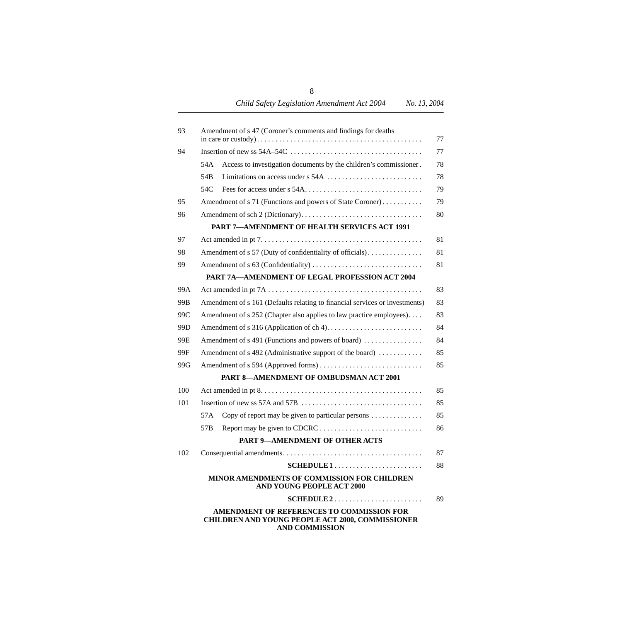| 93  |                 | Amendment of s 47 (Coroner's comments and findings for deaths                                                          | 77 |
|-----|-----------------|------------------------------------------------------------------------------------------------------------------------|----|
| 94  |                 |                                                                                                                        | 77 |
|     | 54A             | Access to investigation documents by the children's commissioner.                                                      | 78 |
|     | 54 <sub>B</sub> |                                                                                                                        | 78 |
|     | 54C             |                                                                                                                        | 79 |
| 95  |                 | Amendment of s 71 (Functions and powers of State Coroner)                                                              | 79 |
| 96  |                 |                                                                                                                        | 80 |
|     |                 | <b>PART 7-AMENDMENT OF HEALTH SERVICES ACT 1991</b>                                                                    |    |
| 97  |                 |                                                                                                                        | 81 |
| 98  |                 | Amendment of s 57 (Duty of confidentiality of officials)                                                               | 81 |
| 99  |                 |                                                                                                                        | 81 |
|     |                 | PART 7A-AMENDMENT OF LEGAL PROFESSION ACT 2004                                                                         |    |
| 99A |                 |                                                                                                                        | 83 |
| 99B |                 | Amendment of s 161 (Defaults relating to financial services or investments)                                            | 83 |
| 99C |                 | Amendment of s 252 (Chapter also applies to law practice employees)                                                    | 83 |
| 99D |                 |                                                                                                                        | 84 |
| 99E |                 | Amendment of s 491 (Functions and powers of board)                                                                     | 84 |
| 99F |                 | Amendment of s 492 (Administrative support of the board)                                                               | 85 |
| 99G |                 |                                                                                                                        | 85 |
|     |                 | PART 8-AMENDMENT OF OMBUDSMAN ACT 2001                                                                                 |    |
| 100 |                 |                                                                                                                        | 85 |
| 101 |                 |                                                                                                                        | 85 |
|     | 57A             | Copy of report may be given to particular persons                                                                      | 85 |
|     | 57 <sub>B</sub> |                                                                                                                        | 86 |
|     |                 | PART 9-AMENDMENT OF OTHER ACTS                                                                                         |    |
| 102 |                 |                                                                                                                        | 87 |
|     |                 |                                                                                                                        | 88 |
|     |                 | MINOR AMENDMENTS OF COMMISSION FOR CHILDREN<br><b>AND YOUNG PEOPLE ACT 2000</b>                                        |    |
|     |                 |                                                                                                                        | 89 |
|     |                 | AMENDMENT OF REFERENCES TO COMMISSION FOR<br>CHILDREN AND YOUNG PEOPLE ACT 2000, COMMISSIONER<br><b>AND COMMISSION</b> |    |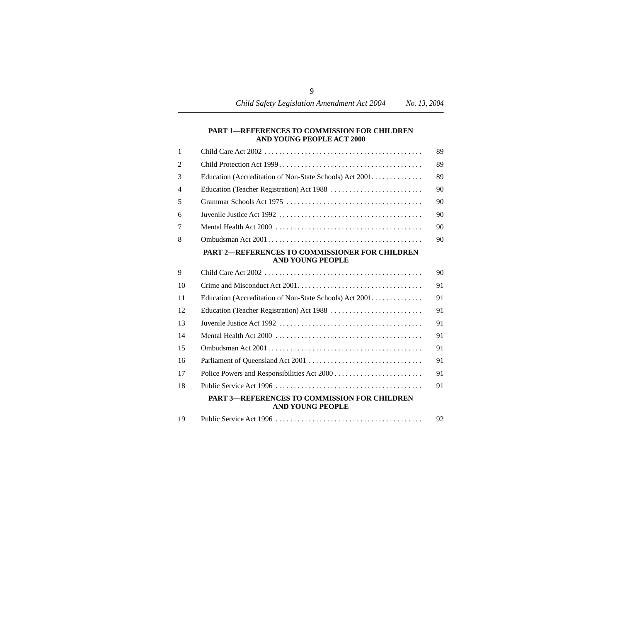#### **[PART 1—REFERENCES TO COMMISSION FOR CHILDREN](#page-90-2)  AND YOUNG PEOPLE ACT 2000**

| 1              |                                                                                  | 89 |
|----------------|----------------------------------------------------------------------------------|----|
| $\overline{2}$ |                                                                                  | 89 |
| 3              | Education (Accreditation of Non-State Schools) Act 2001.                         | 89 |
| 4              |                                                                                  | 90 |
| 5              |                                                                                  | 90 |
| 6              |                                                                                  | 90 |
| 7              |                                                                                  | 90 |
| 8              |                                                                                  | 90 |
|                | <b>PART 2-REFERENCES TO COMMISSIONER FOR CHILDREN</b><br><b>AND YOUNG PEOPLE</b> |    |
| 9              |                                                                                  | 90 |
| 10             |                                                                                  | 91 |
| 11             | Education (Accreditation of Non-State Schools) Act 2001.                         | 91 |
| 12             |                                                                                  | 91 |
| 13             |                                                                                  | 91 |
| 14             |                                                                                  | 91 |
| 15             |                                                                                  | 91 |
| 16             |                                                                                  | 91 |
| 17             |                                                                                  | 91 |
| 18             |                                                                                  | 91 |
|                | <b>PART 3-REFERENCES TO COMMISSION FOR CHILDREN</b><br><b>AND YOUNG PEOPLE</b>   |    |
| 19             |                                                                                  | 92 |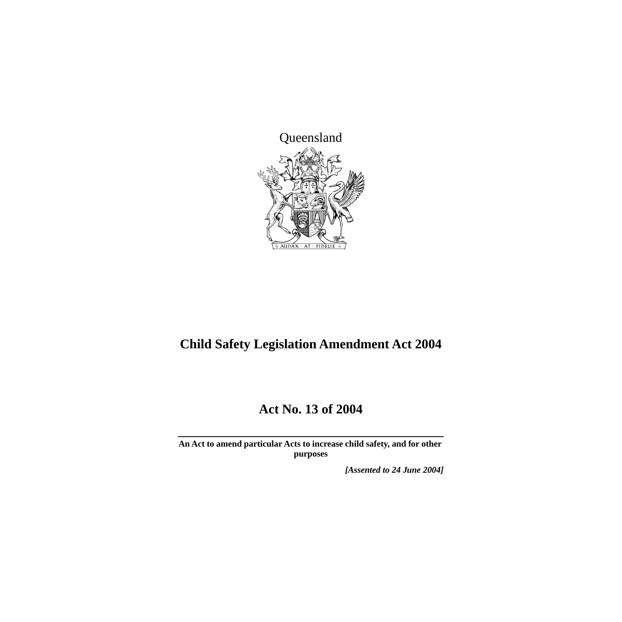

# **Child Safety Legislation Amendment Act 2004**

# **Act No. 13 of 2004**

**An Act to amend particular Acts to increase child safety, and for other purposes**

*[Assented to 24 June 2004]*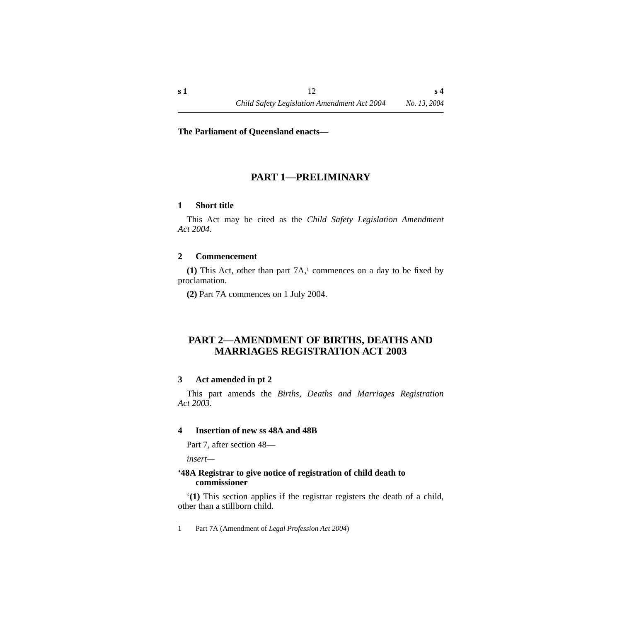#### **The Parliament of Queensland enacts—**

# **PART 1—PRELIMINARY**

#### <span id="page-13-1"></span><span id="page-13-0"></span>**1 Short title**

This Act may be cited as the *Child Safety Legislation Amendment Act 2004*.

#### <span id="page-13-2"></span>**2 Commencement**

**(1)** This Act, other than part 7A,1 commences on a day to be fixed by proclamation.

**(2)** Part 7A commences on 1 July 2004.

# <span id="page-13-3"></span>**PART 2—AMENDMENT OF BIRTHS, DEATHS AND MARRIAGES REGISTRATION ACT 2003**

#### <span id="page-13-4"></span>**3 Act amended in pt 2**

This part amends the *Births, Deaths and Marriages Registration Act 2003*.

#### <span id="page-13-5"></span>**4 Insertion of new ss 48A and 48B**

Part 7, after section 48—

*insert—*

#### <span id="page-13-6"></span>**'48A Registrar to give notice of registration of child death to commissioner**

'**(1)** This section applies if the registrar registers the death of a child, other than a stillborn child.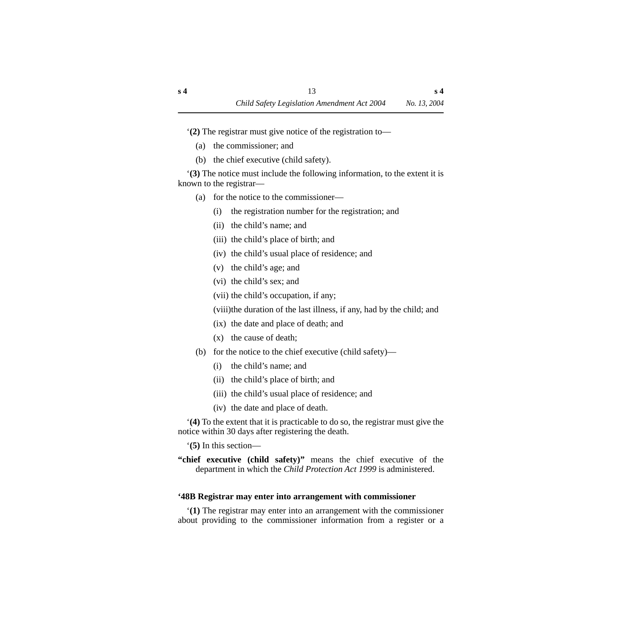'**(2)** The registrar must give notice of the registration to—

- (a) the commissioner; and
- (b) the chief executive (child safety).

'**(3)** The notice must include the following information, to the extent it is known to the registrar—

- (a) for the notice to the commissioner—
	- (i) the registration number for the registration; and
	- (ii) the child's name; and
	- (iii) the child's place of birth; and
	- (iv) the child's usual place of residence; and
	- (v) the child's age; and
	- (vi) the child's sex; and
	- (vii) the child's occupation, if any;

(viii)the duration of the last illness, if any, had by the child; and

- (ix) the date and place of death; and
- (x) the cause of death;
- (b) for the notice to the chief executive (child safety)—
	- (i) the child's name; and
	- (ii) the child's place of birth; and
	- (iii) the child's usual place of residence; and
	- (iv) the date and place of death.

'**(4)** To the extent that it is practicable to do so, the registrar must give the notice within 30 days after registering the death.

'**(5)** In this section—

**"chief executive (child safety)"** means the chief executive of the department in which the *Child Protection Act 1999* is administered.

## <span id="page-14-0"></span>**'48B Registrar may enter into arrangement with commissioner**

'**(1)** The registrar may enter into an arrangement with the commissioner about providing to the commissioner information from a register or a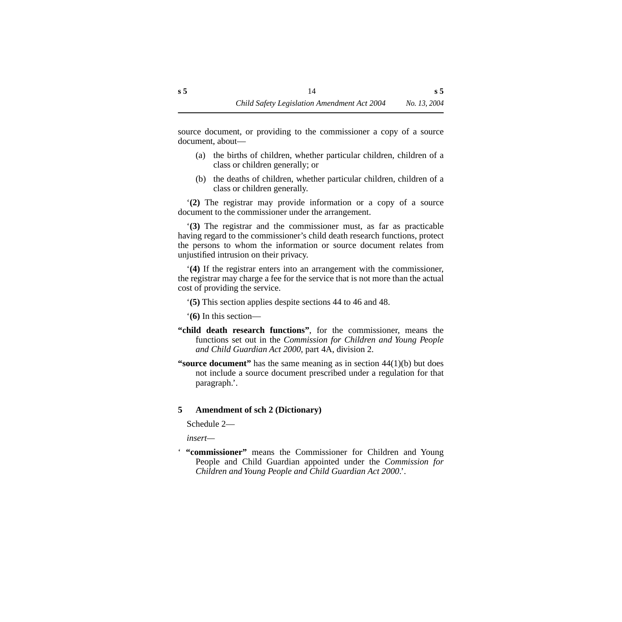source document, or providing to the commissioner a copy of a source document, about—

- (a) the births of children, whether particular children, children of a class or children generally; or
- (b) the deaths of children, whether particular children, children of a class or children generally.

'**(2)** The registrar may provide information or a copy of a source document to the commissioner under the arrangement.

'**(3)** The registrar and the commissioner must, as far as practicable having regard to the commissioner's child death research functions, protect the persons to whom the information or source document relates from unjustified intrusion on their privacy.

'**(4)** If the registrar enters into an arrangement with the commissioner, the registrar may charge a fee for the service that is not more than the actual cost of providing the service.

'**(5)** This section applies despite sections 44 to 46 and 48.

'**(6)** In this section—

- **"child death research functions"**, for the commissioner, means the functions set out in the *Commission for Children and Young People and Child Guardian Act 2000*, part 4A, division 2.
- **"source document"** has the same meaning as in section 44(1)(b) but does not include a source document prescribed under a regulation for that paragraph.'.

## <span id="page-15-0"></span>**5 Amendment of sch 2 (Dictionary)**

Schedule 2—

*insert—*

' **"commissioner"** means the Commissioner for Children and Young People and Child Guardian appointed under the *Commission for Children and Young People and Child Guardian Act 2000*.'.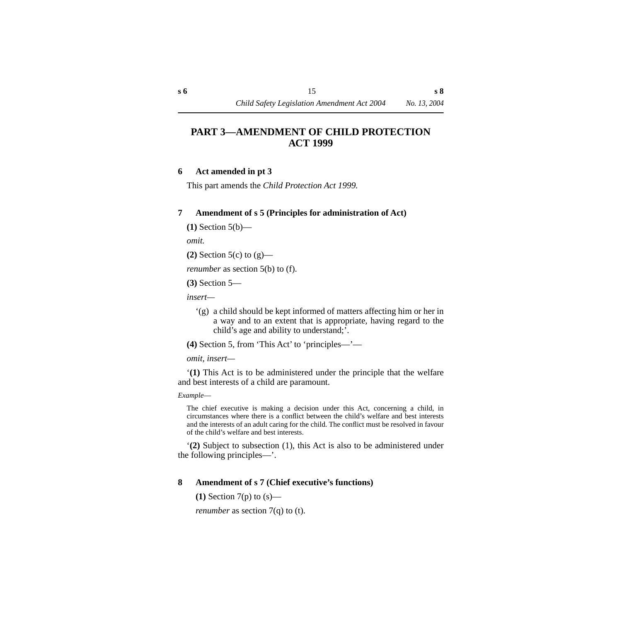# <span id="page-16-0"></span>**PART 3—AMENDMENT OF CHILD PROTECTION ACT 1999**

#### <span id="page-16-1"></span>**6 Act amended in pt 3**

This part amends the *Child Protection Act 1999.*

#### <span id="page-16-2"></span>**7 Amendment of s 5 (Principles for administration of Act)**

**(1)** Section 5(b)—

*omit.*

**(2)** Section 5(c) to (g)—

*renumber* as section 5(b) to (f).

**(3)** Section 5—

*insert—*

'(g) a child should be kept informed of matters affecting him or her in a way and to an extent that is appropriate, having regard to the child's age and ability to understand;'.

**(4)** Section 5, from 'This Act' to 'principles—'—

*omit, insert—*

'**(1)** This Act is to be administered under the principle that the welfare and best interests of a child are paramount.

*Example*—

The chief executive is making a decision under this Act, concerning a child, in circumstances where there is a conflict between the child's welfare and best interests and the interests of an adult caring for the child. The conflict must be resolved in favour of the child's welfare and best interests.

'**(2)** Subject to subsection (1), this Act is also to be administered under the following principles—'.

## <span id="page-16-3"></span>**8 Amendment of s 7 (Chief executive's functions)**

**(1)** Section 7(p) to (s)—

*renumber* as section 7(q) to (t).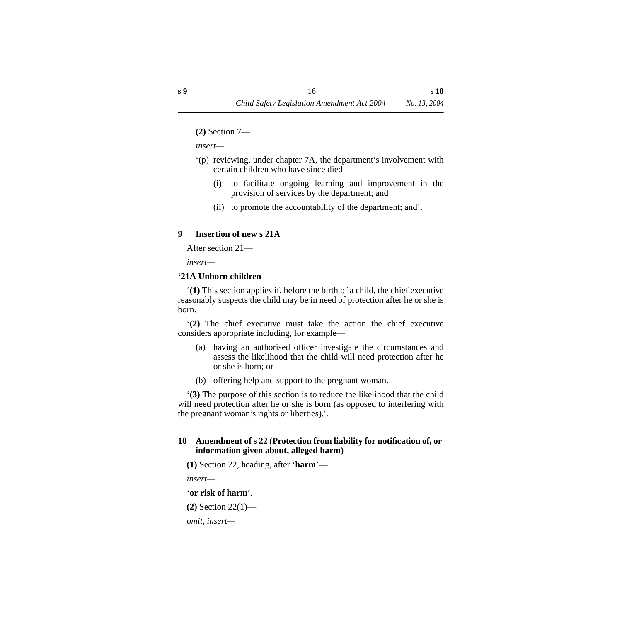**(2)** Section 7—

*insert—*

- '(p) reviewing, under chapter 7A, the department's involvement with certain children who have since died—
	- (i) to facilitate ongoing learning and improvement in the provision of services by the department; and
	- (ii) to promote the accountability of the department; and'.

## <span id="page-17-0"></span>**9 Insertion of new s 21A**

After section 21—

*insert—*

#### <span id="page-17-1"></span>**'21A Unborn children**

'**(1)** This section applies if, before the birth of a child, the chief executive reasonably suspects the child may be in need of protection after he or she is born.

'**(2)** The chief executive must take the action the chief executive considers appropriate including, for example—

- (a) having an authorised officer investigate the circumstances and assess the likelihood that the child will need protection after he or she is born; or
- (b) offering help and support to the pregnant woman.

'**(3)** The purpose of this section is to reduce the likelihood that the child will need protection after he or she is born (as opposed to interfering with the pregnant woman's rights or liberties).'.

## <span id="page-17-2"></span>**10 Amendment of s 22 (Protection from liability for notification of, or information given about, alleged harm)**

**(1)** Section 22, heading, after '**harm**'—

*insert—*

'**or risk of harm**'.

**(2)** Section 22(1)—

*omit, insert—*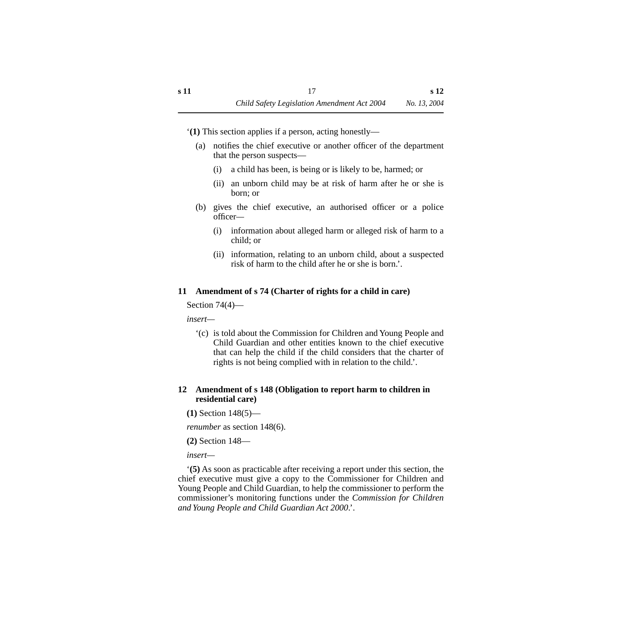'**(1)** This section applies if a person, acting honestly—

- (a) notifies the chief executive or another officer of the department that the person suspects—
	- (i) a child has been, is being or is likely to be, harmed; or
	- (ii) an unborn child may be at risk of harm after he or she is born; or
- (b) gives the chief executive, an authorised officer or a police officer*—*
	- (i) information about alleged harm or alleged risk of harm to a child; or
	- (ii) information, relating to an unborn child, about a suspected risk of harm to the child after he or she is born.'.

## <span id="page-18-0"></span>**11 Amendment of s 74 (Charter of rights for a child in care)**

Section 74(4)—

*insert—*

'(c) is told about the Commission for Children and Young People and Child Guardian and other entities known to the chief executive that can help the child if the child considers that the charter of rights is not being complied with in relation to the child.'.

## <span id="page-18-1"></span>**12 Amendment of s 148 (Obligation to report harm to children in residential care)**

**(1)** Section 148(5)—

*renumber* as section 148(6).

**(2)** Section 148—

*insert—*

'**(5)** As soon as practicable after receiving a report under this section, the chief executive must give a copy to the Commissioner for Children and Young People and Child Guardian, to help the commissioner to perform the commissioner's monitoring functions under the *Commission for Children and Young People and Child Guardian Act 2000*.'.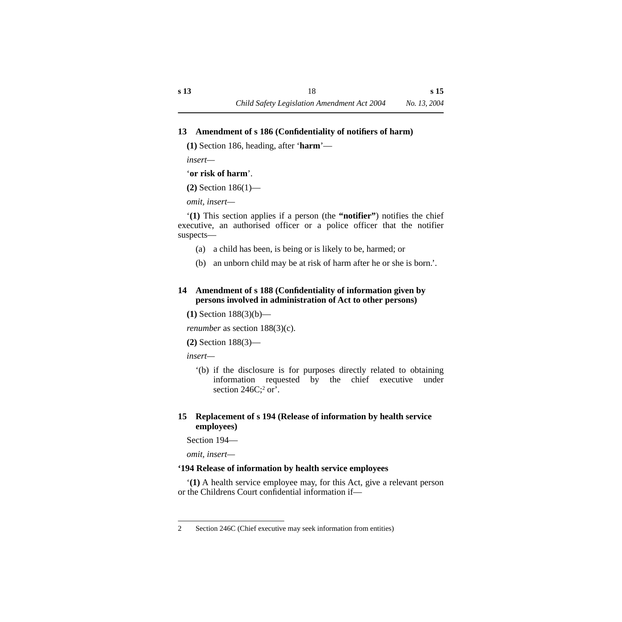## <span id="page-19-0"></span>**13 Amendment of s 186 (Confidentiality of notifiers of harm)**

**(1)** Section 186, heading, after '**harm**'—

*insert—*

#### '**or risk of harm**'.

**(2)** Section 186(1)—

*omit, insert—*

'**(1)** This section applies if a person (the **"notifier"**) notifies the chief executive, an authorised officer or a police officer that the notifier suspects—

- (a) a child has been, is being or is likely to be, harmed; or
- (b) an unborn child may be at risk of harm after he or she is born.'.

## <span id="page-19-1"></span>**14 Amendment of s 188 (Confidentiality of information given by persons involved in administration of Act to other persons)**

**(1)** Section 188(3)(b)—

*renumber* as section  $188(3)(c)$ .

**(2)** Section 188(3)—

*insert—*

'(b) if the disclosure is for purposes directly related to obtaining information requested by the chief executive under section  $246C$ ;  $2 \text{ or }$ .

## <span id="page-19-2"></span>**15 Replacement of s 194 (Release of information by health service employees)**

Section 194—

*omit, insert—*

# <span id="page-19-3"></span>**'194 Release of information by health service employees**

'**(1)** A health service employee may, for this Act, give a relevant person or the Childrens Court confidential information if—

<sup>2</sup> Section 246C (Chief executive may seek information from entities)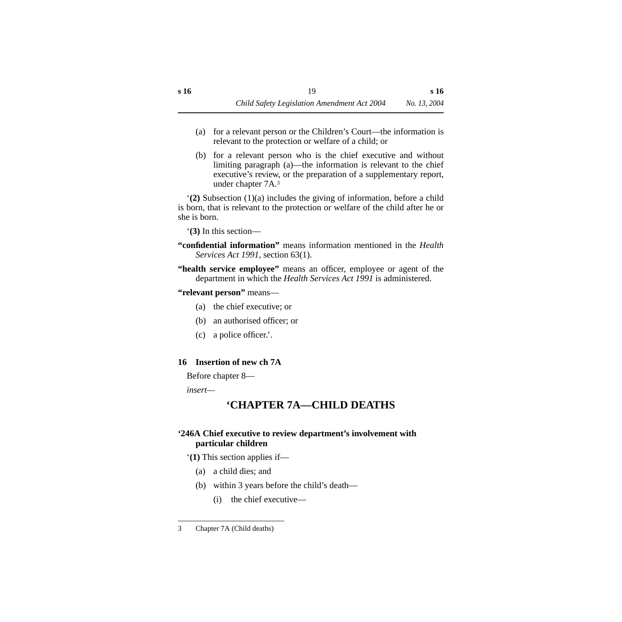- (a) for a relevant person or the Children's Court—the information is relevant to the protection or welfare of a child; or
- (b) for a relevant person who is the chief executive and without limiting paragraph (a)—the information is relevant to the chief executive's review, or the preparation of a supplementary report, under chapter 7A.3

'**(2)** Subsection (1)(a) includes the giving of information, before a child is born, that is relevant to the protection or welfare of the child after he or she is born.

'**(3)** In this section—

- **"confidential information"** means information mentioned in the *Health Services Act 1991*, section 63(1).
- **"health service employee"** means an officer, employee or agent of the department in which the *Health Services Act 1991* is administered.

**"relevant person"** means—

- (a) the chief executive; or
- (b) an authorised officer; or
- (c) a police officer.'.

# <span id="page-20-0"></span>**16 Insertion of new ch 7A**

Before chapter 8—

<span id="page-20-1"></span>*insert—*

# **'CHAPTER 7A—CHILD DEATHS**

# <span id="page-20-2"></span>**'246A Chief executive to review department's involvement with particular children**

'**(1)** This section applies if—

- (a) a child dies; and
- (b) within 3 years before the child's death—
	- (i) the chief executive—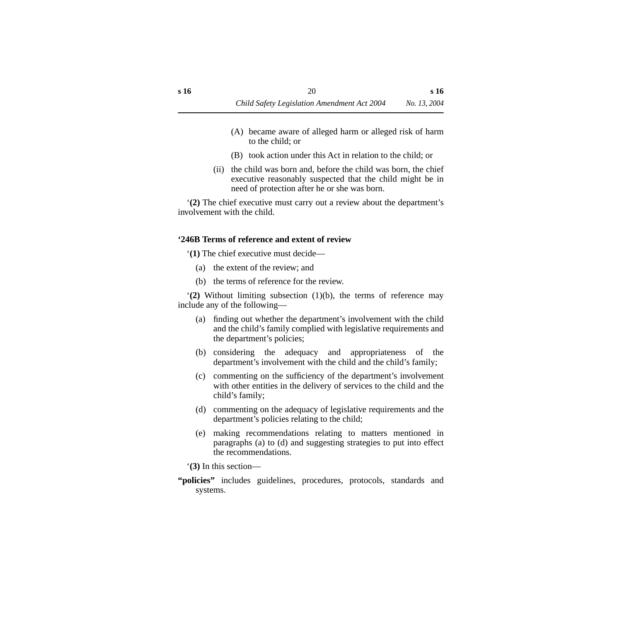- (A) became aware of alleged harm or alleged risk of harm to the child; or
- (B) took action under this Act in relation to the child; or
- (ii) the child was born and, before the child was born, the chief executive reasonably suspected that the child might be in need of protection after he or she was born.

'**(2)** The chief executive must carry out a review about the department's involvement with the child.

#### <span id="page-21-0"></span>**'246B Terms of reference and extent of review**

'**(1)** The chief executive must decide—

- (a) the extent of the review; and
- (b) the terms of reference for the review.

'**(2)** Without limiting subsection (1)(b), the terms of reference may include any of the following—

- (a) finding out whether the department's involvement with the child and the child's family complied with legislative requirements and the department's policies;
- (b) considering the adequacy and appropriateness of the department's involvement with the child and the child's family;
- (c) commenting on the sufficiency of the department's involvement with other entities in the delivery of services to the child and the child's family;
- (d) commenting on the adequacy of legislative requirements and the department's policies relating to the child;
- (e) making recommendations relating to matters mentioned in paragraphs (a) to (d) and suggesting strategies to put into effect the recommendations.

'**(3)** In this section—

**"policies"** includes guidelines, procedures, protocols, standards and systems.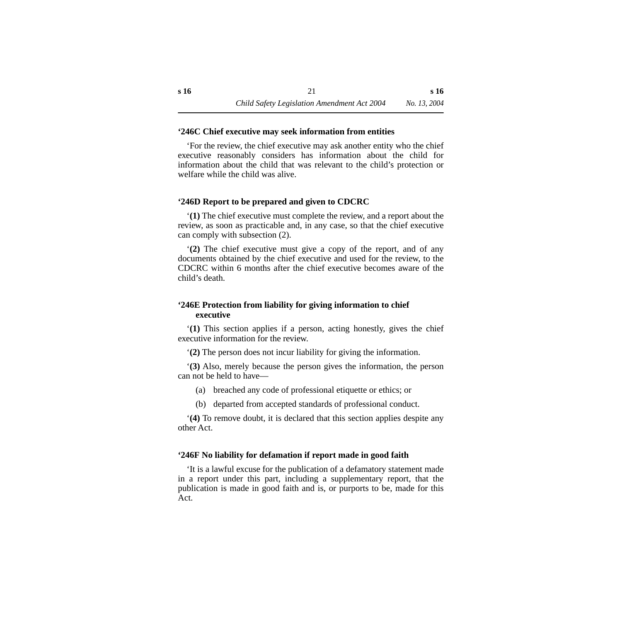#### <span id="page-22-0"></span>**'246C Chief executive may seek information from entities**

'For the review, the chief executive may ask another entity who the chief executive reasonably considers has information about the child for information about the child that was relevant to the child's protection or welfare while the child was alive.

#### <span id="page-22-1"></span>**'246D Report to be prepared and given to CDCRC**

'**(1)** The chief executive must complete the review, and a report about the review, as soon as practicable and, in any case, so that the chief executive can comply with subsection (2).

'**(2)** The chief executive must give a copy of the report, and of any documents obtained by the chief executive and used for the review, to the CDCRC within 6 months after the chief executive becomes aware of the child's death.

#### <span id="page-22-2"></span>**'246E Protection from liability for giving information to chief executive**

'**(1)** This section applies if a person, acting honestly, gives the chief executive information for the review.

'**(2)** The person does not incur liability for giving the information.

'**(3)** Also, merely because the person gives the information, the person can not be held to have—

- (a) breached any code of professional etiquette or ethics; or
- (b) departed from accepted standards of professional conduct.

'**(4)** To remove doubt, it is declared that this section applies despite any other Act.

#### <span id="page-22-3"></span>**'246F No liability for defamation if report made in good faith**

'It is a lawful excuse for the publication of a defamatory statement made in a report under this part, including a supplementary report, that the publication is made in good faith and is, or purports to be, made for this Act.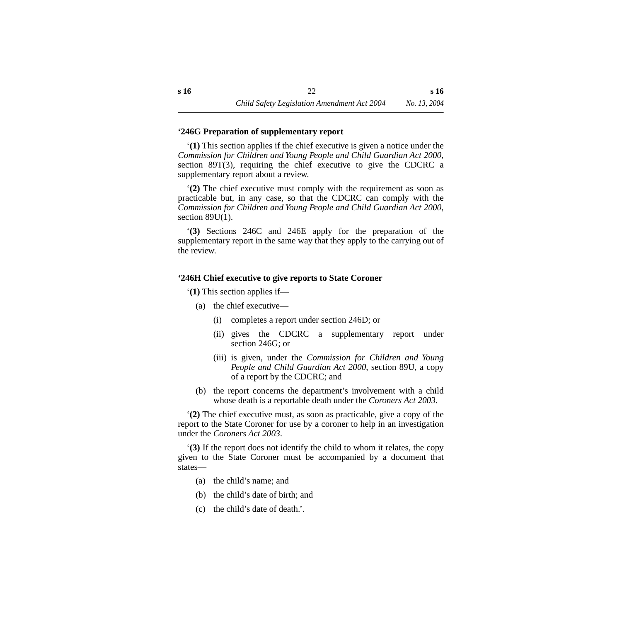#### <span id="page-23-0"></span>**'246G Preparation of supplementary report**

'**(1)** This section applies if the chief executive is given a notice under the *Commission for Children and Young People and Child Guardian Act 2000*, section 89T(3), requiring the chief executive to give the CDCRC a supplementary report about a review.

'**(2)** The chief executive must comply with the requirement as soon as practicable but, in any case, so that the CDCRC can comply with the *Commission for Children and Young People and Child Guardian Act 2000*, section 89U(1).

'**(3)** Sections 246C and 246E apply for the preparation of the supplementary report in the same way that they apply to the carrying out of the review.

#### <span id="page-23-1"></span>**'246H Chief executive to give reports to State Coroner**

'**(1)** This section applies if—

- (a) the chief executive—
	- (i) completes a report under section 246D; or
	- (ii) gives the CDCRC a supplementary report under section 246G; or
	- (iii) is given, under the *Commission for Children and Young People and Child Guardian Act 2000*, section 89U, a copy of a report by the CDCRC; and
- (b) the report concerns the department's involvement with a child whose death is a reportable death under the *Coroners Act 2003*.

'**(2)** The chief executive must, as soon as practicable, give a copy of the report to the State Coroner for use by a coroner to help in an investigation under the *Coroners Act 2003*.

'**(3)** If the report does not identify the child to whom it relates, the copy given to the State Coroner must be accompanied by a document that states—

- (a) the child's name; and
- (b) the child's date of birth; and
- (c) the child's date of death.'.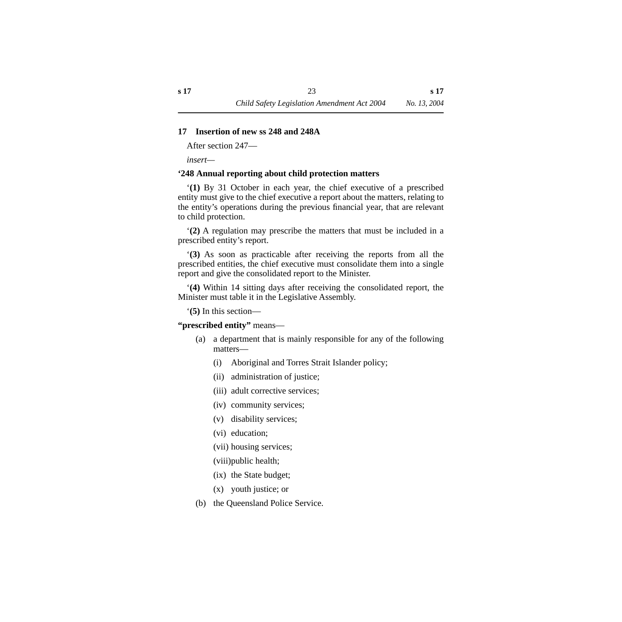#### <span id="page-24-0"></span>**17 Insertion of new ss 248 and 248A**

After section 247—

*insert—*

#### <span id="page-24-1"></span>**'248 Annual reporting about child protection matters**

'**(1)** By 31 October in each year, the chief executive of a prescribed entity must give to the chief executive a report about the matters, relating to the entity's operations during the previous financial year, that are relevant to child protection.

'**(2)** A regulation may prescribe the matters that must be included in a prescribed entity's report.

'**(3)** As soon as practicable after receiving the reports from all the prescribed entities, the chief executive must consolidate them into a single report and give the consolidated report to the Minister.

'**(4)** Within 14 sitting days after receiving the consolidated report, the Minister must table it in the Legislative Assembly.

'**(5)** In this section—

**"prescribed entity"** means—

- (a) a department that is mainly responsible for any of the following matters—
	- (i) Aboriginal and Torres Strait Islander policy;
	- (ii) administration of justice;
	- (iii) adult corrective services;
	- (iv) community services;
	- (v) disability services;
	- (vi) education;
	- (vii) housing services;
	- (viii)public health;
	- (ix) the State budget;
	- (x) youth justice; or
- (b) the Queensland Police Service.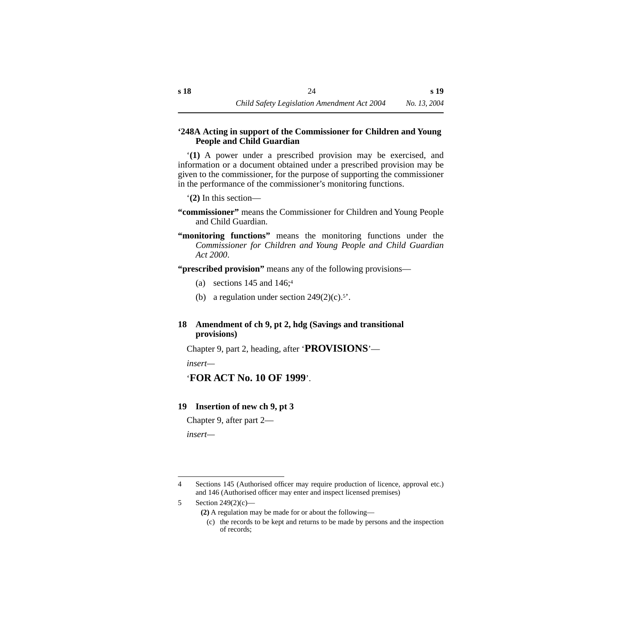#### <span id="page-25-0"></span>**'248A Acting in support of the Commissioner for Children and Young People and Child Guardian**

'**(1)** A power under a prescribed provision may be exercised, and information or a document obtained under a prescribed provision may be given to the commissioner, for the purpose of supporting the commissioner in the performance of the commissioner's monitoring functions.

'**(2)** In this section—

- **"commissioner"** means the Commissioner for Children and Young People and Child Guardian.
- **"monitoring functions"** means the monitoring functions under the *Commissioner for Children and Young People and Child Guardian Act 2000*.

**"prescribed provision"** means any of the following provisions—

- (a) sections  $145$  and  $146$ ;<sup>4</sup>
- (b) a regulation under section  $249(2)(c)$ .<sup>5'</sup>.

## <span id="page-25-1"></span>**18 Amendment of ch 9, pt 2, hdg (Savings and transitional provisions)**

Chapter 9, part 2, heading, after '**PROVISIONS**'—

*insert—*

# '**FOR ACT No. 10 OF 1999**'.

## <span id="page-25-2"></span>**19 Insertion of new ch 9, pt 3**

Chapter 9, after part 2—

*insert—*

<sup>4</sup> Sections 145 (Authorised officer may require production of licence, approval etc.) and 146 (Authorised officer may enter and inspect licensed premises)

<sup>5</sup> Section 249(2)(c)—

**<sup>(2)</sup>** A regulation may be made for or about the following—

<sup>(</sup>c) the records to be kept and returns to be made by persons and the inspection of records;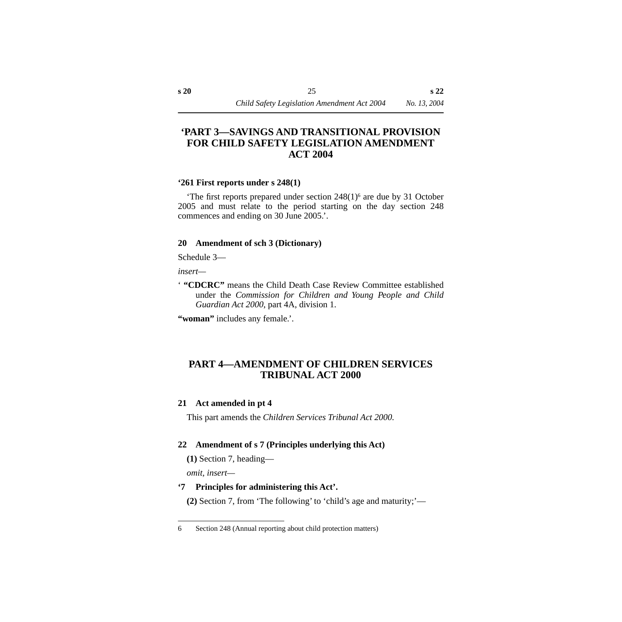# <span id="page-26-0"></span>**'PART 3—SAVINGS AND TRANSITIONAL PROVISION FOR CHILD SAFETY LEGISLATION AMENDMENT ACT 2004**

#### <span id="page-26-1"></span>**'261 First reports under s 248(1)**

'The first reports prepared under section 248(1)6 are due by 31 October 2005 and must relate to the period starting on the day section 248 commences and ending on 30 June 2005.'.

## <span id="page-26-2"></span>**20 Amendment of sch 3 (Dictionary)**

Schedule 3—

*insert—*

' **"CDCRC"** means the Child Death Case Review Committee established under the *Commission for Children and Young People and Child Guardian Act 2000*, part 4A, division 1.

**"woman"** includes any female.'.

# <span id="page-26-3"></span>**PART 4—AMENDMENT OF CHILDREN SERVICES TRIBUNAL ACT 2000**

## <span id="page-26-4"></span>**21 Act amended in pt 4**

This part amends the *Children Services Tribunal Act 2000.*

# <span id="page-26-5"></span>**22 Amendment of s 7 (Principles underlying this Act)**

**(1)** Section 7, heading—

*omit, insert—*

# **'7 Principles for administering this Act'.**

**(2)** Section 7, from 'The following' to 'child's age and maturity;'—

<sup>6</sup> Section 248 (Annual reporting about child protection matters)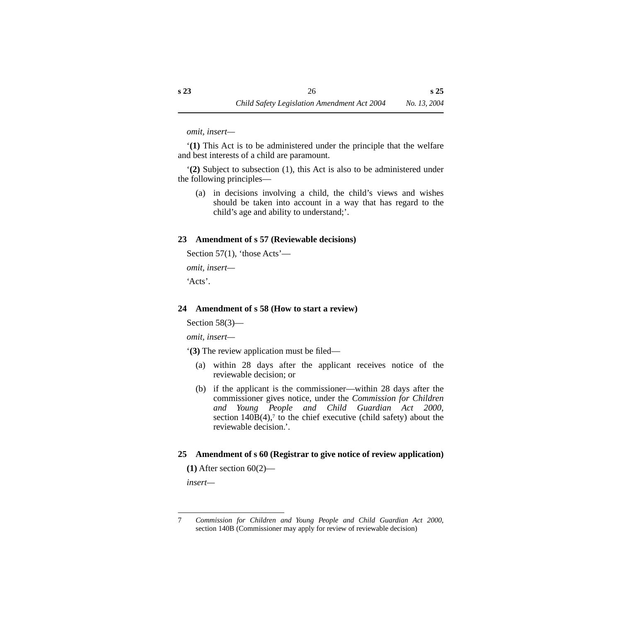*omit, insert—*

'**(1)** This Act is to be administered under the principle that the welfare and best interests of a child are paramount.

'**(2)** Subject to subsection (1), this Act is also to be administered under the following principles—

(a) in decisions involving a child, the child's views and wishes should be taken into account in a way that has regard to the child's age and ability to understand;'.

## <span id="page-27-0"></span>**23 Amendment of s 57 (Reviewable decisions)**

Section 57(1), 'those Acts'—

*omit, insert—*

'Acts'.

## <span id="page-27-1"></span>**24 Amendment of s 58 (How to start a review)**

Section 58(3)—

*omit, insert—*

'**(3)** The review application must be filed—

- (a) within 28 days after the applicant receives notice of the reviewable decision; or
- (b) if the applicant is the commissioner—within 28 days after the commissioner gives notice, under the *Commission for Children and Young People and Child Guardian Act 2000*, section  $140B(4)$ ,<sup>7</sup> to the chief executive (child safety) about the reviewable decision.'.

## <span id="page-27-2"></span>**25 Amendment of s 60 (Registrar to give notice of review application)**

**(1)** After section 60(2)—

*insert—*

<sup>7</sup> *Commission for Children and Young People and Child Guardian Act 2000*, section 140B (Commissioner may apply for review of reviewable decision)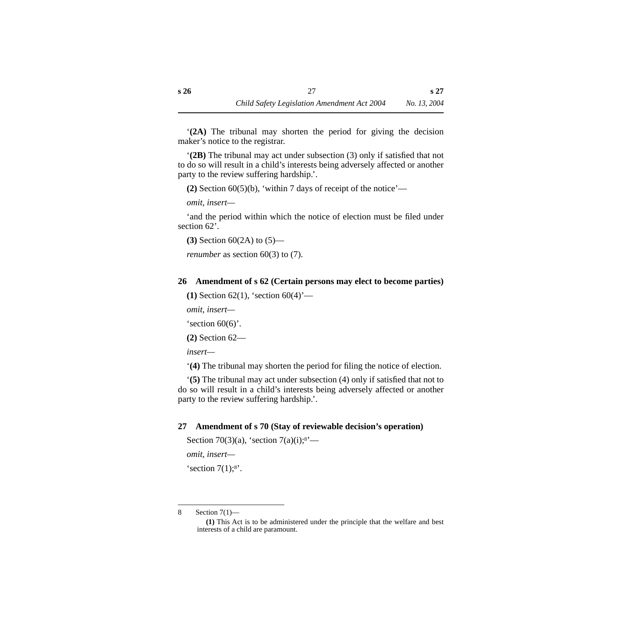'**(2A)** The tribunal may shorten the period for giving the decision maker's notice to the registrar.

'**(2B)** The tribunal may act under subsection (3) only if satisfied that not to do so will result in a child's interests being adversely affected or another party to the review suffering hardship.'.

**(2)** Section 60(5)(b), 'within 7 days of receipt of the notice'—

*omit, insert—*

'and the period within which the notice of election must be filed under section 62'.

**(3)** Section 60(2A) to (5)—

*renumber* as section 60(3) to (7).

## <span id="page-28-0"></span>**26 Amendment of s 62 (Certain persons may elect to become parties)**

**(1)** Section 62(1), 'section 60(4)'—

*omit, insert—*

's ection  $60(6)$ '.

**(2)** Section 62—

*insert—*

'**(4)** The tribunal may shorten the period for filing the notice of election.

'**(5)** The tribunal may act under subsection (4) only if satisfied that not to do so will result in a child's interests being adversely affected or another party to the review suffering hardship.'.

# <span id="page-28-1"></span>**27 Amendment of s 70 (Stay of reviewable decision's operation)**

```
Section 70(3)(a), 'section 7(a)(i);8'—
```
*omit, insert—*

's ection  $7(1)$ ;<sup>8'</sup>.

8 Section 7(1)—

**<sup>(1)</sup>** This Act is to be administered under the principle that the welfare and best interests of a child are paramount.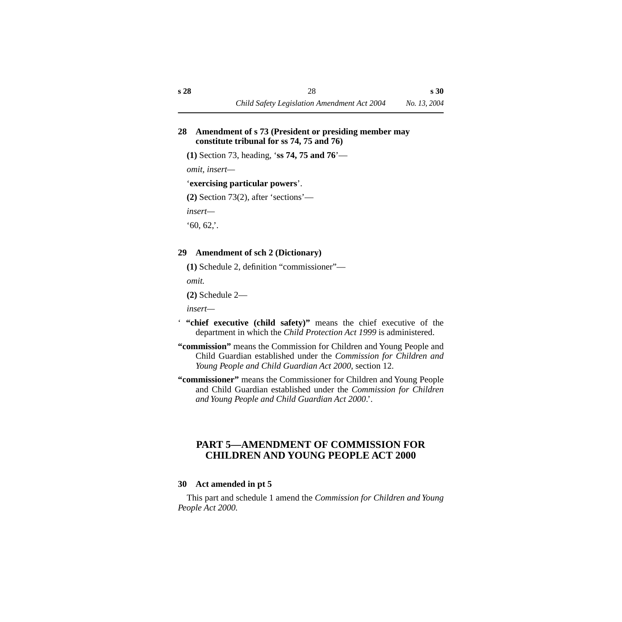#### <span id="page-29-0"></span>**28 Amendment of s 73 (President or presiding member may constitute tribunal for ss 74, 75 and 76)**

**(1)** Section 73, heading, '**ss 74, 75 and 76**'—

*omit, insert—*

#### '**exercising particular powers**'.

**(2)** Section 73(2), after 'sections'—

*insert—*

 $60, 62.$ 

## <span id="page-29-1"></span>**29 Amendment of sch 2 (Dictionary)**

**(1)** Schedule 2, definition "commissioner"—

*omit.*

**(2)** Schedule 2—

*insert—*

- ' **"chief executive (child safety)"** means the chief executive of the department in which the *Child Protection Act 1999* is administered.
- **"commission"** means the Commission for Children and Young People and Child Guardian established under the *Commission for Children and Young People and Child Guardian Act 2000*, section 12.
- **"commissioner"** means the Commissioner for Children and Young People and Child Guardian established under the *Commission for Children and Young People and Child Guardian Act 2000*.'.

# <span id="page-29-2"></span>**PART 5—AMENDMENT OF COMMISSION FOR CHILDREN AND YOUNG PEOPLE ACT 2000**

## <span id="page-29-3"></span>**30 Act amended in pt 5**

This part and schedule 1 amend the *Commission for Children and Young People Act 2000.*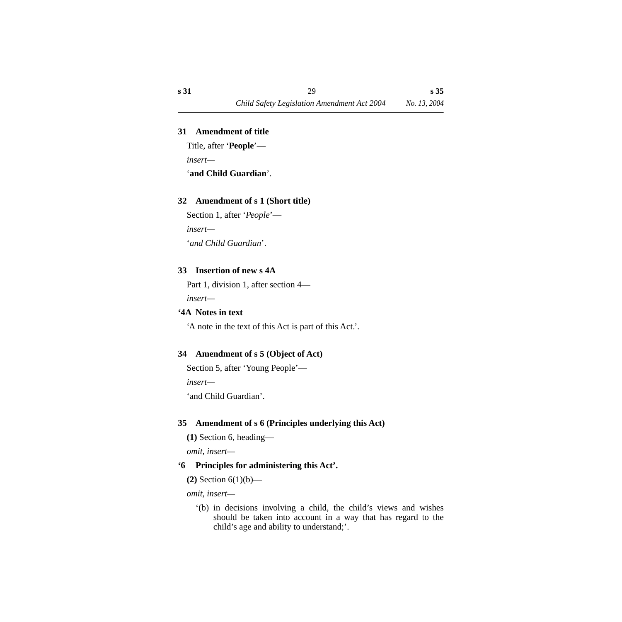#### <span id="page-30-0"></span>**31 Amendment of title**

Title, after '**People**'—

*insert—*

'**and Child Guardian**'.

## <span id="page-30-1"></span>**32 Amendment of s 1 (Short title)**

Section 1, after '*People*' *insert—* '*and Child Guardian*'.

## <span id="page-30-2"></span>**33 Insertion of new s 4A**

Part 1, division 1, after section 4 *insert—*

#### <span id="page-30-3"></span>**'4A Notes in text**

'A note in the text of this Act is part of this Act.'.

## <span id="page-30-4"></span>**34 Amendment of s 5 (Object of Act)**

Section 5, after 'Young People'—

*insert—*

'and Child Guardian'.

# <span id="page-30-5"></span>**35 Amendment of s 6 (Principles underlying this Act)**

**(1)** Section 6, heading—

*omit, insert—*

# **'6 Principles for administering this Act'.**

**(2)** Section 6(1)(b)—

*omit, insert—*

'(b) in decisions involving a child, the child's views and wishes should be taken into account in a way that has regard to the child's age and ability to understand;'.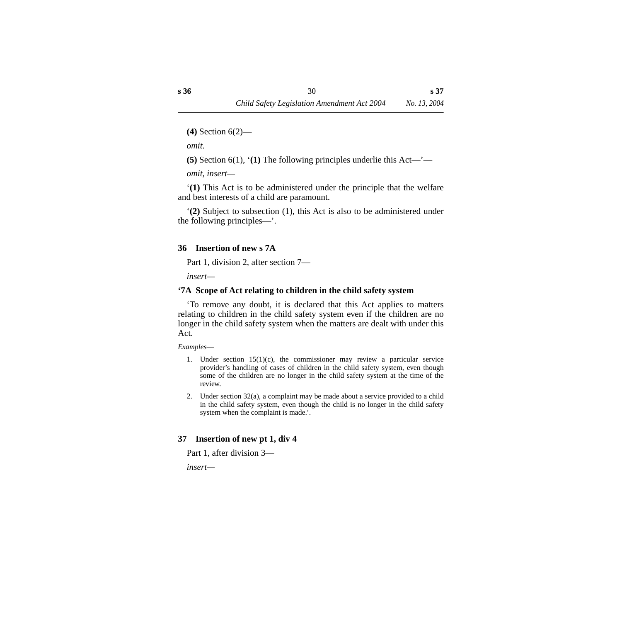**(4)** Section 6(2)—

*omit*.

**(5)** Section 6(1), '**(1)** The following principles underlie this Act—'—

*omit, insert—*

'**(1)** This Act is to be administered under the principle that the welfare and best interests of a child are paramount.

'**(2)** Subject to subsection (1), this Act is also to be administered under the following principles—'.

#### <span id="page-31-0"></span>**36 Insertion of new s 7A**

Part 1, division 2, after section 7—

*insert—*

## <span id="page-31-1"></span>**'7A Scope of Act relating to children in the child safety system**

'To remove any doubt, it is declared that this Act applies to matters relating to children in the child safety system even if the children are no longer in the child safety system when the matters are dealt with under this Act.

*Examples*—

- 1. Under section  $15(1)(c)$ , the commissioner may review a particular service provider's handling of cases of children in the child safety system, even though some of the children are no longer in the child safety system at the time of the review.
- 2. Under section 32(a), a complaint may be made about a service provided to a child in the child safety system, even though the child is no longer in the child safety system when the complaint is made.'.

# <span id="page-31-2"></span>**37 Insertion of new pt 1, div 4**

Part 1, after division 3—

*insert—*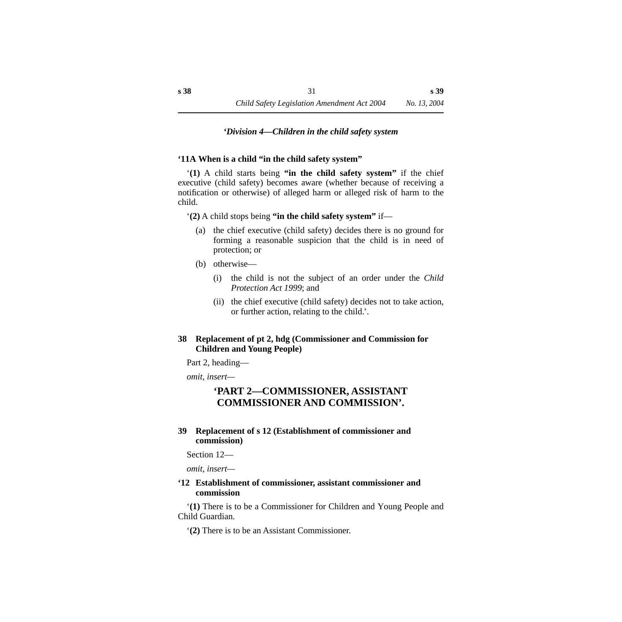#### *'Division 4—Children in the child safety system*

#### <span id="page-32-1"></span><span id="page-32-0"></span>**'11A When is a child "in the child safety system"**

'**(1)** A child starts being **"in the child safety system"** if the chief executive (child safety) becomes aware (whether because of receiving a notification or otherwise) of alleged harm or alleged risk of harm to the child.

'**(2)** A child stops being **"in the child safety system"** if—

- (a) the chief executive (child safety) decides there is no ground for forming a reasonable suspicion that the child is in need of protection; or
- (b) otherwise—
	- (i) the child is not the subject of an order under the *Child Protection Act 1999*; and
	- (ii) the chief executive (child safety) decides not to take action, or further action, relating to the child.'.

#### <span id="page-32-2"></span>**38 Replacement of pt 2, hdg (Commissioner and Commission for Children and Young People)**

Part 2, heading—

*omit, insert—*

# **'PART 2—COMMISSIONER, ASSISTANT COMMISSIONER AND COMMISSION'.**

#### <span id="page-32-3"></span>**39 Replacement of s 12 (Establishment of commissioner and commission)**

Section 12—

*omit, insert—*

#### <span id="page-32-4"></span>**'12 Establishment of commissioner, assistant commissioner and commission**

'**(1)** There is to be a Commissioner for Children and Young People and Child Guardian.

'**(2)** There is to be an Assistant Commissioner.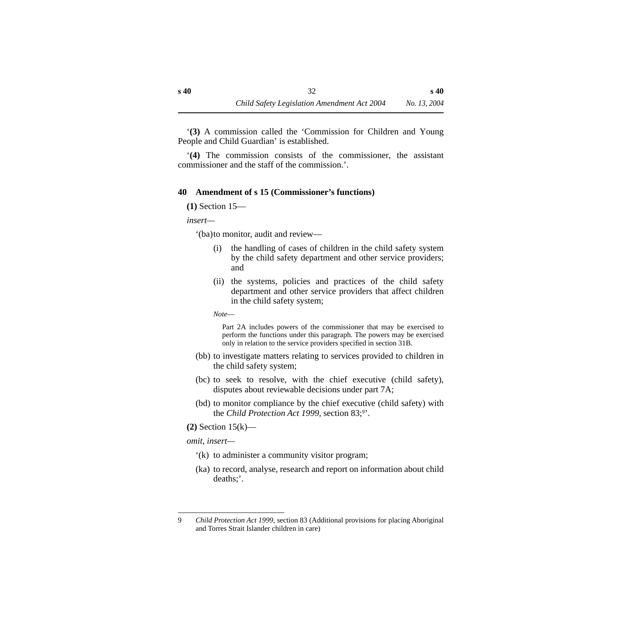'**(3)** A commission called the 'Commission for Children and Young People and Child Guardian' is established.

'**(4)** The commission consists of the commissioner, the assistant commissioner and the staff of the commission.'.

#### <span id="page-33-0"></span>**40 Amendment of s 15 (Commissioner's functions)**

**(1)** Section 15—

*insert—*

'(ba)to monitor, audit and review—

- (i) the handling of cases of children in the child safety system by the child safety department and other service providers; and
- (ii) the systems, policies and practices of the child safety department and other service providers that affect children in the child safety system;

*Note*—

Part 2A includes powers of the commissioner that may be exercised to perform the functions under this paragraph. The powers may be exercised only in relation to the service providers specified in section 31B.

- (bb) to investigate matters relating to services provided to children in the child safety system;
- (bc) to seek to resolve, with the chief executive (child safety), disputes about reviewable decisions under part 7A;
- (bd) to monitor compliance by the chief executive (child safety) with the *Child Protection Act 1999*, section 83;9'.
- **(2)** Section 15(k)—

*omit, insert—*

- '(k) to administer a community visitor program;
- (ka) to record, analyse, research and report on information about child deaths;'.

<sup>9</sup> *Child Protection Act 1999*, section 83 (Additional provisions for placing Aboriginal and Torres Strait Islander children in care)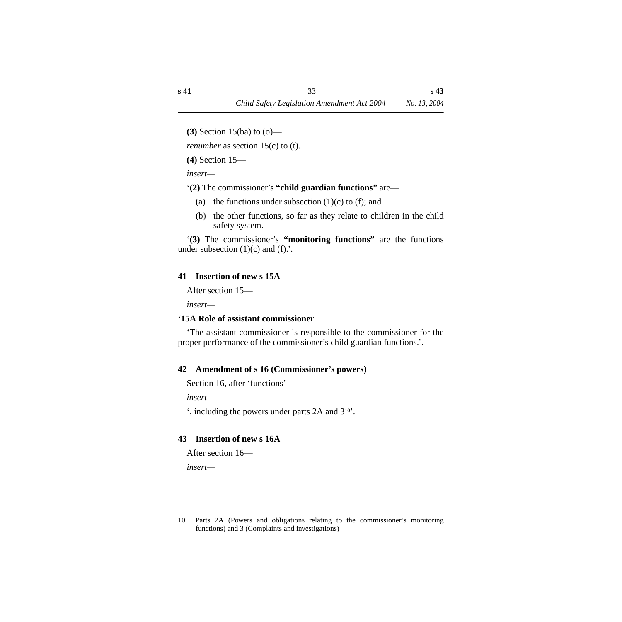**(3)** Section 15(ba) to (o)—

*renumber* as section 15(c) to (t).

**(4)** Section 15—

*insert—*

'**(2)** The commissioner's **"child guardian functions"** are—

- (a) the functions under subsection  $(1)(c)$  to  $(f)$ ; and
- (b) the other functions, so far as they relate to children in the child safety system.

'**(3)** The commissioner's **"monitoring functions"** are the functions under subsection  $(1)(c)$  and  $(f)$ .

# <span id="page-34-0"></span>**41 Insertion of new s 15A**

After section 15—

*insert—*

# <span id="page-34-1"></span>**'15A Role of assistant commissioner**

'The assistant commissioner is responsible to the commissioner for the proper performance of the commissioner's child guardian functions.'.

# <span id="page-34-2"></span>**42 Amendment of s 16 (Commissioner's powers)**

Section 16, after 'functions'—

*insert—*

', including the powers under parts 2A and 310'.

# <span id="page-34-3"></span>**43 Insertion of new s 16A**

After section 16—

*insert—*

<sup>10</sup> Parts 2A (Powers and obligations relating to the commissioner's monitoring functions) and 3 (Complaints and investigations)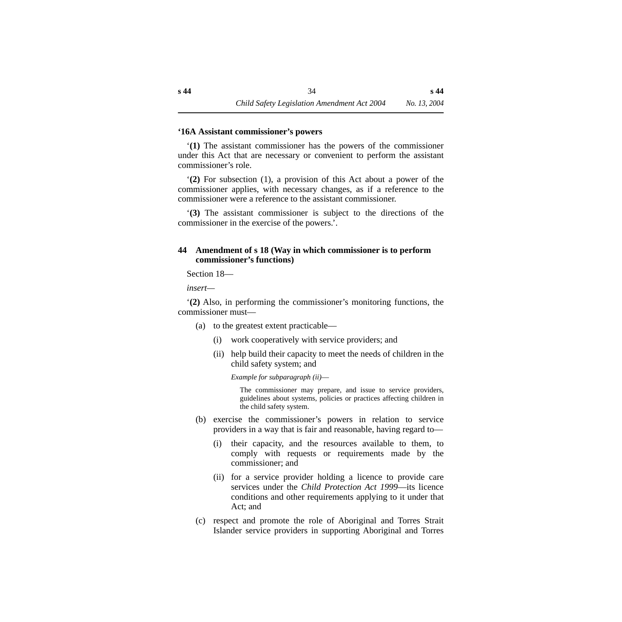#### <span id="page-35-0"></span>**'16A Assistant commissioner's powers**

'**(1)** The assistant commissioner has the powers of the commissioner under this Act that are necessary or convenient to perform the assistant commissioner's role.

'**(2)** For subsection (1), a provision of this Act about a power of the commissioner applies, with necessary changes, as if a reference to the commissioner were a reference to the assistant commissioner.

'**(3)** The assistant commissioner is subject to the directions of the commissioner in the exercise of the powers.'.

#### <span id="page-35-1"></span>**44 Amendment of s 18 (Way in which commissioner is to perform commissioner's functions)**

Section 18—

*insert—*

'**(2)** Also, in performing the commissioner's monitoring functions, the commissioner must—

- (a) to the greatest extent practicable—
	- (i) work cooperatively with service providers; and
	- (ii) help build their capacity to meet the needs of children in the child safety system; and

*Example for subparagraph (ii)*—

The commissioner may prepare, and issue to service providers, guidelines about systems, policies or practices affecting children in the child safety system.

- (b) exercise the commissioner's powers in relation to service providers in a way that is fair and reasonable, having regard to—
	- (i) their capacity, and the resources available to them, to comply with requests or requirements made by the commissioner; and
	- (ii) for a service provider holding a licence to provide care services under the *Child Protection Act 1999*—its licence conditions and other requirements applying to it under that Act; and
- (c) respect and promote the role of Aboriginal and Torres Strait Islander service providers in supporting Aboriginal and Torres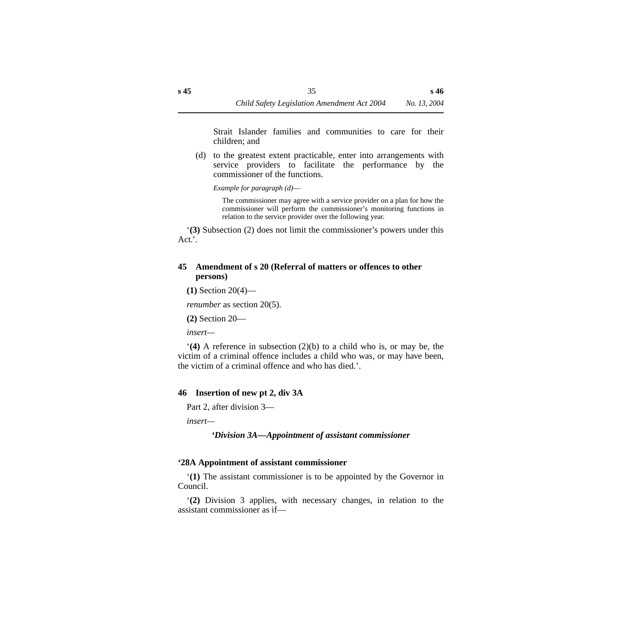Strait Islander families and communities to care for their children; and

(d) to the greatest extent practicable, enter into arrangements with service providers to facilitate the performance by the commissioner of the functions.

*Example for paragraph (d)*—

The commissioner may agree with a service provider on a plan for how the commissioner will perform the commissioner's monitoring functions in relation to the service provider over the following year.

'**(3)** Subsection (2) does not limit the commissioner's powers under this Act.'.

### **45 Amendment of s 20 (Referral of matters or offences to other persons)**

**(1)** Section 20(4)—

*renumber* as section 20(5).

**(2)** Section 20—

*insert—*

'**(4)** A reference in subsection (2)(b) to a child who is, or may be, the victim of a criminal offence includes a child who was, or may have been, the victim of a criminal offence and who has died.'.

#### **46 Insertion of new pt 2, div 3A**

Part 2, after division 3—

*insert—*

#### *'Division 3A—Appointment of assistant commissioner*

#### **'28A Appointment of assistant commissioner**

'**(1)** The assistant commissioner is to be appointed by the Governor in Council.

'**(2)** Division 3 applies, with necessary changes, in relation to the assistant commissioner as if—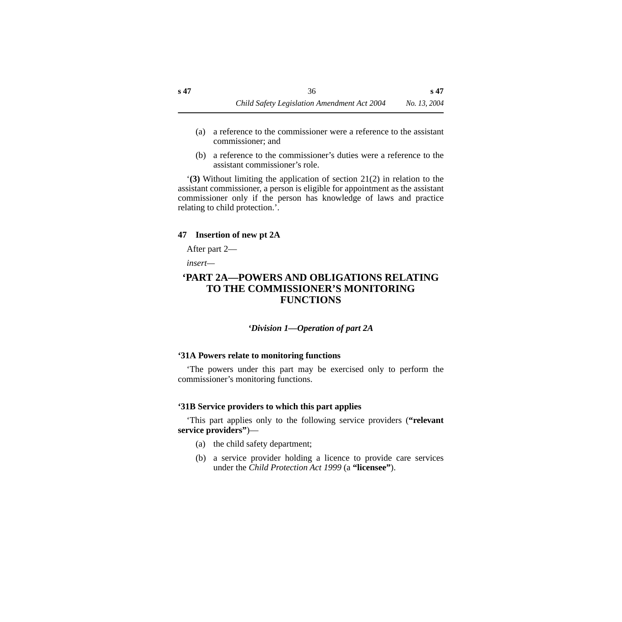- (a) a reference to the commissioner were a reference to the assistant commissioner; and
- (b) a reference to the commissioner's duties were a reference to the assistant commissioner's role.

'**(3)** Without limiting the application of section 21(2) in relation to the assistant commissioner, a person is eligible for appointment as the assistant commissioner only if the person has knowledge of laws and practice relating to child protection.'.

### **47 Insertion of new pt 2A**

After part 2—

*insert—*

# **'PART 2A—POWERS AND OBLIGATIONS RELATING TO THE COMMISSIONER'S MONITORING FUNCTIONS**

*'Division 1—Operation of part 2A*

# **'31A Powers relate to monitoring functions**

'The powers under this part may be exercised only to perform the commissioner's monitoring functions.

# **'31B Service providers to which this part applies**

'This part applies only to the following service providers (**"relevant service providers"**)—

- (a) the child safety department;
- (b) a service provider holding a licence to provide care services under the *Child Protection Act 1999* (a **"licensee"**).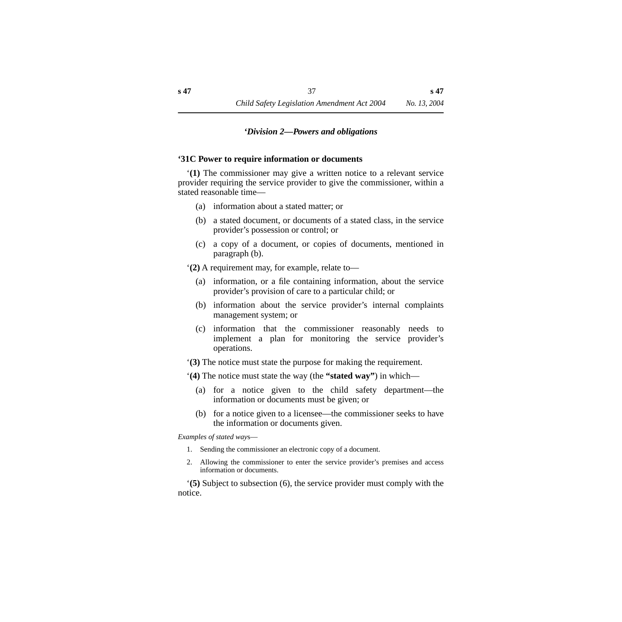#### *'Division 2—Powers and obligations*

#### **'31C Power to require information or documents**

'**(1)** The commissioner may give a written notice to a relevant service provider requiring the service provider to give the commissioner, within a stated reasonable time—

- (a) information about a stated matter; or
- (b) a stated document, or documents of a stated class, in the service provider's possession or control; or
- (c) a copy of a document, or copies of documents, mentioned in paragraph (b).

'**(2)** A requirement may, for example, relate to—

- (a) information, or a file containing information, about the service provider's provision of care to a particular child; or
- (b) information about the service provider's internal complaints management system; or
- (c) information that the commissioner reasonably needs to implement a plan for monitoring the service provider's operations.
- '**(3)** The notice must state the purpose for making the requirement.
- '**(4)** The notice must state the way (the **"stated way"**) in which—
	- (a) for a notice given to the child safety department—the information or documents must be given; or
	- (b) for a notice given to a licensee—the commissioner seeks to have the information or documents given.

*Examples of stated way*s—

- 1. Sending the commissioner an electronic copy of a document.
- 2. Allowing the commissioner to enter the service provider's premises and access information or documents.

'**(5)** Subject to subsection (6), the service provider must comply with the notice.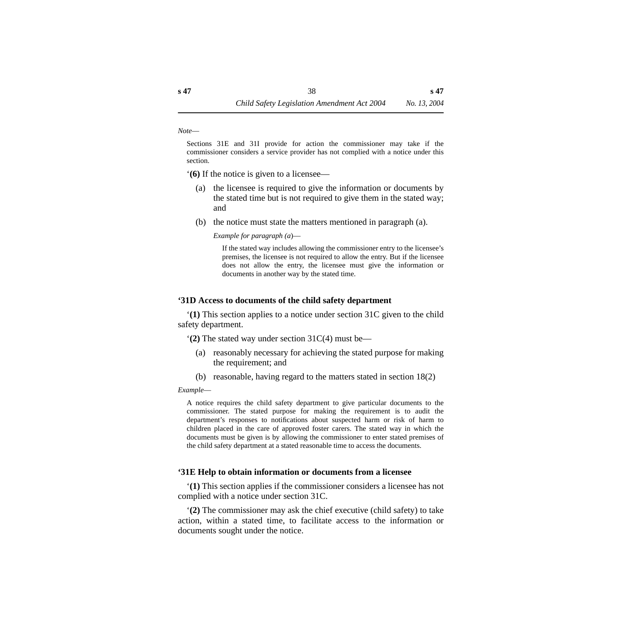*Note*—

Sections 31E and 31I provide for action the commissioner may take if the commissioner considers a service provider has not complied with a notice under this section.

'**(6)** If the notice is given to a licensee—

- (a) the licensee is required to give the information or documents by the stated time but is not required to give them in the stated way; and
- (b) the notice must state the matters mentioned in paragraph (a).

*Example for paragraph (a*)—

If the stated way includes allowing the commissioner entry to the licensee's premises, the licensee is not required to allow the entry. But if the licensee does not allow the entry, the licensee must give the information or documents in another way by the stated time.

#### **'31D Access to documents of the child safety department**

'**(1)** This section applies to a notice under section 31C given to the child safety department.

'**(2)** The stated way under section 31C(4) must be—

- (a) reasonably necessary for achieving the stated purpose for making the requirement; and
- (b) reasonable, having regard to the matters stated in section 18(2)

*Example*—

A notice requires the child safety department to give particular documents to the commissioner. The stated purpose for making the requirement is to audit the department's responses to notifications about suspected harm or risk of harm to children placed in the care of approved foster carers. The stated way in which the documents must be given is by allowing the commissioner to enter stated premises of the child safety department at a stated reasonable time to access the documents.

#### **'31E Help to obtain information or documents from a licensee**

'**(1)** This section applies if the commissioner considers a licensee has not complied with a notice under section 31C.

'**(2)** The commissioner may ask the chief executive (child safety) to take action, within a stated time, to facilitate access to the information or documents sought under the notice.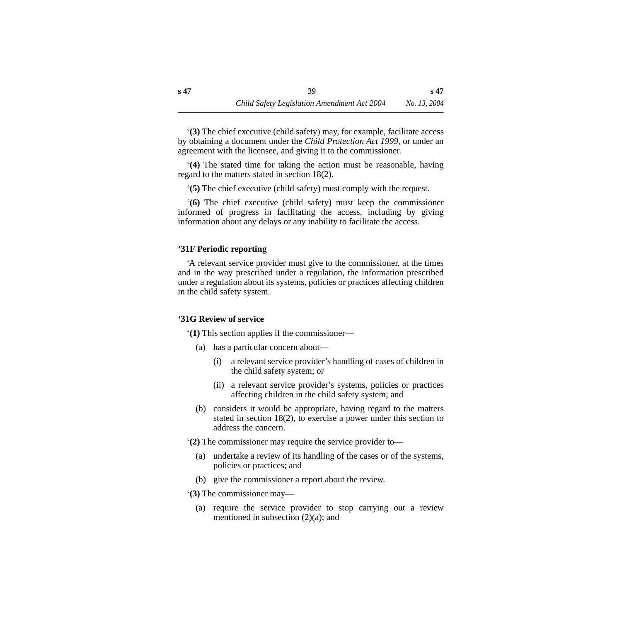'**(3)** The chief executive (child safety) may, for example, facilitate access by obtaining a document under the *Child Protection Act 1999*, or under an agreement with the licensee, and giving it to the commissioner.

'**(4)** The stated time for taking the action must be reasonable, having regard to the matters stated in section 18(2).

'**(5)** The chief executive (child safety) must comply with the request.

'**(6)** The chief executive (child safety) must keep the commissioner informed of progress in facilitating the access, including by giving information about any delays or any inability to facilitate the access.

# **'31F Periodic reporting**

'A relevant service provider must give to the commissioner, at the times and in the way prescribed under a regulation, the information prescribed under a regulation about its systems, policies or practices affecting children in the child safety system.

# **'31G Review of service**

'**(1)** This section applies if the commissioner—

- (a) has a particular concern about—
	- (i) a relevant service provider's handling of cases of children in the child safety system; or
	- (ii) a relevant service provider's systems, policies or practices affecting children in the child safety system; and
- (b) considers it would be appropriate, having regard to the matters stated in section 18(2), to exercise a power under this section to address the concern.

'**(2)** The commissioner may require the service provider to—

- (a) undertake a review of its handling of the cases or of the systems, policies or practices; and
- (b) give the commissioner a report about the review.

'**(3)** The commissioner may—

(a) require the service provider to stop carrying out a review mentioned in subsection (2)(a); and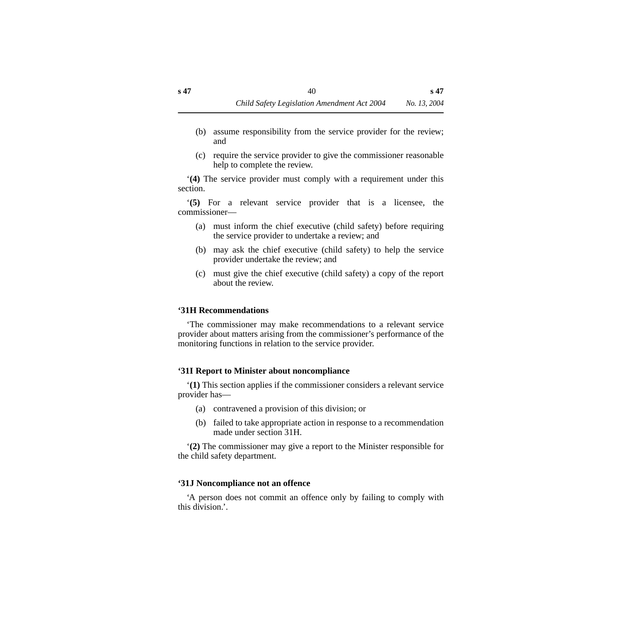- (b) assume responsibility from the service provider for the review; and
- (c) require the service provider to give the commissioner reasonable help to complete the review.

'**(4)** The service provider must comply with a requirement under this section.

'**(5)** For a relevant service provider that is a licensee, the commissioner—

- (a) must inform the chief executive (child safety) before requiring the service provider to undertake a review; and
- (b) may ask the chief executive (child safety) to help the service provider undertake the review; and
- (c) must give the chief executive (child safety) a copy of the report about the review.

#### **'31H Recommendations**

'The commissioner may make recommendations to a relevant service provider about matters arising from the commissioner's performance of the monitoring functions in relation to the service provider.

# **'31I Report to Minister about noncompliance**

'**(1)** This section applies if the commissioner considers a relevant service provider has—

- (a) contravened a provision of this division; or
- (b) failed to take appropriate action in response to a recommendation made under section 31H.

'**(2)** The commissioner may give a report to the Minister responsible for the child safety department.

# **'31J Noncompliance not an offence**

'A person does not commit an offence only by failing to comply with this division.'.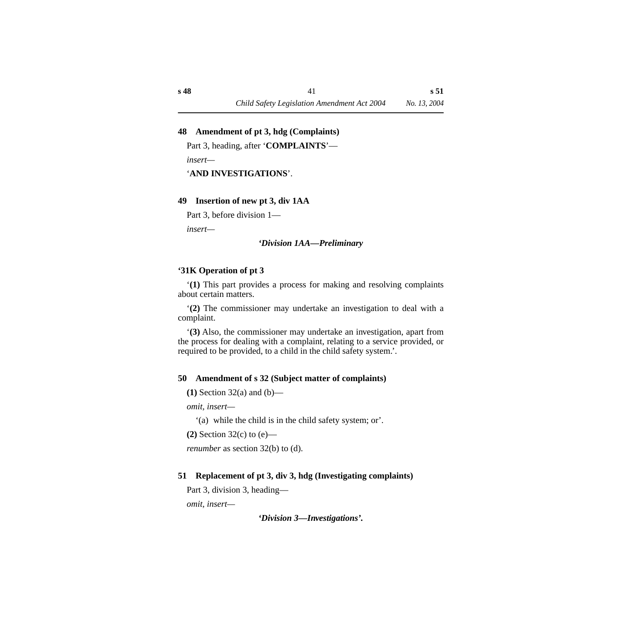### **48 Amendment of pt 3, hdg (Complaints)**

Part 3, heading, after '**COMPLAINTS**'—

*insert—*

'**AND INVESTIGATIONS**'.

#### **49 Insertion of new pt 3, div 1AA**

Part 3, before division 1—

*insert—*

#### *'Division 1AA—Preliminary*

#### **'31K Operation of pt 3**

'**(1)** This part provides a process for making and resolving complaints about certain matters.

'**(2)** The commissioner may undertake an investigation to deal with a complaint.

'**(3)** Also, the commissioner may undertake an investigation, apart from the process for dealing with a complaint, relating to a service provided, or required to be provided, to a child in the child safety system.'.

#### **50 Amendment of s 32 (Subject matter of complaints)**

**(1)** Section 32(a) and (b)—

*omit, insert—*

'(a) while the child is in the child safety system; or'.

**(2)** Section 32(c) to (e)—

*renumber* as section 32(b) to (d).

# **51 Replacement of pt 3, div 3, hdg (Investigating complaints)**

Part 3, division 3, heading—

*omit, insert—*

*'Division 3—Investigations'.*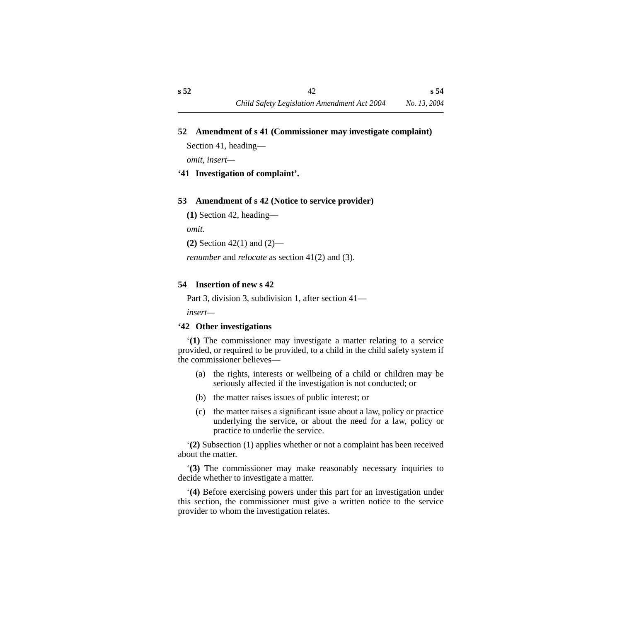#### **52 Amendment of s 41 (Commissioner may investigate complaint)**

Section 41, heading—

*omit, insert—*

# **'41 Investigation of complaint'.**

# **53 Amendment of s 42 (Notice to service provider)**

**(1)** Section 42, heading—

*omit.*

**(2)** Section 42(1) and (2)—

*renumber* and *relocate* as section 41(2) and (3).

# **54 Insertion of new s 42**

Part 3, division 3, subdivision 1, after section 41—

*insert—*

# **'42 Other investigations**

'**(1)** The commissioner may investigate a matter relating to a service provided, or required to be provided, to a child in the child safety system if the commissioner believes—

- (a) the rights, interests or wellbeing of a child or children may be seriously affected if the investigation is not conducted; or
- (b) the matter raises issues of public interest; or
- (c) the matter raises a significant issue about a law, policy or practice underlying the service, or about the need for a law, policy or practice to underlie the service.

'**(2)** Subsection (1) applies whether or not a complaint has been received about the matter.

'**(3)** The commissioner may make reasonably necessary inquiries to decide whether to investigate a matter.

'**(4)** Before exercising powers under this part for an investigation under this section, the commissioner must give a written notice to the service provider to whom the investigation relates.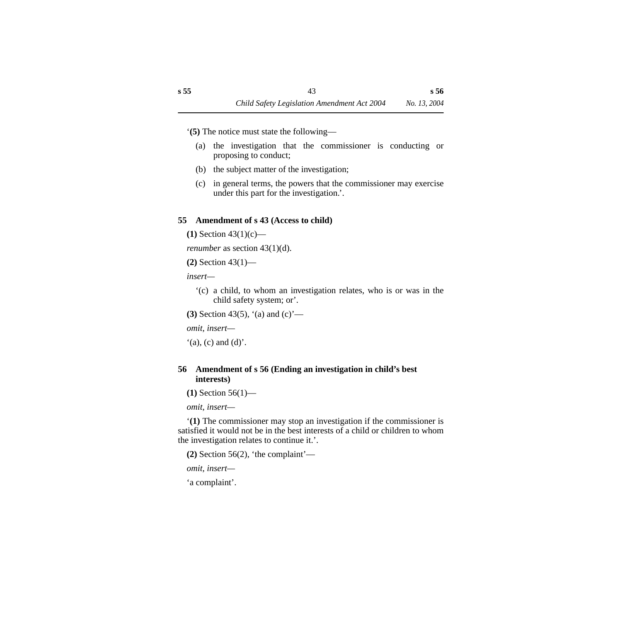'**(5)** The notice must state the following—

- (a) the investigation that the commissioner is conducting or proposing to conduct;
- (b) the subject matter of the investigation;
- (c) in general terms, the powers that the commissioner may exercise under this part for the investigation.'.

# **55 Amendment of s 43 (Access to child)**

**(1)** Section 43(1)(c)—

*renumber* as section 43(1)(d).

**(2)** Section 43(1)—

*insert—*

- '(c) a child, to whom an investigation relates, who is or was in the child safety system; or'.
- **(3)** Section 43(5), '(a) and (c)'—

*omit, insert—*

 $'(a)$ , (c) and (d)'.

# **56 Amendment of s 56 (Ending an investigation in child's best interests)**

**(1)** Section 56(1)—

*omit, insert—*

'**(1)** The commissioner may stop an investigation if the commissioner is satisfied it would not be in the best interests of a child or children to whom the investigation relates to continue it.'.

**(2)** Section 56(2), 'the complaint'—

*omit, insert—*

'a complaint'.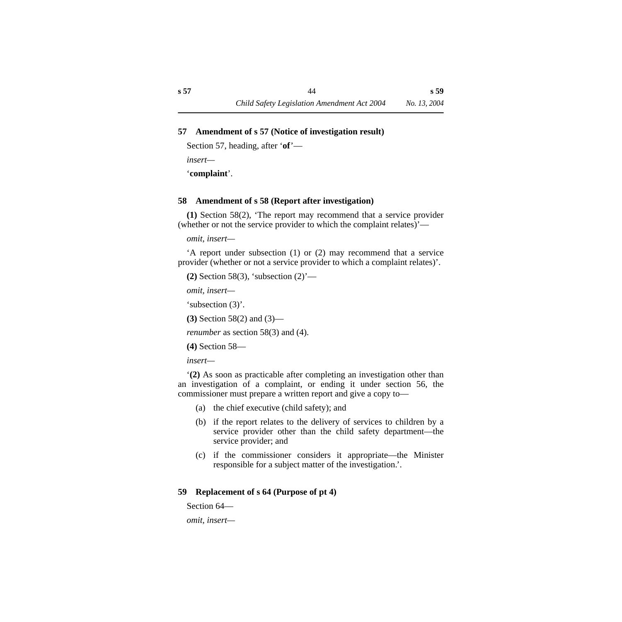# **57 Amendment of s 57 (Notice of investigation result)**

Section 57, heading, after '**of**'—

*insert—*

'**complaint**'.

# **58 Amendment of s 58 (Report after investigation)**

**(1)** Section 58(2), 'The report may recommend that a service provider (whether or not the service provider to which the complaint relates)'—

*omit, insert—*

'A report under subsection (1) or (2) may recommend that a service provider (whether or not a service provider to which a complaint relates)'.

**(2)** Section 58(3), 'subsection (2)'—

*omit, insert—*

'subsection (3)'.

**(3)** Section 58(2) and (3)—

*renumber* as section 58(3) and (4).

**(4)** Section 58—

*insert—*

'**(2)** As soon as practicable after completing an investigation other than an investigation of a complaint, or ending it under section 56, the commissioner must prepare a written report and give a copy to—

- (a) the chief executive (child safety); and
- (b) if the report relates to the delivery of services to children by a service provider other than the child safety department—the service provider; and
- (c) if the commissioner considers it appropriate—the Minister responsible for a subject matter of the investigation.'.

# **59 Replacement of s 64 (Purpose of pt 4)**

Section 64—

*omit, insert—*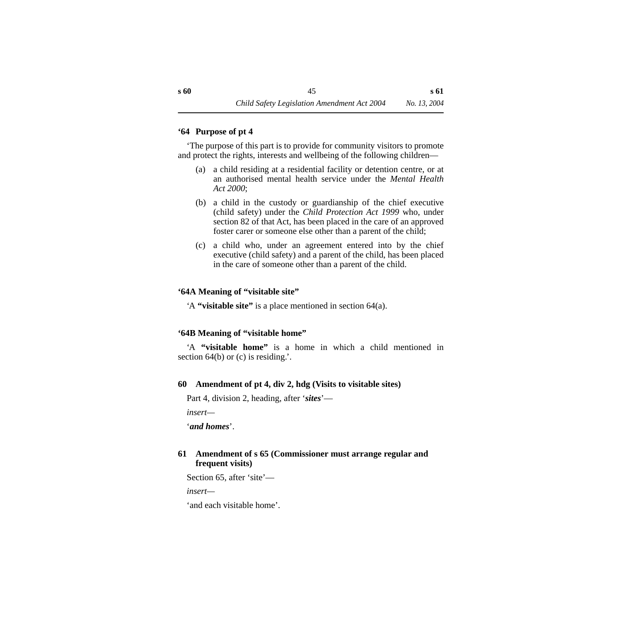### **'64 Purpose of pt 4**

'The purpose of this part is to provide for community visitors to promote and protect the rights, interests and wellbeing of the following children—

- (a) a child residing at a residential facility or detention centre, or at an authorised mental health service under the *Mental Health Act 2000*;
- (b) a child in the custody or guardianship of the chief executive (child safety) under the *Child Protection Act 1999* who, under section 82 of that Act, has been placed in the care of an approved foster carer or someone else other than a parent of the child;
- (c) a child who, under an agreement entered into by the chief executive (child safety) and a parent of the child, has been placed in the care of someone other than a parent of the child.

# **'64A Meaning of "visitable site"**

'A **"visitable site"** is a place mentioned in section 64(a).

# **'64B Meaning of "visitable home"**

'A **"visitable home"** is a home in which a child mentioned in section  $64(b)$  or (c) is residing.'.

# **60 Amendment of pt 4, div 2, hdg (Visits to visitable sites)**

Part 4, division 2, heading, after '*sites*'—

```
insert—
```
'*and homes*'.

# **61 Amendment of s 65 (Commissioner must arrange regular and frequent visits)**

Section 65, after 'site'—

*insert—*

'and each visitable home'.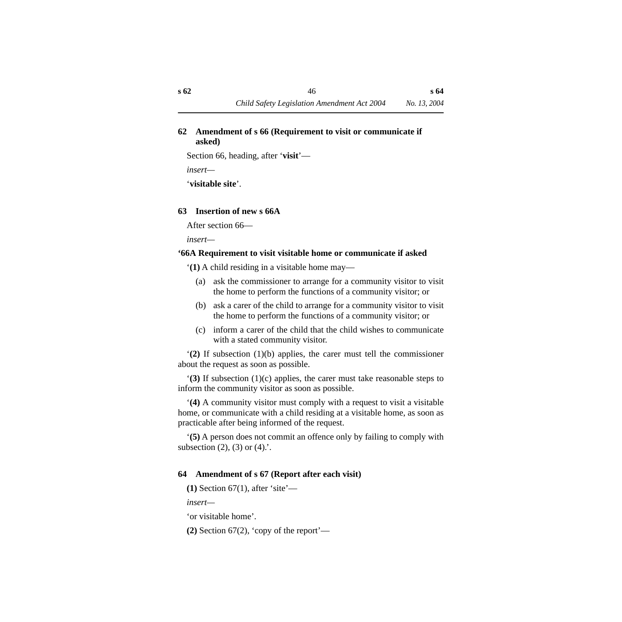# **62 Amendment of s 66 (Requirement to visit or communicate if asked)**

Section 66, heading, after '**visit**'—

*insert—*

'**visitable site**'.

# **63 Insertion of new s 66A**

After section 66—

*insert—*

# **'66A Requirement to visit visitable home or communicate if asked**

'**(1)** A child residing in a visitable home may—

- (a) ask the commissioner to arrange for a community visitor to visit the home to perform the functions of a community visitor; or
- (b) ask a carer of the child to arrange for a community visitor to visit the home to perform the functions of a community visitor; or
- (c) inform a carer of the child that the child wishes to communicate with a stated community visitor.

'**(2)** If subsection (1)(b) applies, the carer must tell the commissioner about the request as soon as possible.

'**(3)** If subsection (1)(c) applies, the carer must take reasonable steps to inform the community visitor as soon as possible.

'**(4)** A community visitor must comply with a request to visit a visitable home, or communicate with a child residing at a visitable home, as soon as practicable after being informed of the request.

'**(5)** A person does not commit an offence only by failing to comply with subsection  $(2)$ ,  $(3)$  or  $(4)$ .

# **64 Amendment of s 67 (Report after each visit)**

**(1)** Section 67(1), after 'site'—

*insert—*

'or visitable home'.

**(2)** Section 67(2), 'copy of the report'—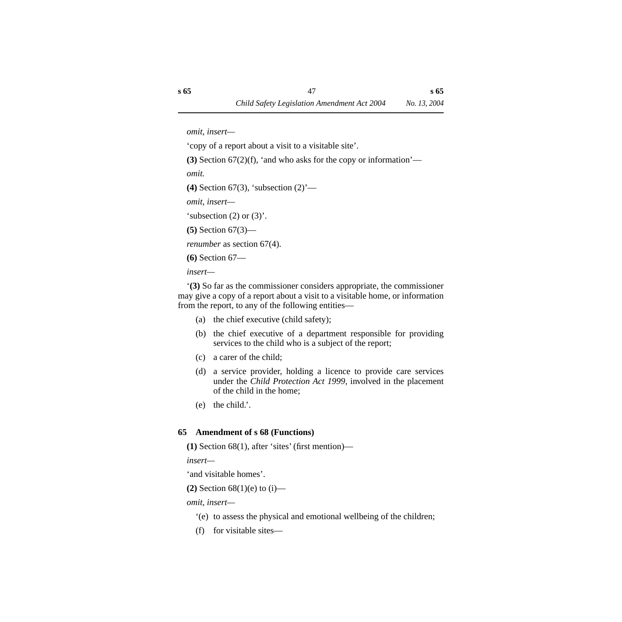'copy of a report about a visit to a visitable site'.

**(3)** Section 67(2)(f), 'and who asks for the copy or information'—

*omit.*

**(4)** Section 67(3), 'subsection (2)'—

*omit, insert—*

'subsection  $(2)$  or  $(3)$ '.

**(5)** Section 67(3)—

*renumber* as section 67(4).

**(6)** Section 67—

*insert—*

'**(3)** So far as the commissioner considers appropriate, the commissioner may give a copy of a report about a visit to a visitable home, or information from the report, to any of the following entities—

- (a) the chief executive (child safety);
- (b) the chief executive of a department responsible for providing services to the child who is a subject of the report;
- (c) a carer of the child;
- (d) a service provider, holding a licence to provide care services under the *Child Protection Act 1999,* involved in the placement of the child in the home;
- (e) the child.'.

# **65 Amendment of s 68 (Functions)**

**(1)** Section 68(1), after 'sites' (first mention)—

*insert—*

'and visitable homes'.

**(2)** Section 68(1)(e) to (i)—

*omit, insert—*

- '(e) to assess the physical and emotional wellbeing of the children;
- (f) for visitable sites—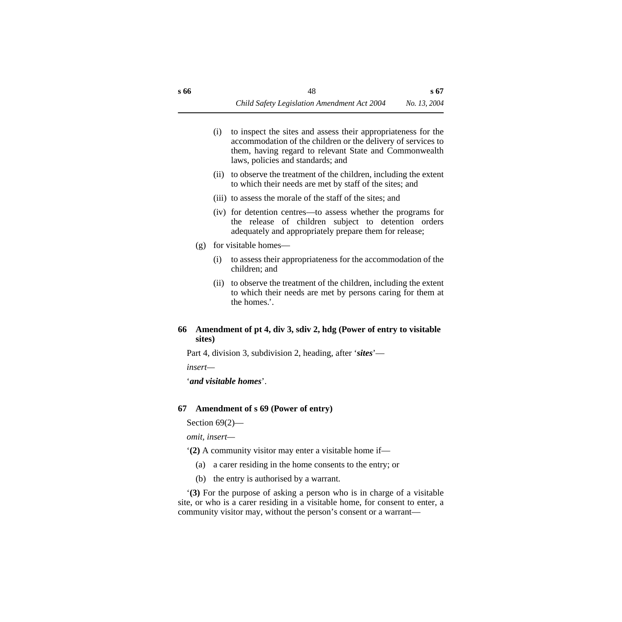- (i) to inspect the sites and assess their appropriateness for the accommodation of the children or the delivery of services to them, having regard to relevant State and Commonwealth laws, policies and standards; and
- (ii) to observe the treatment of the children, including the extent to which their needs are met by staff of the sites; and
- (iii) to assess the morale of the staff of the sites; and
- (iv) for detention centres—to assess whether the programs for the release of children subject to detention orders adequately and appropriately prepare them for release;
- (g) for visitable homes—
	- (i) to assess their appropriateness for the accommodation of the children; and
	- (ii) to observe the treatment of the children, including the extent to which their needs are met by persons caring for them at the homes.'.

# **66 Amendment of pt 4, div 3, sdiv 2, hdg (Power of entry to visitable sites)**

Part 4, division 3, subdivision 2, heading, after '*sites*'—

*insert—*

'*and visitable homes*'.

# **67 Amendment of s 69 (Power of entry)**

Section 69(2)—

*omit, insert—*

'**(2)** A community visitor may enter a visitable home if—

- (a) a carer residing in the home consents to the entry; or
- (b) the entry is authorised by a warrant.

'**(3)** For the purpose of asking a person who is in charge of a visitable site, or who is a carer residing in a visitable home, for consent to enter, a community visitor may, without the person's consent or a warrant—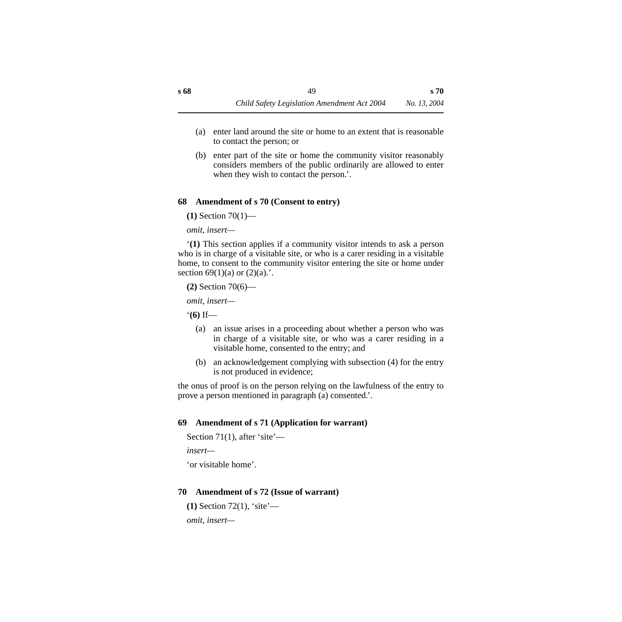- (a) enter land around the site or home to an extent that is reasonable to contact the person; or
- (b) enter part of the site or home the community visitor reasonably considers members of the public ordinarily are allowed to enter when they wish to contact the person.'.

# **68 Amendment of s 70 (Consent to entry)**

**(1)** Section 70(1)—

*omit, insert—*

'**(1)** This section applies if a community visitor intends to ask a person who is in charge of a visitable site, or who is a carer residing in a visitable home, to consent to the community visitor entering the site or home under section 69(1)(a) or  $(2)(a)$ .

**(2)** Section 70(6)—

*omit, insert—*

'**(6)** If—

- (a) an issue arises in a proceeding about whether a person who was in charge of a visitable site, or who was a carer residing in a visitable home, consented to the entry; and
- (b) an acknowledgement complying with subsection (4) for the entry is not produced in evidence;

the onus of proof is on the person relying on the lawfulness of the entry to prove a person mentioned in paragraph (a) consented.'.

# **69 Amendment of s 71 (Application for warrant)**

```
Section 71(1), after 'site'—
```
*insert—*

'or visitable home'.

# **70 Amendment of s 72 (Issue of warrant)**

```
(1) Section 72(1), 'site'—
omit, insert—
```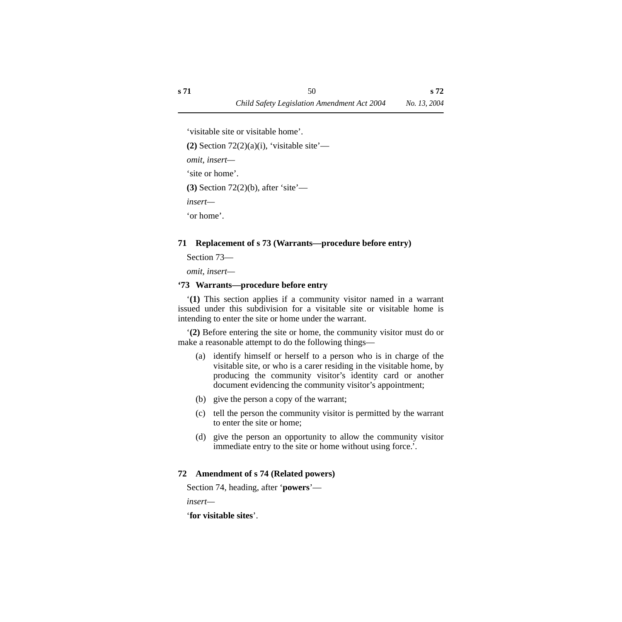'visitable site or visitable home'.

 $(2)$  Section  $72(2)(a)(i)$ , 'visitable site'—

*omit, insert—*

'site or home'.

**(3)** Section 72(2)(b), after 'site'—

*insert—*

'or home'.

# **71 Replacement of s 73 (Warrants—procedure before entry)**

Section 73—

*omit, insert—*

# **'73 Warrants—procedure before entry**

'**(1)** This section applies if a community visitor named in a warrant issued under this subdivision for a visitable site or visitable home is intending to enter the site or home under the warrant.

'**(2)** Before entering the site or home, the community visitor must do or make a reasonable attempt to do the following things—

- (a) identify himself or herself to a person who is in charge of the visitable site, or who is a carer residing in the visitable home, by producing the community visitor's identity card or another document evidencing the community visitor's appointment;
- (b) give the person a copy of the warrant;
- (c) tell the person the community visitor is permitted by the warrant to enter the site or home;
- (d) give the person an opportunity to allow the community visitor immediate entry to the site or home without using force.'.

# **72 Amendment of s 74 (Related powers)**

Section 74, heading, after '**powers**'—

*insert—*

'**for visitable sites**'.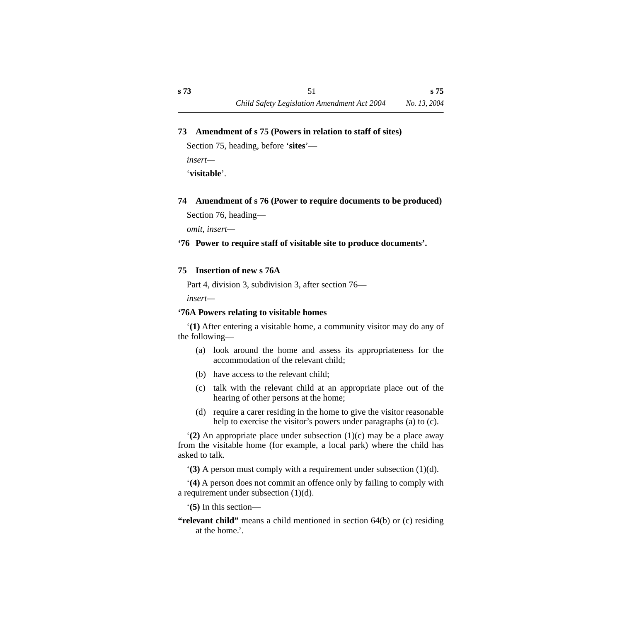### **73 Amendment of s 75 (Powers in relation to staff of sites)**

Section 75, heading, before '**sites**'—

*insert—*

'**visitable**'.

# **74 Amendment of s 76 (Power to require documents to be produced)**

Section 76, heading—

*omit, insert—*

### **'76 Power to require staff of visitable site to produce documents'.**

### **75 Insertion of new s 76A**

Part 4, division 3, subdivision 3, after section 76—

*insert—*

# **'76A Powers relating to visitable homes**

'**(1)** After entering a visitable home, a community visitor may do any of the following—

- (a) look around the home and assess its appropriateness for the accommodation of the relevant child;
- (b) have access to the relevant child;
- (c) talk with the relevant child at an appropriate place out of the hearing of other persons at the home;
- (d) require a carer residing in the home to give the visitor reasonable help to exercise the visitor's powers under paragraphs (a) to (c).

'**(2)** An appropriate place under subsection (1)(c) may be a place away from the visitable home (for example, a local park) where the child has asked to talk.

'**(3)** A person must comply with a requirement under subsection (1)(d).

'**(4)** A person does not commit an offence only by failing to comply with a requirement under subsection (1)(d).

'**(5)** In this section—

**"relevant child"** means a child mentioned in section 64(b) or (c) residing at the home.'.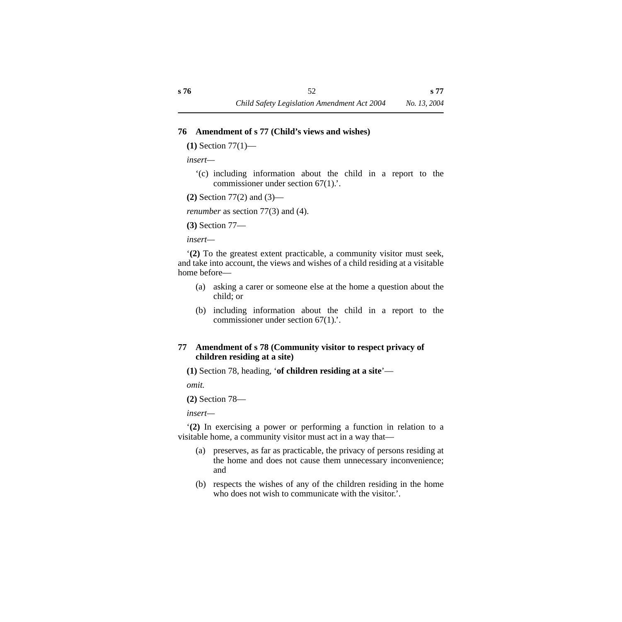#### **76 Amendment of s 77 (Child's views and wishes)**

**(1)** Section 77(1)—

*insert—*

'(c) including information about the child in a report to the commissioner under section 67(1).'.

**(2)** Section 77(2) and (3)—

*renumber* as section 77(3) and (4).

**(3)** Section 77—

*insert—*

'**(2)** To the greatest extent practicable, a community visitor must seek, and take into account, the views and wishes of a child residing at a visitable home before—

- (a) asking a carer or someone else at the home a question about the child; or
- (b) including information about the child in a report to the commissioner under section 67(1).'.

# **77 Amendment of s 78 (Community visitor to respect privacy of children residing at a site)**

**(1)** Section 78, heading, '**of children residing at a site**'—

*omit.*

**(2)** Section 78—

*insert—*

'**(2)** In exercising a power or performing a function in relation to a visitable home, a community visitor must act in a way that—

- (a) preserves, as far as practicable, the privacy of persons residing at the home and does not cause them unnecessary inconvenience; and
- (b) respects the wishes of any of the children residing in the home who does not wish to communicate with the visitor.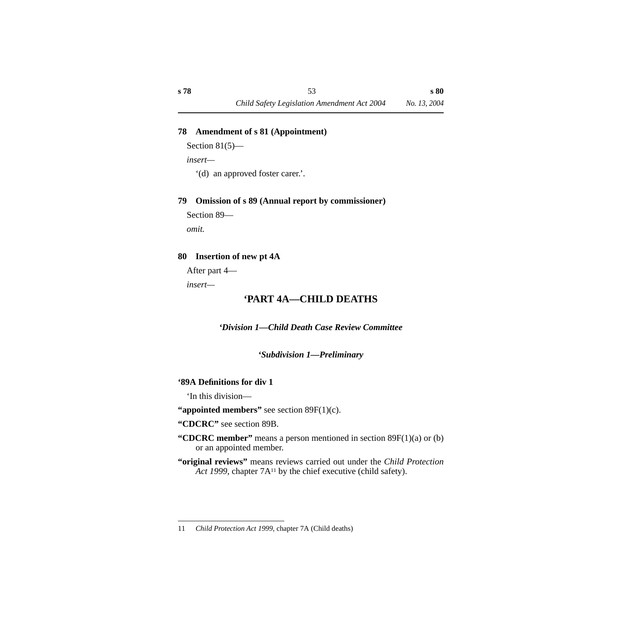# **78 Amendment of s 81 (Appointment)**

```
Section 81(5)—
```
*insert—*

'(d) an approved foster carer.'.

# **79 Omission of s 89 (Annual report by commissioner)**

Section 89—

*omit.*

# **80 Insertion of new pt 4A**

After part 4—

*insert—*

# **'PART 4A—CHILD DEATHS**

*'Division 1—Child Death Case Review Committee*

# *'Subdivision 1—Preliminary*

# **'89A Definitions for div 1**

'In this division—

**"appointed members"** see section 89F(1)(c).

**"CDCRC"** see section 89B.

- **"CDCRC member"** means a person mentioned in section 89F(1)(a) or (b) or an appointed member.
- **"original reviews"** means reviews carried out under the *Child Protection Act 1999*, chapter 7A<sup>11</sup> by the chief executive (child safety).

<sup>11</sup> *Child Protection Act 1999*, chapter 7A (Child deaths)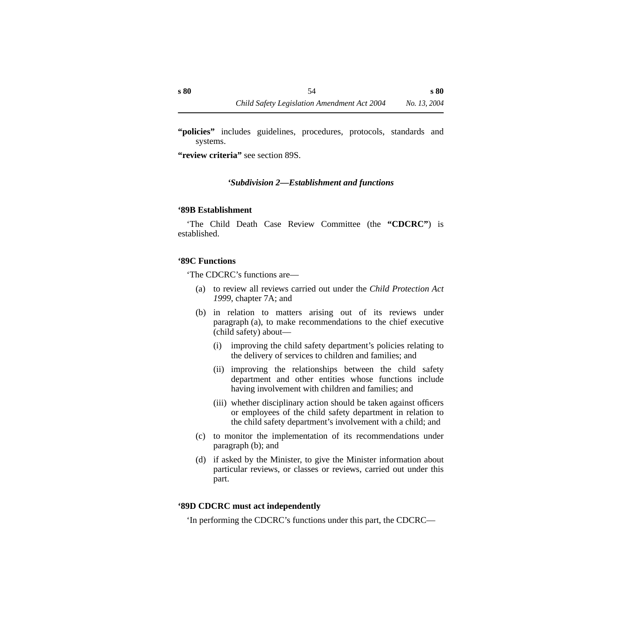**"policies"** includes guidelines, procedures, protocols, standards and systems.

**"review criteria"** see section 89S.

# *'Subdivision 2—Establishment and functions*

# **'89B Establishment**

'The Child Death Case Review Committee (the **"CDCRC"**) is established.

### **'89C Functions**

'The CDCRC's functions are—

- (a) to review all reviews carried out under the *Child Protection Act 1999*, chapter 7A; and
- (b) in relation to matters arising out of its reviews under paragraph (a), to make recommendations to the chief executive (child safety) about—
	- (i) improving the child safety department's policies relating to the delivery of services to children and families; and
	- (ii) improving the relationships between the child safety department and other entities whose functions include having involvement with children and families; and
	- (iii) whether disciplinary action should be taken against officers or employees of the child safety department in relation to the child safety department's involvement with a child; and
- (c) to monitor the implementation of its recommendations under paragraph (b); and
- (d) if asked by the Minister, to give the Minister information about particular reviews, or classes or reviews, carried out under this part.

# **'89D CDCRC must act independently**

'In performing the CDCRC's functions under this part, the CDCRC—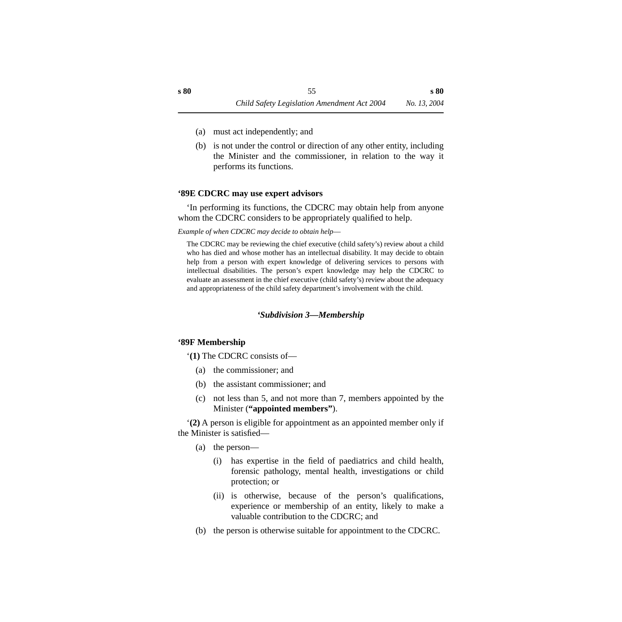- (a) must act independently; and
- (b) is not under the control or direction of any other entity, including the Minister and the commissioner, in relation to the way it performs its functions.

### **'89E CDCRC may use expert advisors**

'In performing its functions, the CDCRC may obtain help from anyone whom the CDCRC considers to be appropriately qualified to help.

*Example of when CDCRC may decide to obtain help*—

The CDCRC may be reviewing the chief executive (child safety's) review about a child who has died and whose mother has an intellectual disability. It may decide to obtain help from a person with expert knowledge of delivering services to persons with intellectual disabilities. The person's expert knowledge may help the CDCRC to evaluate an assessment in the chief executive (child safety's) review about the adequacy and appropriateness of the child safety department's involvement with the child.

# *'Subdivision 3—Membership*

# **'89F Membership**

'**(1)** The CDCRC consists of—

- (a) the commissioner; and
- (b) the assistant commissioner; and
- (c) not less than 5, and not more than 7, members appointed by the Minister (**"appointed members"**).

'**(2)** A person is eligible for appointment as an appointed member only if the Minister is satisfied—

- (a) the person—
	- (i) has expertise in the field of paediatrics and child health, forensic pathology, mental health, investigations or child protection; or
	- (ii) is otherwise, because of the person's qualifications, experience or membership of an entity, likely to make a valuable contribution to the CDCRC; and
- (b) the person is otherwise suitable for appointment to the CDCRC.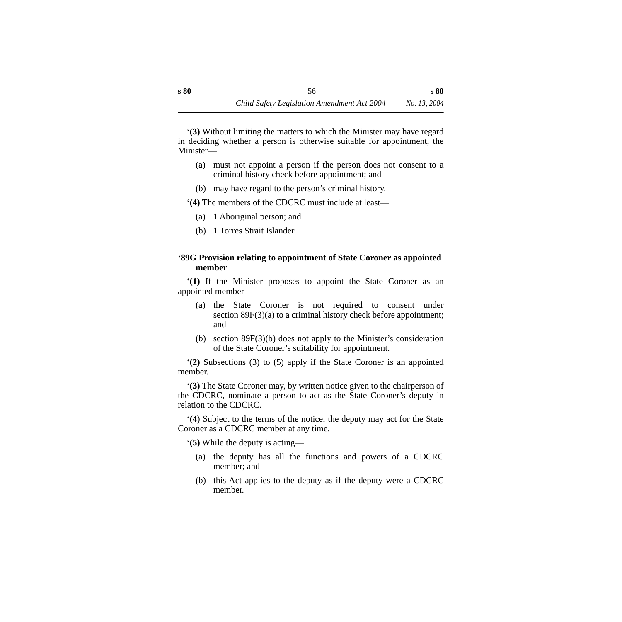'**(3)** Without limiting the matters to which the Minister may have regard in deciding whether a person is otherwise suitable for appointment, the Minister—

- (a) must not appoint a person if the person does not consent to a criminal history check before appointment; and
- (b) may have regard to the person's criminal history.

'**(4)** The members of the CDCRC must include at least—

- (a) 1 Aboriginal person; and
- (b) 1 Torres Strait Islander.

### **'89G Provision relating to appointment of State Coroner as appointed member**

'**(1)** If the Minister proposes to appoint the State Coroner as an appointed member—

- (a) the State Coroner is not required to consent under section 89F(3)(a) to a criminal history check before appointment; and
- (b) section 89F(3)(b) does not apply to the Minister's consideration of the State Coroner's suitability for appointment.

'**(2)** Subsections (3) to (5) apply if the State Coroner is an appointed member.

'**(3)** The State Coroner may, by written notice given to the chairperson of the CDCRC, nominate a person to act as the State Coroner's deputy in relation to the CDCRC.

'**(4**) Subject to the terms of the notice, the deputy may act for the State Coroner as a CDCRC member at any time.

'**(5)** While the deputy is acting—

- (a) the deputy has all the functions and powers of a CDCRC member; and
- (b) this Act applies to the deputy as if the deputy were a CDCRC member.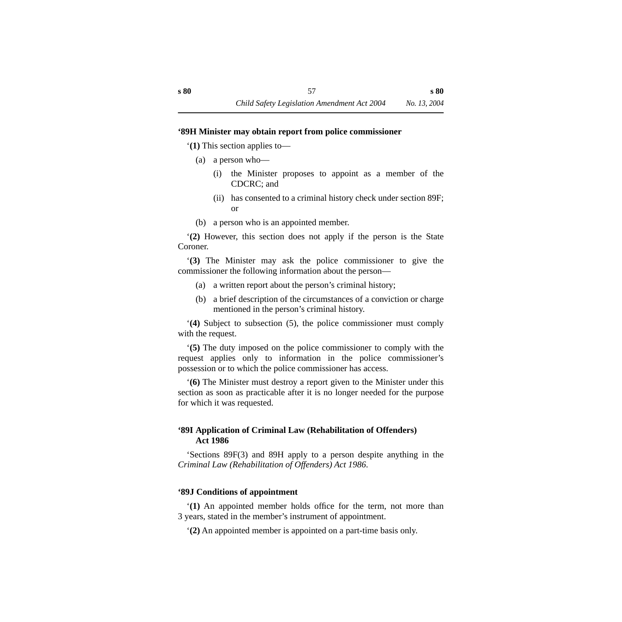#### **'89H Minister may obtain report from police commissioner**

'**(1)** This section applies to—

- (a) a person who—
	- (i) the Minister proposes to appoint as a member of the CDCRC; and
	- (ii) has consented to a criminal history check under section 89F; or
- (b) a person who is an appointed member.

'**(2)** However, this section does not apply if the person is the State Coroner.

'**(3)** The Minister may ask the police commissioner to give the commissioner the following information about the person—

- (a) a written report about the person's criminal history;
- (b) a brief description of the circumstances of a conviction or charge mentioned in the person's criminal history.

'**(4)** Subject to subsection (5), the police commissioner must comply with the request.

'**(5)** The duty imposed on the police commissioner to comply with the request applies only to information in the police commissioner's possession or to which the police commissioner has access.

'**(6)** The Minister must destroy a report given to the Minister under this section as soon as practicable after it is no longer needed for the purpose for which it was requested.

# **'89I Application of Criminal Law (Rehabilitation of Offenders) Act 1986**

'Sections 89F(3) and 89H apply to a person despite anything in the *Criminal Law (Rehabilitation of Offenders) Act 1986*.

#### **'89J Conditions of appointment**

'**(1)** An appointed member holds office for the term, not more than 3 years, stated in the member's instrument of appointment.

'**(2)** An appointed member is appointed on a part-time basis only.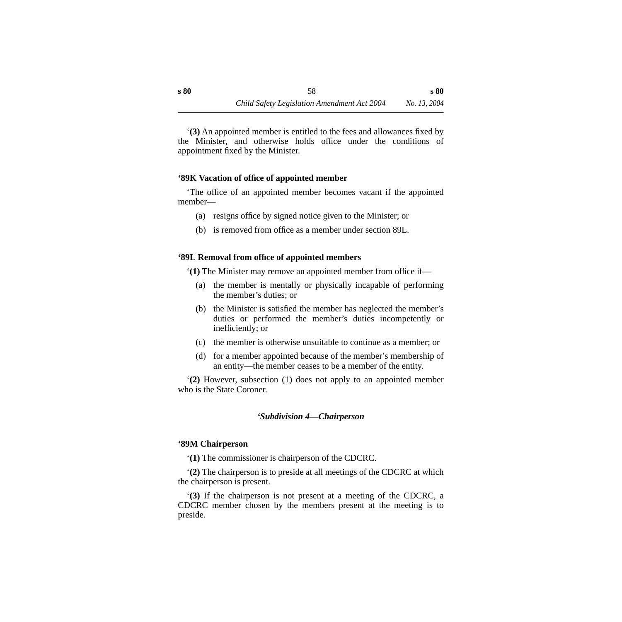'**(3)** An appointed member is entitled to the fees and allowances fixed by the Minister, and otherwise holds office under the conditions of appointment fixed by the Minister.

#### **'89K Vacation of office of appointed member**

'The office of an appointed member becomes vacant if the appointed member—

- (a) resigns office by signed notice given to the Minister; or
- (b) is removed from office as a member under section 89L.

#### **'89L Removal from office of appointed members**

'**(1)** The Minister may remove an appointed member from office if—

- (a) the member is mentally or physically incapable of performing the member's duties; or
- (b) the Minister is satisfied the member has neglected the member's duties or performed the member's duties incompetently or inefficiently; or
- (c) the member is otherwise unsuitable to continue as a member; or
- (d) for a member appointed because of the member's membership of an entity—the member ceases to be a member of the entity.

'**(2)** However, subsection (1) does not apply to an appointed member who is the State Coroner.

#### *'Subdivision 4—Chairperson*

#### **'89M Chairperson**

'**(1)** The commissioner is chairperson of the CDCRC.

'**(2)** The chairperson is to preside at all meetings of the CDCRC at which the chairperson is present.

'**(3)** If the chairperson is not present at a meeting of the CDCRC, a CDCRC member chosen by the members present at the meeting is to preside.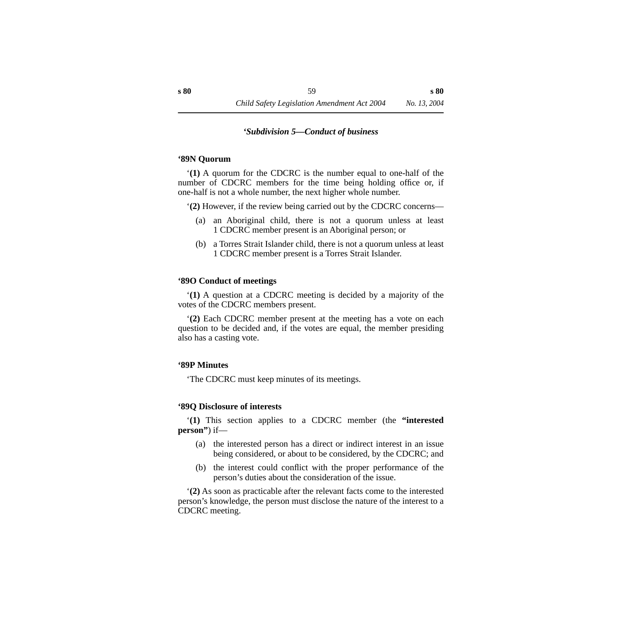#### *'Subdivision 5—Conduct of business*

#### **'89N Quorum**

'**(1)** A quorum for the CDCRC is the number equal to one-half of the number of CDCRC members for the time being holding office or, if one-half is not a whole number, the next higher whole number.

'**(2)** However, if the review being carried out by the CDCRC concerns—

- (a) an Aboriginal child, there is not a quorum unless at least 1 CDCRC member present is an Aboriginal person; or
- (b) a Torres Strait Islander child, there is not a quorum unless at least 1 CDCRC member present is a Torres Strait Islander.

#### **'89O Conduct of meetings**

'**(1)** A question at a CDCRC meeting is decided by a majority of the votes of the CDCRC members present.

'**(2)** Each CDCRC member present at the meeting has a vote on each question to be decided and, if the votes are equal, the member presiding also has a casting vote.

#### **'89P Minutes**

'The CDCRC must keep minutes of its meetings.

#### **'89Q Disclosure of interests**

'**(1)** This section applies to a CDCRC member (the **"interested person"**) if—

- (a) the interested person has a direct or indirect interest in an issue being considered, or about to be considered, by the CDCRC; and
- (b) the interest could conflict with the proper performance of the person's duties about the consideration of the issue.

'**(2)** As soon as practicable after the relevant facts come to the interested person's knowledge, the person must disclose the nature of the interest to a CDCRC meeting.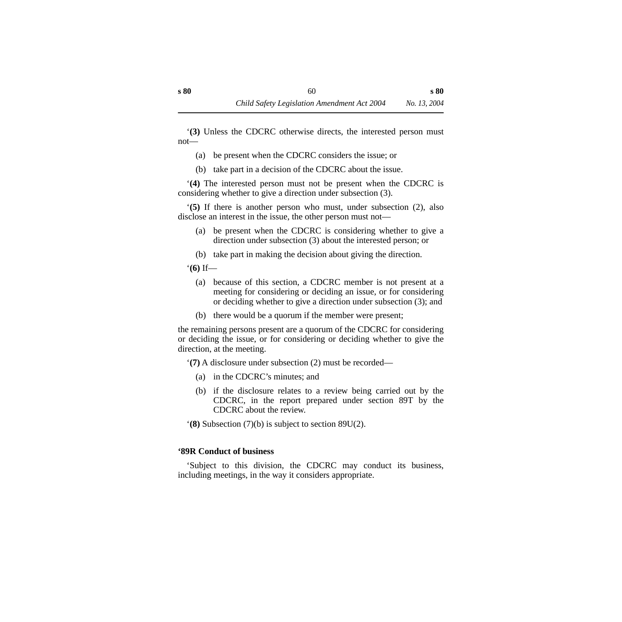'**(3)** Unless the CDCRC otherwise directs, the interested person must not—

- (a) be present when the CDCRC considers the issue; or
- (b) take part in a decision of the CDCRC about the issue.

'**(4)** The interested person must not be present when the CDCRC is considering whether to give a direction under subsection (3).

'**(5)** If there is another person who must, under subsection (2), also disclose an interest in the issue, the other person must not—

- (a) be present when the CDCRC is considering whether to give a direction under subsection (3) about the interested person; or
- (b) take part in making the decision about giving the direction.

'**(6)** If—

- (a) because of this section, a CDCRC member is not present at a meeting for considering or deciding an issue, or for considering or deciding whether to give a direction under subsection (3); and
- (b) there would be a quorum if the member were present;

the remaining persons present are a quorum of the CDCRC for considering or deciding the issue, or for considering or deciding whether to give the direction, at the meeting.

'**(7)** A disclosure under subsection (2) must be recorded—

- (a) in the CDCRC's minutes; and
- (b) if the disclosure relates to a review being carried out by the CDCRC, in the report prepared under section 89T by the CDCRC about the review.

'**(8)** Subsection (7)(b) is subject to section 89U(2).

# **'89R Conduct of business**

'Subject to this division, the CDCRC may conduct its business, including meetings, in the way it considers appropriate.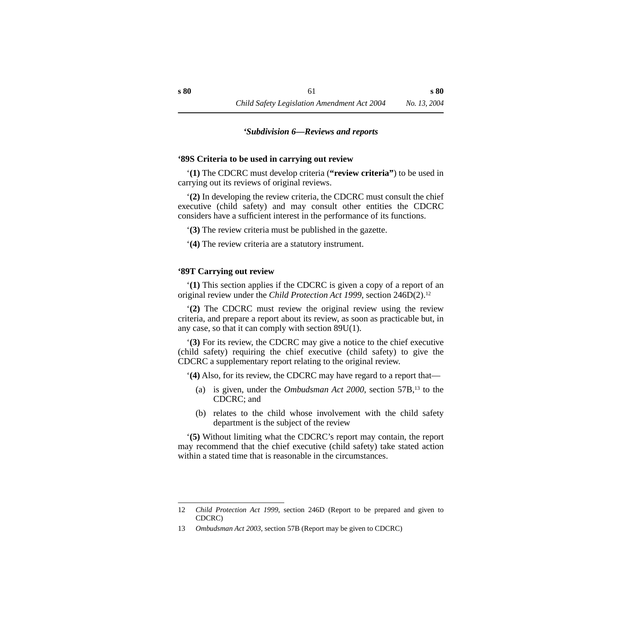#### *'Subdivision 6—Reviews and reports*

#### **'89S Criteria to be used in carrying out review**

'**(1)** The CDCRC must develop criteria (**"review criteria"**) to be used in carrying out its reviews of original reviews.

'**(2)** In developing the review criteria, the CDCRC must consult the chief executive (child safety) and may consult other entities the CDCRC considers have a sufficient interest in the performance of its functions.

'**(3)** The review criteria must be published in the gazette.

'**(4)** The review criteria are a statutory instrument.

#### **'89T Carrying out review**

'**(1)** This section applies if the CDCRC is given a copy of a report of an original review under the *Child Protection Act 1999*, section 246D(2).12

'**(2)** The CDCRC must review the original review using the review criteria, and prepare a report about its review, as soon as practicable but, in any case, so that it can comply with section 89U(1).

'**(3)** For its review, the CDCRC may give a notice to the chief executive (child safety) requiring the chief executive (child safety) to give the CDCRC a supplementary report relating to the original review.

'**(4)** Also, for its review, the CDCRC may have regard to a report that—

- (a) is given, under the *Ombudsman Act 2000*, section 57B,13 to the CDCRC; and
- (b) relates to the child whose involvement with the child safety department is the subject of the review

'**(5)** Without limiting what the CDCRC's report may contain, the report may recommend that the chief executive (child safety) take stated action within a stated time that is reasonable in the circumstances.

<sup>12</sup> *Child Protection Act 1999*, section 246D (Report to be prepared and given to CDCRC)

<sup>13</sup> *Ombudsman Act 2003*, section 57B (Report may be given to CDCRC)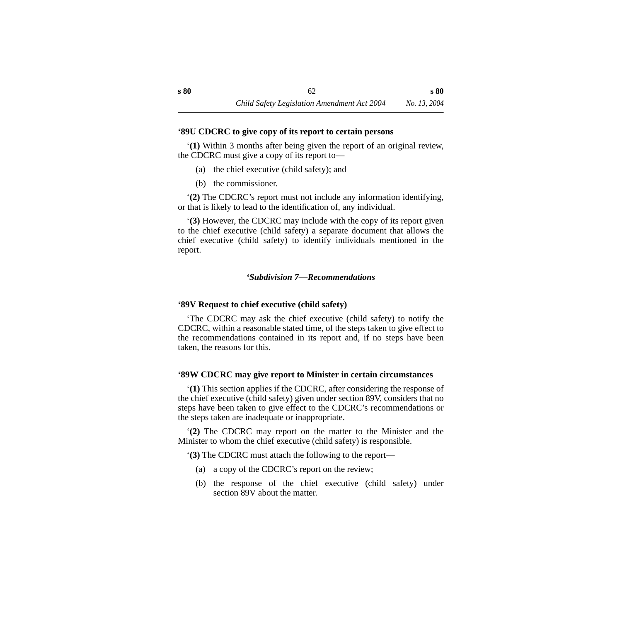#### **'89U CDCRC to give copy of its report to certain persons**

'**(1)** Within 3 months after being given the report of an original review, the CDCRC must give a copy of its report to—

- (a) the chief executive (child safety); and
- (b) the commissioner.

'**(2)** The CDCRC's report must not include any information identifying, or that is likely to lead to the identification of, any individual.

'**(3)** However, the CDCRC may include with the copy of its report given to the chief executive (child safety) a separate document that allows the chief executive (child safety) to identify individuals mentioned in the report.

#### *'Subdivision 7—Recommendations*

#### **'89V Request to chief executive (child safety)**

'The CDCRC may ask the chief executive (child safety) to notify the CDCRC, within a reasonable stated time, of the steps taken to give effect to the recommendations contained in its report and, if no steps have been taken, the reasons for this.

#### **'89W CDCRC may give report to Minister in certain circumstances**

'**(1)** This section applies if the CDCRC, after considering the response of the chief executive (child safety) given under section 89V, considers that no steps have been taken to give effect to the CDCRC's recommendations or the steps taken are inadequate or inappropriate.

'**(2)** The CDCRC may report on the matter to the Minister and the Minister to whom the chief executive (child safety) is responsible.

'**(3)** The CDCRC must attach the following to the report—

- (a) a copy of the CDCRC's report on the review;
- (b) the response of the chief executive (child safety) under section 89V about the matter.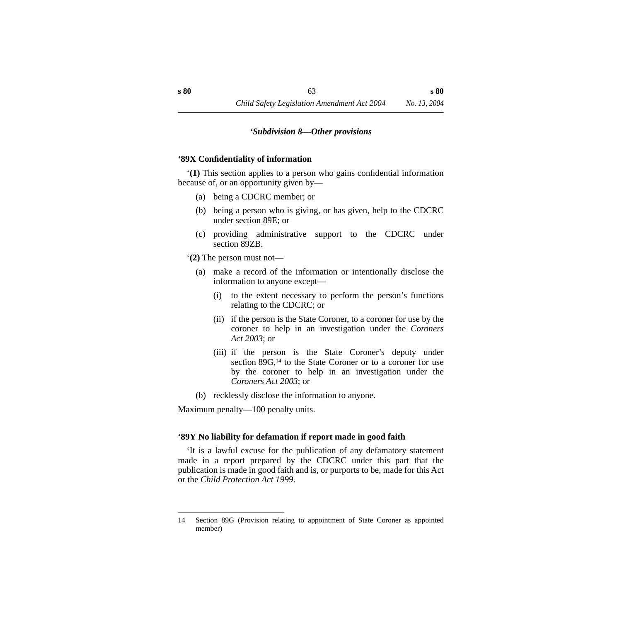#### *'Subdivision 8—Other provisions*

#### **'89X Confidentiality of information**

'**(1)** This section applies to a person who gains confidential information because of, or an opportunity given by—

- (a) being a CDCRC member; or
- (b) being a person who is giving, or has given, help to the CDCRC under section 89E; or
- (c) providing administrative support to the CDCRC under section 89ZB.

'**(2)** The person must not—

- (a) make a record of the information or intentionally disclose the information to anyone except—
	- (i) to the extent necessary to perform the person's functions relating to the CDCRC; or
	- (ii) if the person is the State Coroner, to a coroner for use by the coroner to help in an investigation under the *Coroners Act 2003*; or
	- (iii) if the person is the State Coroner's deputy under section 89G,<sup>14</sup> to the State Coroner or to a coroner for use by the coroner to help in an investigation under the *Coroners Act 2003*; or
- (b) recklessly disclose the information to anyone.

Maximum penalty—100 penalty units.

#### **'89Y No liability for defamation if report made in good faith**

'It is a lawful excuse for the publication of any defamatory statement made in a report prepared by the CDCRC under this part that the publication is made in good faith and is, or purports to be, made for this Act or the *Child Protection Act 1999*.

<sup>14</sup> Section 89G (Provision relating to appointment of State Coroner as appointed member)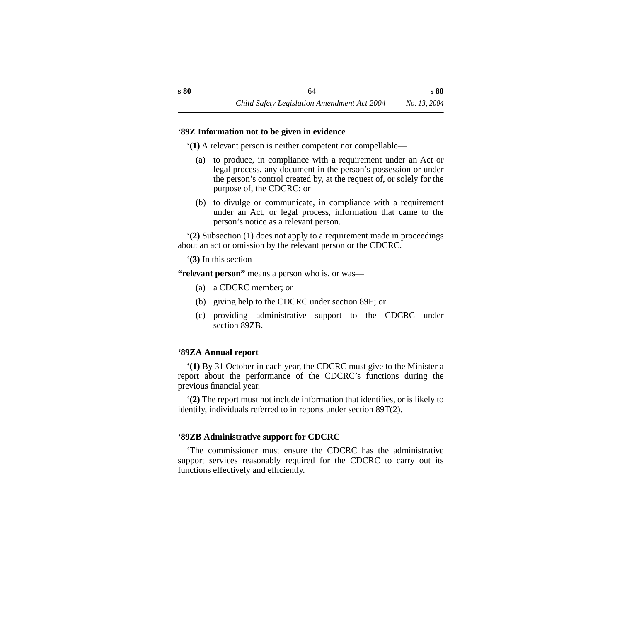#### **'89Z Information not to be given in evidence**

'**(1)** A relevant person is neither competent nor compellable—

- (a) to produce, in compliance with a requirement under an Act or legal process, any document in the person's possession or under the person's control created by, at the request of, or solely for the purpose of, the CDCRC; or
- (b) to divulge or communicate, in compliance with a requirement under an Act, or legal process, information that came to the person's notice as a relevant person.

'**(2)** Subsection (1) does not apply to a requirement made in proceedings about an act or omission by the relevant person or the CDCRC.

'**(3)** In this section—

**"relevant person"** means a person who is, or was—

- (a) a CDCRC member; or
- (b) giving help to the CDCRC under section 89E; or
- (c) providing administrative support to the CDCRC under section 89ZB.

# **'89ZA Annual report**

'**(1)** By 31 October in each year, the CDCRC must give to the Minister a report about the performance of the CDCRC's functions during the previous financial year.

'**(2)** The report must not include information that identifies, or is likely to identify, individuals referred to in reports under section 89T(2).

# **'89ZB Administrative support for CDCRC**

'The commissioner must ensure the CDCRC has the administrative support services reasonably required for the CDCRC to carry out its functions effectively and efficiently.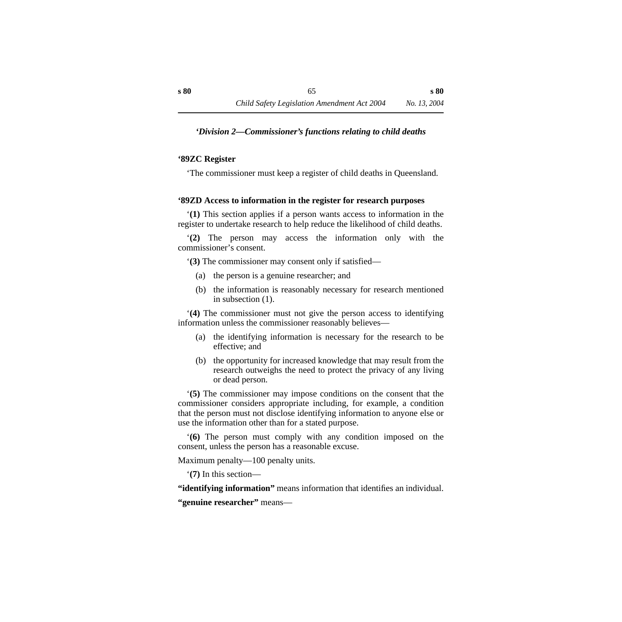### *'Division 2—Commissioner's functions relating to child deaths*

#### **'89ZC Register**

'The commissioner must keep a register of child deaths in Queensland.

### **'89ZD Access to information in the register for research purposes**

'**(1)** This section applies if a person wants access to information in the register to undertake research to help reduce the likelihood of child deaths.

'**(2)** The person may access the information only with the commissioner's consent.

'**(3)** The commissioner may consent only if satisfied—

- (a) the person is a genuine researcher; and
- (b) the information is reasonably necessary for research mentioned in subsection (1).

'**(4)** The commissioner must not give the person access to identifying information unless the commissioner reasonably believes—

- (a) the identifying information is necessary for the research to be effective; and
- (b) the opportunity for increased knowledge that may result from the research outweighs the need to protect the privacy of any living or dead person.

'**(5)** The commissioner may impose conditions on the consent that the commissioner considers appropriate including, for example, a condition that the person must not disclose identifying information to anyone else or use the information other than for a stated purpose.

'**(6)** The person must comply with any condition imposed on the consent, unless the person has a reasonable excuse.

Maximum penalty—100 penalty units.

'**(7)** In this section—

**"identifying information"** means information that identifies an individual.

**"genuine researcher"** means—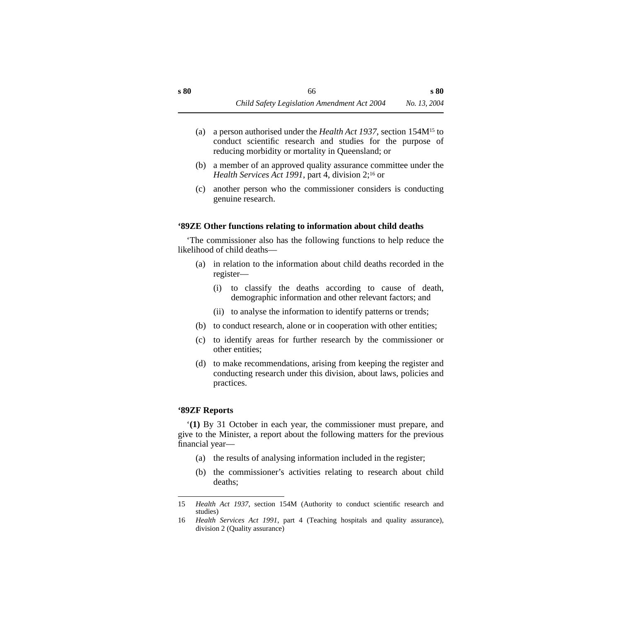- (a) a person authorised under the *Health Act 1937*, section 154M15 to conduct scientific research and studies for the purpose of reducing morbidity or mortality in Queensland; or
- (b) a member of an approved quality assurance committee under the *Health Services Act 1991*, part 4, division 2;<sup>16</sup> or
- (c) another person who the commissioner considers is conducting genuine research.

#### **'89ZE Other functions relating to information about child deaths**

'The commissioner also has the following functions to help reduce the likelihood of child deaths—

- (a) in relation to the information about child deaths recorded in the register—
	- (i) to classify the deaths according to cause of death, demographic information and other relevant factors; and
	- (ii) to analyse the information to identify patterns or trends;
- (b) to conduct research, alone or in cooperation with other entities;
- (c) to identify areas for further research by the commissioner or other entities;
- (d) to make recommendations, arising from keeping the register and conducting research under this division, about laws, policies and practices.

# **'89ZF Reports**

'**(1)** By 31 October in each year, the commissioner must prepare, and give to the Minister, a report about the following matters for the previous financial year—

- (a) the results of analysing information included in the register;
- (b) the commissioner's activities relating to research about child deaths;

<sup>15</sup> *Health Act 1937*, section 154M (Authority to conduct scientific research and studies)

<sup>16</sup> *Health Services Act 1991*, part 4 (Teaching hospitals and quality assurance), division 2 (Quality assurance)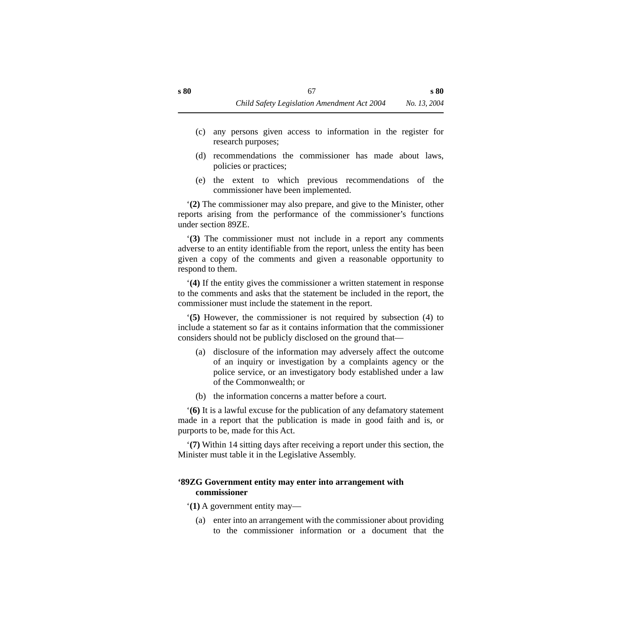- (c) any persons given access to information in the register for research purposes;
- (d) recommendations the commissioner has made about laws, policies or practices;
- (e) the extent to which previous recommendations of the commissioner have been implemented.

'**(2)** The commissioner may also prepare, and give to the Minister, other reports arising from the performance of the commissioner's functions under section 89ZE.

'**(3)** The commissioner must not include in a report any comments adverse to an entity identifiable from the report, unless the entity has been given a copy of the comments and given a reasonable opportunity to respond to them.

'**(4)** If the entity gives the commissioner a written statement in response to the comments and asks that the statement be included in the report, the commissioner must include the statement in the report.

'**(5)** However, the commissioner is not required by subsection (4) to include a statement so far as it contains information that the commissioner considers should not be publicly disclosed on the ground that—

- (a) disclosure of the information may adversely affect the outcome of an inquiry or investigation by a complaints agency or the police service, or an investigatory body established under a law of the Commonwealth; or
- (b) the information concerns a matter before a court.

'**(6)** It is a lawful excuse for the publication of any defamatory statement made in a report that the publication is made in good faith and is, or purports to be, made for this Act.

'**(7)** Within 14 sitting days after receiving a report under this section, the Minister must table it in the Legislative Assembly.

### **'89ZG Government entity may enter into arrangement with commissioner**

'**(1)** A government entity may—

(a) enter into an arrangement with the commissioner about providing to the commissioner information or a document that the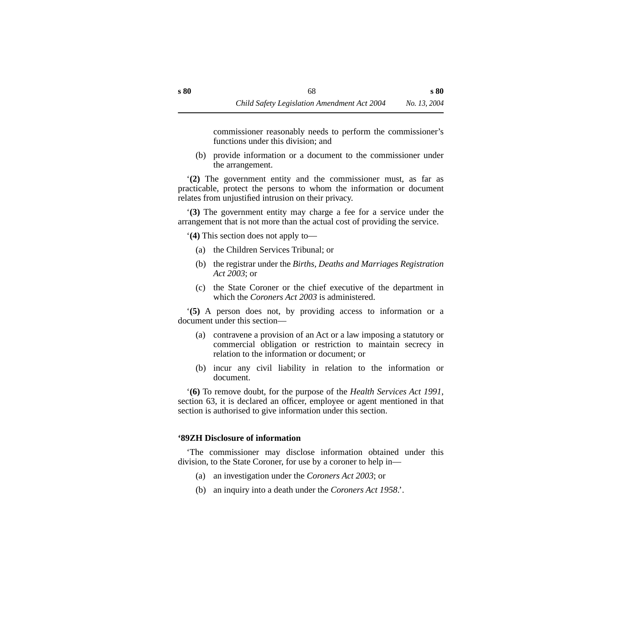commissioner reasonably needs to perform the commissioner's functions under this division; and

(b) provide information or a document to the commissioner under the arrangement.

'**(2)** The government entity and the commissioner must, as far as practicable, protect the persons to whom the information or document relates from unjustified intrusion on their privacy.

'**(3)** The government entity may charge a fee for a service under the arrangement that is not more than the actual cost of providing the service.

'**(4)** This section does not apply to—

- (a) the Children Services Tribunal; or
- (b) the registrar under the *Births, Deaths and Marriages Registration Act 2003*; or
- (c) the State Coroner or the chief executive of the department in which the *Coroners Act 2003* is administered.

'**(5)** A person does not, by providing access to information or a document under this section—

- (a) contravene a provision of an Act or a law imposing a statutory or commercial obligation or restriction to maintain secrecy in relation to the information or document; or
- (b) incur any civil liability in relation to the information or document.

'**(6)** To remove doubt, for the purpose of the *Health Services Act 1991*, section 63, it is declared an officer, employee or agent mentioned in that section is authorised to give information under this section.

# **'89ZH Disclosure of information**

'The commissioner may disclose information obtained under this division, to the State Coroner, for use by a coroner to help in—

- (a) an investigation under the *Coroners Act 2003*; or
- (b) an inquiry into a death under the *Coroners Act 1958*.'.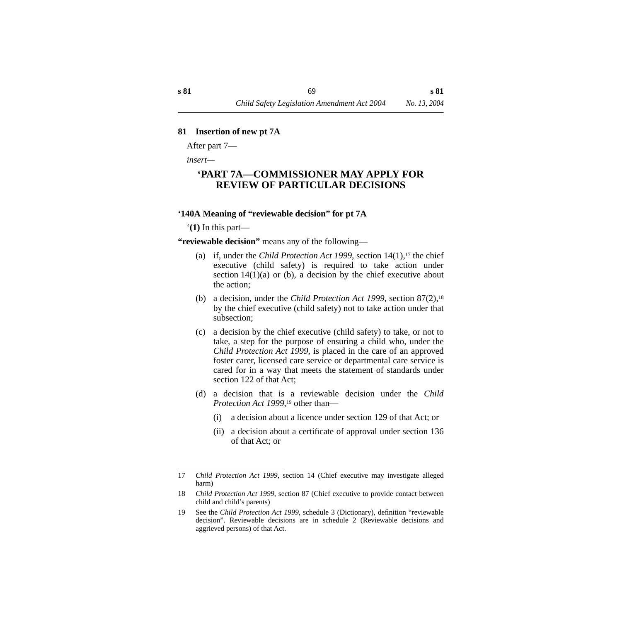#### **81 Insertion of new pt 7A**

After part 7—

*insert—*

# **'PART 7A—COMMISSIONER MAY APPLY FOR REVIEW OF PARTICULAR DECISIONS**

#### **'140A Meaning of "reviewable decision" for pt 7A**

'**(1)** In this part—

**"reviewable decision"** means any of the following—

- (a) if, under the *Child Protection Act 1999*, section  $14(1)$ ,<sup>17</sup> the chief executive (child safety) is required to take action under section  $14(1)(a)$  or (b), a decision by the chief executive about the action;
- (b) a decision, under the *Child Protection Act 1999*, section 87(2),18 by the chief executive (child safety) not to take action under that subsection;
- (c) a decision by the chief executive (child safety) to take, or not to take, a step for the purpose of ensuring a child who, under the *Child Protection Act 1999*, is placed in the care of an approved foster carer, licensed care service or departmental care service is cared for in a way that meets the statement of standards under section 122 of that Act;
- (d) a decision that is a reviewable decision under the *Child Protection Act 1999*,<sup>19</sup> other than—
	- (i) a decision about a licence under section 129 of that Act; or
	- (ii) a decision about a certificate of approval under section 136 of that Act; or

<sup>17</sup> *Child Protection Act 1999*, section 14 (Chief executive may investigate alleged harm)

<sup>18</sup> *Child Protection Act 1999*, section 87 (Chief executive to provide contact between child and child's parents)

<sup>19</sup> See the *Child Protection Act 1999*, schedule 3 (Dictionary), definition "reviewable decision". Reviewable decisions are in schedule 2 (Reviewable decisions and aggrieved persons) of that Act.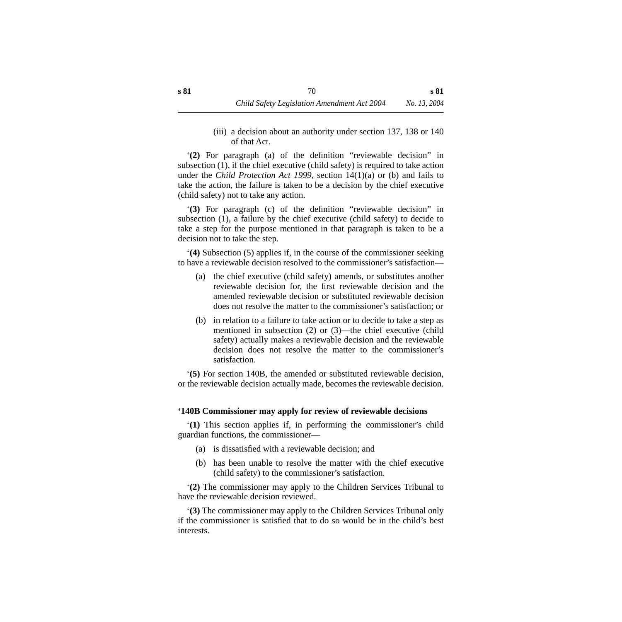(iii) a decision about an authority under section 137, 138 or 140 of that Act.

'**(2)** For paragraph (a) of the definition "reviewable decision" in subsection (1), if the chief executive (child safety) is required to take action under the *Child Protection Act 1999,* section 14(1)(a) or (b) and fails to take the action, the failure is taken to be a decision by the chief executive (child safety) not to take any action.

'**(3)** For paragraph (c) of the definition "reviewable decision" in subsection (1), a failure by the chief executive (child safety) to decide to take a step for the purpose mentioned in that paragraph is taken to be a decision not to take the step.

'**(4)** Subsection (5) applies if, in the course of the commissioner seeking to have a reviewable decision resolved to the commissioner's satisfaction—

- (a) the chief executive (child safety) amends, or substitutes another reviewable decision for, the first reviewable decision and the amended reviewable decision or substituted reviewable decision does not resolve the matter to the commissioner's satisfaction; or
- (b) in relation to a failure to take action or to decide to take a step as mentioned in subsection (2) or (3)—the chief executive (child safety) actually makes a reviewable decision and the reviewable decision does not resolve the matter to the commissioner's satisfaction.

'**(5)** For section 140B, the amended or substituted reviewable decision, or the reviewable decision actually made, becomes the reviewable decision.

#### **'140B Commissioner may apply for review of reviewable decisions**

'**(1)** This section applies if, in performing the commissioner's child guardian functions, the commissioner—

- (a) is dissatisfied with a reviewable decision; and
- (b) has been unable to resolve the matter with the chief executive (child safety) to the commissioner's satisfaction.

'**(2)** The commissioner may apply to the Children Services Tribunal to have the reviewable decision reviewed.

'**(3)** The commissioner may apply to the Children Services Tribunal only if the commissioner is satisfied that to do so would be in the child's best interests.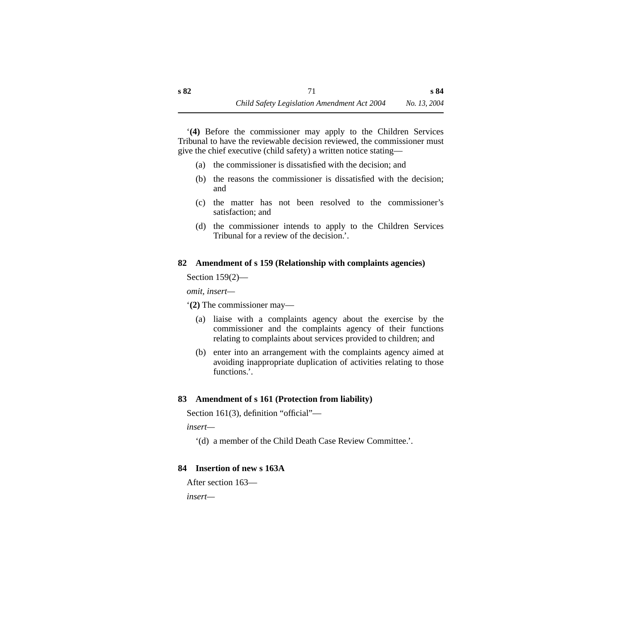'**(4)** Before the commissioner may apply to the Children Services Tribunal to have the reviewable decision reviewed, the commissioner must give the chief executive (child safety) a written notice stating—

- (a) the commissioner is dissatisfied with the decision; and
- (b) the reasons the commissioner is dissatisfied with the decision; and
- (c) the matter has not been resolved to the commissioner's satisfaction; and
- (d) the commissioner intends to apply to the Children Services Tribunal for a review of the decision.'.

## **82 Amendment of s 159 (Relationship with complaints agencies)**

Section 159(2)—

*omit, insert—*

'**(2)** The commissioner may—

- (a) liaise with a complaints agency about the exercise by the commissioner and the complaints agency of their functions relating to complaints about services provided to children; and
- (b) enter into an arrangement with the complaints agency aimed at avoiding inappropriate duplication of activities relating to those functions<sup>'</sup>.

## **83 Amendment of s 161 (Protection from liability)**

Section 161(3), definition "official"—

*insert—*

'(d) a member of the Child Death Case Review Committee.'.

## **84 Insertion of new s 163A**

```
After section 163—
```
*insert—*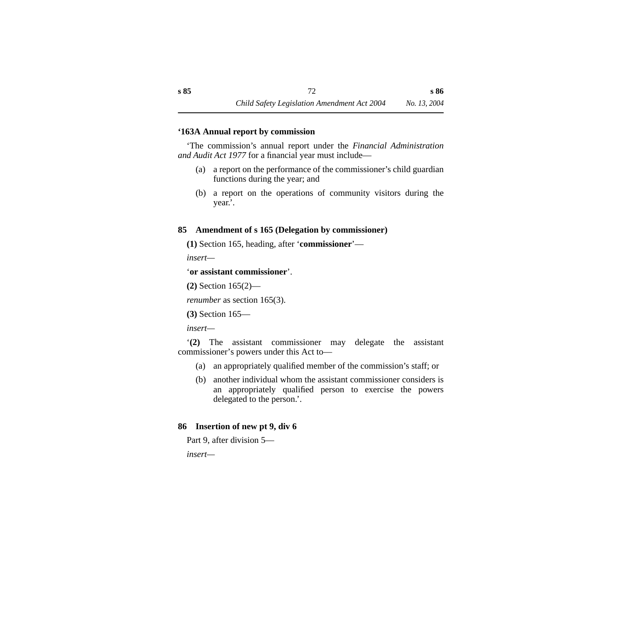#### **'163A Annual report by commission**

'The commission's annual report under the *Financial Administration and Audit Act 1977* for a financial year must include—

- (a) a report on the performance of the commissioner's child guardian functions during the year; and
- (b) a report on the operations of community visitors during the year.'.

## **85 Amendment of s 165 (Delegation by commissioner)**

**(1)** Section 165, heading, after '**commissioner**'—

*insert—*

## '**or assistant commissioner**'.

**(2)** Section 165(2)—

```
renumber as section 165(3).
```
**(3)** Section 165—

*insert—*

'**(2)** The assistant commissioner may delegate the assistant commissioner's powers under this Act to—

- (a) an appropriately qualified member of the commission's staff; or
- (b) another individual whom the assistant commissioner considers is an appropriately qualified person to exercise the powers delegated to the person.'.

## **86 Insertion of new pt 9, div 6**

```
Part 9, after division 5—
```
*insert—*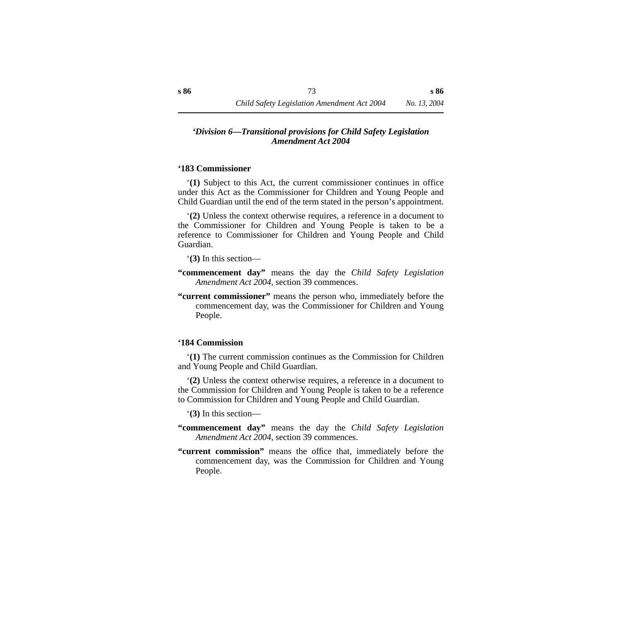#### *'Division 6—Transitional provisions for Child Safety Legislation Amendment Act 2004*

#### **'183 Commissioner**

'**(1)** Subject to this Act, the current commissioner continues in office under this Act as the Commissioner for Children and Young People and Child Guardian until the end of the term stated in the person's appointment.

'**(2)** Unless the context otherwise requires, a reference in a document to the Commissioner for Children and Young People is taken to be a reference to Commissioner for Children and Young People and Child Guardian.

'**(3)** In this section—

**"commencement day"** means the day the *Child Safety Legislation Amendment Act 2004*, section 39 commences.

**"current commissioner"** means the person who, immediately before the commencement day, was the Commissioner for Children and Young People.

#### **'184 Commission**

'**(1)** The current commission continues as the Commission for Children and Young People and Child Guardian.

'**(2)** Unless the context otherwise requires, a reference in a document to the Commission for Children and Young People is taken to be a reference to Commission for Children and Young People and Child Guardian.

'**(3)** In this section—

- **"commencement day"** means the day the *Child Safety Legislation Amendment Act 2004*, section 39 commences.
- **"current commission"** means the office that, immediately before the commencement day, was the Commission for Children and Young People.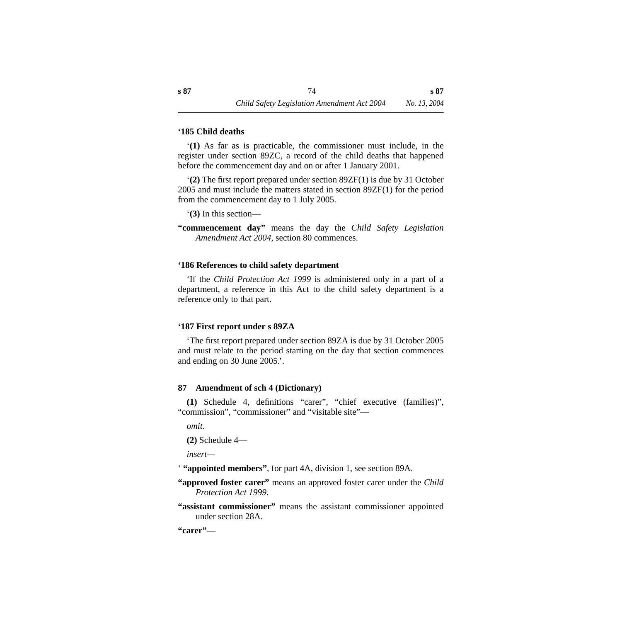#### **'185 Child deaths**

'**(1)** As far as is practicable, the commissioner must include, in the register under section 89ZC, a record of the child deaths that happened before the commencement day and on or after 1 January 2001.

'**(2)** The first report prepared under section 89ZF(1) is due by 31 October 2005 and must include the matters stated in section 89ZF(1) for the period from the commencement day to 1 July 2005.

'**(3)** In this section—

**"commencement day"** means the day the *Child Safety Legislation Amendment Act 2004*, section 80 commences.

#### **'186 References to child safety department**

'If the *Child Protection Act 1999* is administered only in a part of a department, a reference in this Act to the child safety department is a reference only to that part.

#### **'187 First report under s 89ZA**

'The first report prepared under section 89ZA is due by 31 October 2005 and must relate to the period starting on the day that section commences and ending on 30 June 2005.'.

#### **87 Amendment of sch 4 (Dictionary)**

**(1)** Schedule 4, definitions "carer", "chief executive (families)", "commission", "commissioner" and "visitable site"—

*omit.*

**(2)** Schedule 4—

*insert—*

' **"appointed members"**, for part 4A, division 1, see section 89A.

- **"approved foster carer"** means an approved foster carer under the *Child Protection Act 1999*.
- **"assistant commissioner"** means the assistant commissioner appointed under section 28A.

**"carer"**—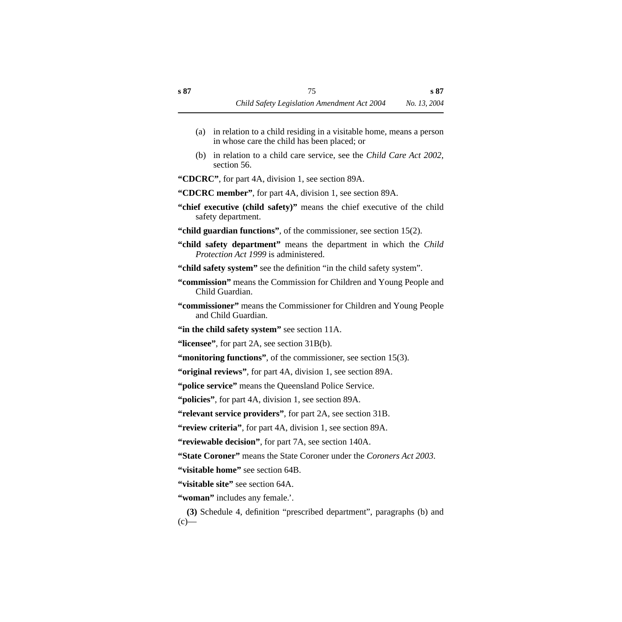- (a) in relation to a child residing in a visitable home, means a person in whose care the child has been placed; or
- (b) in relation to a child care service, see the *Child Care Act 2002*, section 56.

**"CDCRC"**, for part 4A, division 1, see section 89A.

- **"CDCRC member"**, for part 4A, division 1, see section 89A.
- **"chief executive (child safety)"** means the chief executive of the child safety department.
- **"child guardian functions"**, of the commissioner, see section 15(2).
- **"child safety department"** means the department in which the *Child Protection Act 1999* is administered.
- "child safety system" see the definition "in the child safety system".
- **"commission"** means the Commission for Children and Young People and Child Guardian.
- **"commissioner"** means the Commissioner for Children and Young People and Child Guardian.
- **"in the child safety system"** see section 11A.
- **"licensee"**, for part 2A, see section 31B(b).
- **"monitoring functions"**, of the commissioner, see section 15(3).
- **"original reviews"**, for part 4A, division 1, see section 89A.
- **"police service"** means the Queensland Police Service.
- **"policies"**, for part 4A, division 1, see section 89A.
- **"relevant service providers"**, for part 2A, see section 31B.
- **"review criteria"**, for part 4A, division 1, see section 89A.
- **"reviewable decision"**, for part 7A, see section 140A.
- **"State Coroner"** means the State Coroner under the *Coroners Act 2003*.
- **"visitable home"** see section 64B.
- **"visitable site"** see section 64A.
- **"woman"** includes any female.'.
- **(3)** Schedule 4, definition "prescribed department", paragraphs (b) and  $(c)$ —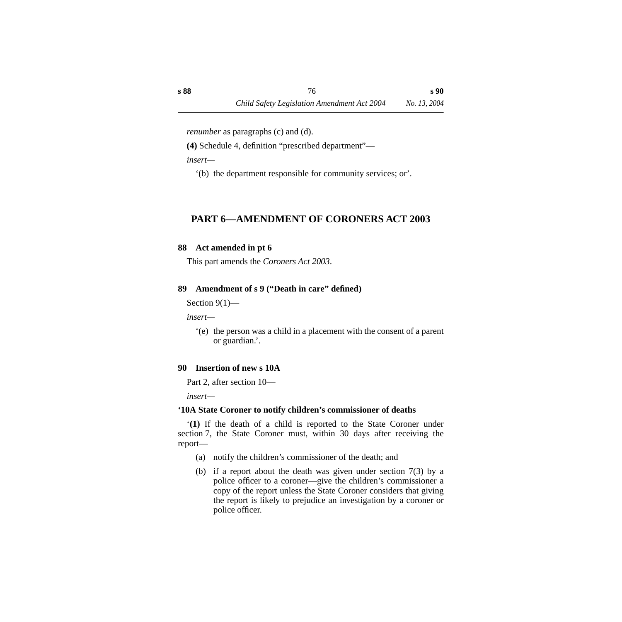*renumber* as paragraphs (c) and (d).

**(4)** Schedule 4, definition "prescribed department"—

*insert—*

'(b) the department responsible for community services; or'.

# **PART 6—AMENDMENT OF CORONERS ACT 2003**

# **88 Act amended in pt 6**

This part amends the *Coroners Act 2003*.

# **89 Amendment of s 9 ("Death in care" defined)**

Section 9(1)—

*insert—*

'(e) the person was a child in a placement with the consent of a parent or guardian.'.

## **90 Insertion of new s 10A**

Part 2, after section 10—

*insert—*

# **'10A State Coroner to notify children's commissioner of deaths**

'**(1)** If the death of a child is reported to the State Coroner under section 7, the State Coroner must, within 30 days after receiving the report—

- (a) notify the children's commissioner of the death; and
- (b) if a report about the death was given under section 7(3) by a police officer to a coroner—give the children's commissioner a copy of the report unless the State Coroner considers that giving the report is likely to prejudice an investigation by a coroner or police officer.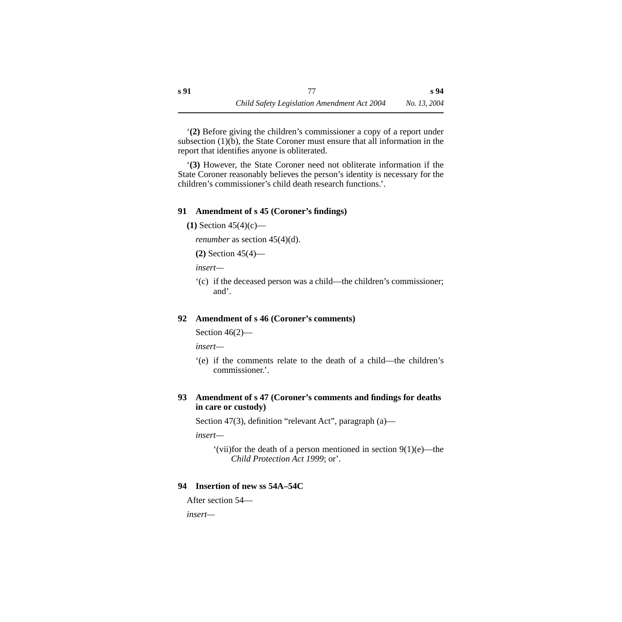'**(2)** Before giving the children's commissioner a copy of a report under subsection  $(1)(b)$ , the State Coroner must ensure that all information in the report that identifies anyone is obliterated.

'**(3)** However, the State Coroner need not obliterate information if the State Coroner reasonably believes the person's identity is necessary for the children's commissioner's child death research functions.'.

#### **91 Amendment of s 45 (Coroner's findings)**

**(1)** Section 45(4)(c)—

*renumber* as section 45(4)(d).

**(2)** Section 45(4)—

*insert—*

'(c) if the deceased person was a child—the children's commissioner; and'.

## **92 Amendment of s 46 (Coroner's comments)**

Section 46(2)—

*insert—*

'(e) if the comments relate to the death of a child—the children's commissioner.'.

## **93 Amendment of s 47 (Coroner's comments and findings for deaths in care or custody)**

Section 47(3), definition "relevant Act", paragraph (a)—

*insert—*

'(vii)for the death of a person mentioned in section 9(1)(e)—the *Child Protection Act 1999*; or'.

## **94 Insertion of new ss 54A–54C**

```
After section 54—
```
*insert—*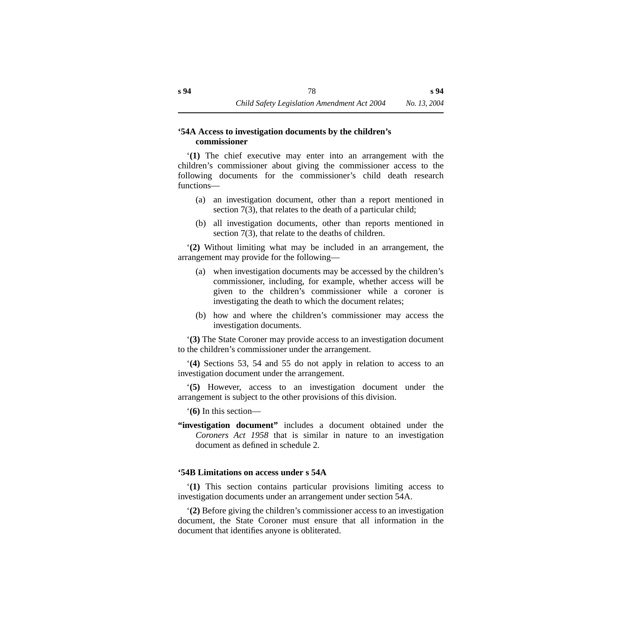#### **'54A Access to investigation documents by the children's commissioner**

'**(1)** The chief executive may enter into an arrangement with the children's commissioner about giving the commissioner access to the following documents for the commissioner's child death research functions—

- (a) an investigation document, other than a report mentioned in section 7(3), that relates to the death of a particular child;
- (b) all investigation documents, other than reports mentioned in section 7(3), that relate to the deaths of children.

'**(2)** Without limiting what may be included in an arrangement, the arrangement may provide for the following—

- (a) when investigation documents may be accessed by the children's commissioner, including, for example, whether access will be given to the children's commissioner while a coroner is investigating the death to which the document relates;
- (b) how and where the children's commissioner may access the investigation documents.

'**(3)** The State Coroner may provide access to an investigation document to the children's commissioner under the arrangement.

'**(4)** Sections 53, 54 and 55 do not apply in relation to access to an investigation document under the arrangement.

'**(5)** However, access to an investigation document under the arrangement is subject to the other provisions of this division.

'**(6)** In this section—

**"investigation document"** includes a document obtained under the *Coroners Act 1958* that is similar in nature to an investigation document as defined in schedule 2.

## **'54B Limitations on access under s 54A**

'**(1)** This section contains particular provisions limiting access to investigation documents under an arrangement under section 54A.

'**(2)** Before giving the children's commissioner access to an investigation document, the State Coroner must ensure that all information in the document that identifies anyone is obliterated.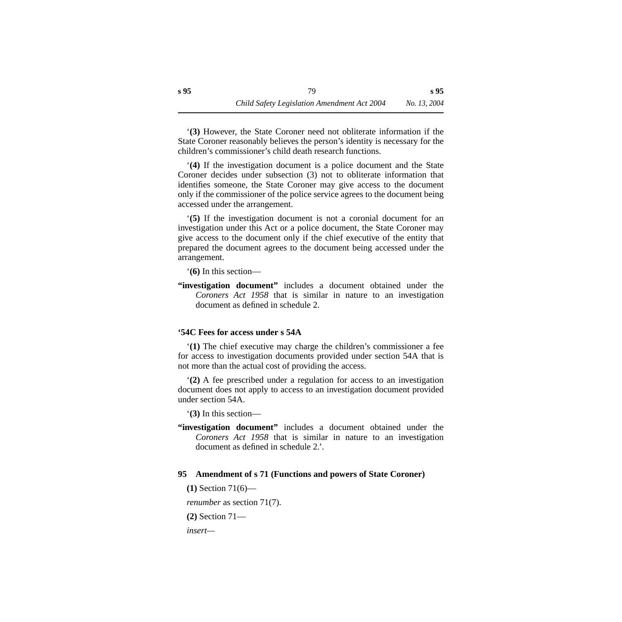'**(3)** However, the State Coroner need not obliterate information if the State Coroner reasonably believes the person's identity is necessary for the children's commissioner's child death research functions.

'**(4)** If the investigation document is a police document and the State Coroner decides under subsection (3) not to obliterate information that identifies someone, the State Coroner may give access to the document only if the commissioner of the police service agrees to the document being accessed under the arrangement.

'**(5)** If the investigation document is not a coronial document for an investigation under this Act or a police document, the State Coroner may give access to the document only if the chief executive of the entity that prepared the document agrees to the document being accessed under the arrangement.

'**(6)** In this section—

**"investigation document"** includes a document obtained under the *Coroners Act 1958* that is similar in nature to an investigation document as defined in schedule 2.

## **'54C Fees for access under s 54A**

'**(1)** The chief executive may charge the children's commissioner a fee for access to investigation documents provided under section 54A that is not more than the actual cost of providing the access.

'**(2)** A fee prescribed under a regulation for access to an investigation document does not apply to access to an investigation document provided under section 54A.

'**(3)** In this section—

**"investigation document"** includes a document obtained under the *Coroners Act 1958* that is similar in nature to an investigation document as defined in schedule 2.

#### **95 Amendment of s 71 (Functions and powers of State Coroner)**

**(1)** Section 71(6)—

*renumber* as section 71(7).

**(2)** Section 71—

*insert—*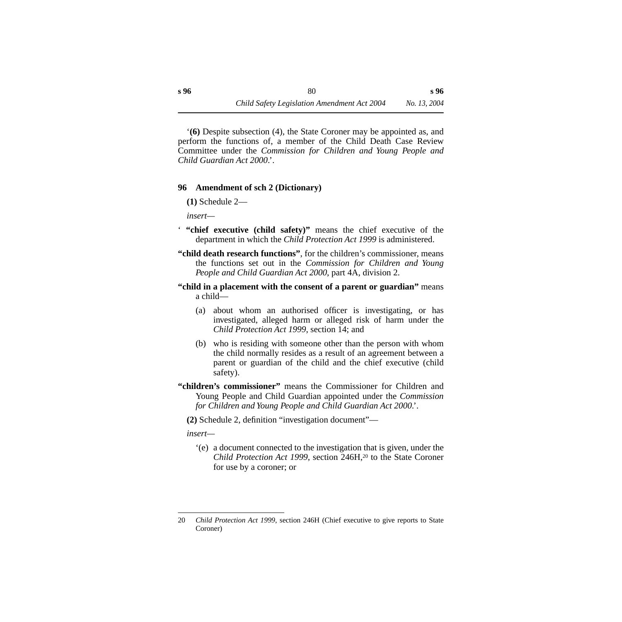'**(6)** Despite subsection (4), the State Coroner may be appointed as, and perform the functions of, a member of the Child Death Case Review Committee under the *Commission for Children and Young People and Child Guardian Act 2000*.'.

#### **96 Amendment of sch 2 (Dictionary)**

**(1)** Schedule 2—

*insert—*

- ' **"chief executive (child safety)"** means the chief executive of the department in which the *Child Protection Act 1999* is administered.
- **"child death research functions"**, for the children's commissioner, means the functions set out in the *Commission for Children and Young People and Child Guardian Act 2000*, part 4A, division 2.
- **"child in a placement with the consent of a parent or guardian"** means a child—
	- (a) about whom an authorised officer is investigating, or has investigated, alleged harm or alleged risk of harm under the *Child Protection Act 1999*, section 14; and
	- (b) who is residing with someone other than the person with whom the child normally resides as a result of an agreement between a parent or guardian of the child and the chief executive (child safety).
- **"children's commissioner"** means the Commissioner for Children and Young People and Child Guardian appointed under the *Commission for Children and Young People and Child Guardian Act 2000*.'.

**(2)** Schedule 2, definition "investigation document"—

*insert—*

'(e) a document connected to the investigation that is given, under the *Child Protection Act 1999*, section 246H,<sup>20</sup> to the State Coroner for use by a coroner; or

<sup>20</sup> *Child Protection Act 1999*, section 246H (Chief executive to give reports to State Coroner)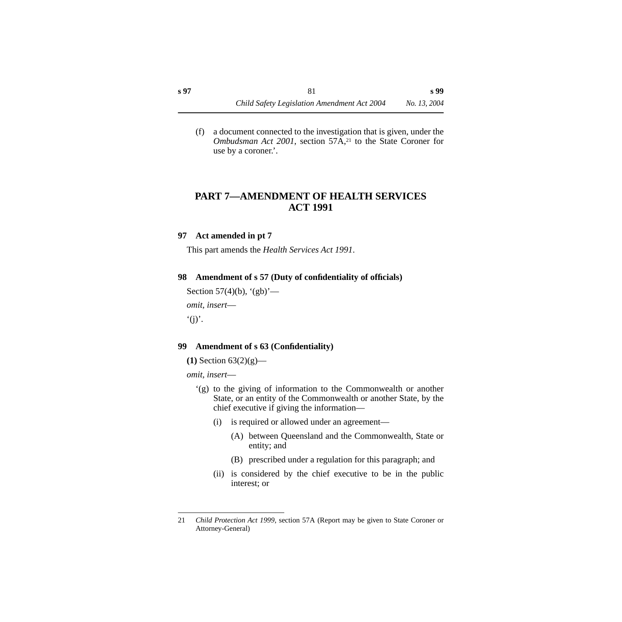(f) a document connected to the investigation that is given, under the *Ombudsman Act 2001*, section 57A,<sup>21</sup> to the State Coroner for use by a coroner.'.

# **PART 7—AMENDMENT OF HEALTH SERVICES ACT 1991**

#### **97 Act amended in pt 7**

This part amends the *Health Services Act 1991*.

## **98 Amendment of s 57 (Duty of confidentiality of officials)**

```
Section 57(4)(b), (gb)'—
omit, insert—
\dot{f}(j).
```
## **99 Amendment of s 63 (Confidentiality)**

**(1)** Section 63(2)(g)—

*omit, insert*—

- '(g) to the giving of information to the Commonwealth or another State, or an entity of the Commonwealth or another State, by the chief executive if giving the information—
	- (i) is required or allowed under an agreement—
		- (A) between Queensland and the Commonwealth, State or entity; and
		- (B) prescribed under a regulation for this paragraph; and
	- (ii) is considered by the chief executive to be in the public interest; or

<sup>21</sup> *Child Protection Act 1999*, section 57A (Report may be given to State Coroner or Attorney-General)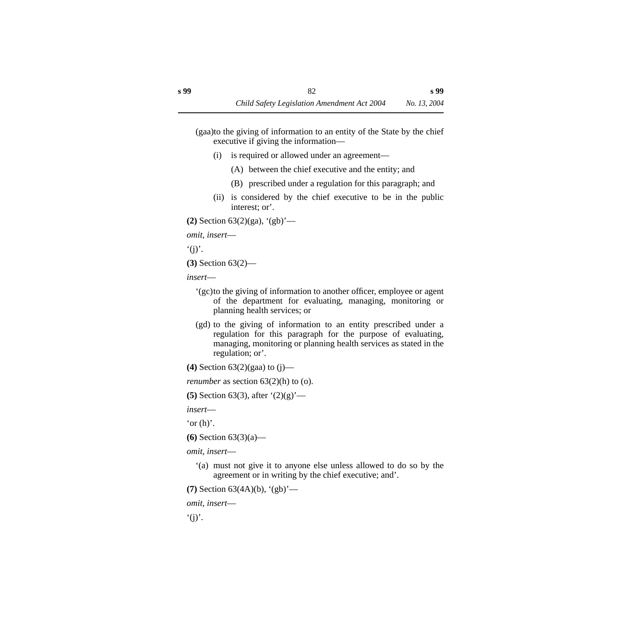(gaa)to the giving of information to an entity of the State by the chief executive if giving the information—

- (i) is required or allowed under an agreement—
	- (A) between the chief executive and the entity; and
	- (B) prescribed under a regulation for this paragraph; and
- (ii) is considered by the chief executive to be in the public interest; or'.

```
(2) Section 63(2)(ga), '(gb)'—
```

```
omit, insert—
```
 $'(i)'.$ 

```
(3) Section 63(2)—
```

```
insert—
```
- '(gc)to the giving of information to another officer, employee or agent of the department for evaluating, managing, monitoring or planning health services; or
- (gd) to the giving of information to an entity prescribed under a regulation for this paragraph for the purpose of evaluating, managing, monitoring or planning health services as stated in the regulation; or'.

**(4)** Section 63(2)(gaa) to (j)—

```
renumber as section 63(2)(h) to (o).
```
**(5)** Section 63(3), after '(2)(g)'—

*insert*—

'or  $(h)$ '.

```
(6) Section 63(3)(a)—
```

```
omit, insert—
```
'(a) must not give it to anyone else unless allowed to do so by the agreement or in writing by the chief executive; and'.

```
(7) Section 63(4A)(b), '(gb)'—
```

```
omit, insert—
```
 $\dot{f}(i)$ .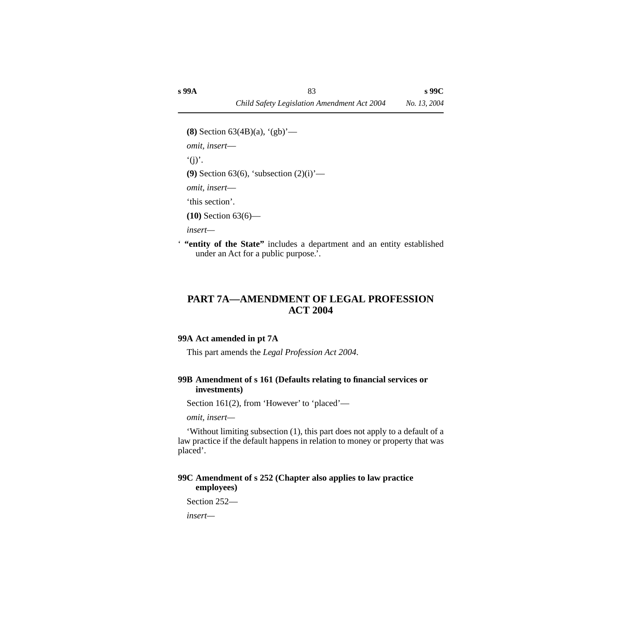```
(8) Section 63(4B)(a), '(gb)'—
omit, insert—
'(i).
(9) Section 63(6), 'subsection (2)(i)'—
omit, insert—
'this section'.
(10) Section 63(6)—
```
*insert—*

' **"entity of the State"** includes a department and an entity established under an Act for a public purpose.'.

# **PART 7A—AMENDMENT OF LEGAL PROFESSION ACT 2004**

#### **99A Act amended in pt 7A**

This part amends the *Legal Profession Act 2004*.

#### **99B Amendment of s 161 (Defaults relating to financial services or investments)**

Section 161(2), from 'However' to 'placed'—

*omit, insert—*

'Without limiting subsection (1), this part does not apply to a default of a law practice if the default happens in relation to money or property that was placed'.

## **99C Amendment of s 252 (Chapter also applies to law practice employees)**

```
Section 252—
insert—
```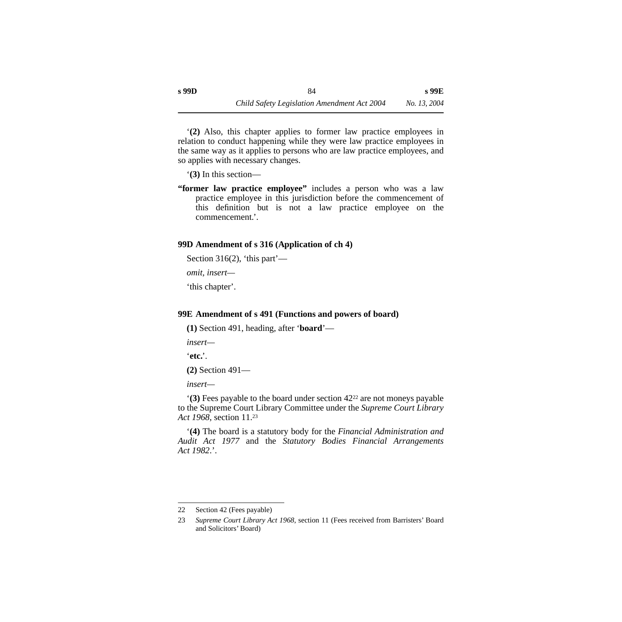'**(2)** Also, this chapter applies to former law practice employees in relation to conduct happening while they were law practice employees in the same way as it applies to persons who are law practice employees, and so applies with necessary changes.

'**(3)** In this section—

**"former law practice employee"** includes a person who was a law practice employee in this jurisdiction before the commencement of this definition but is not a law practice employee on the commencement.'.

#### **99D Amendment of s 316 (Application of ch 4)**

Section 316(2), 'this part'—

*omit, insert—*

'this chapter'.

#### **99E Amendment of s 491 (Functions and powers of board)**

**(1)** Section 491, heading, after '**board**'—

*insert—*

'**etc.**'.

**(2)** Section 491—

*insert—*

'**(3)** Fees payable to the board under section 4222 are not moneys payable to the Supreme Court Library Committee under the *Supreme Court Library Act 1968*, section 11.23

'**(4)** The board is a statutory body for the *Financial Administration and Audit Act 1977* and the *Statutory Bodies Financial Arrangements Act 1982*.'.

<sup>22</sup> Section 42 (Fees payable)

<sup>23</sup> *Supreme Court Library Act 1968*, section 11 (Fees received from Barristers' Board and Solicitors' Board)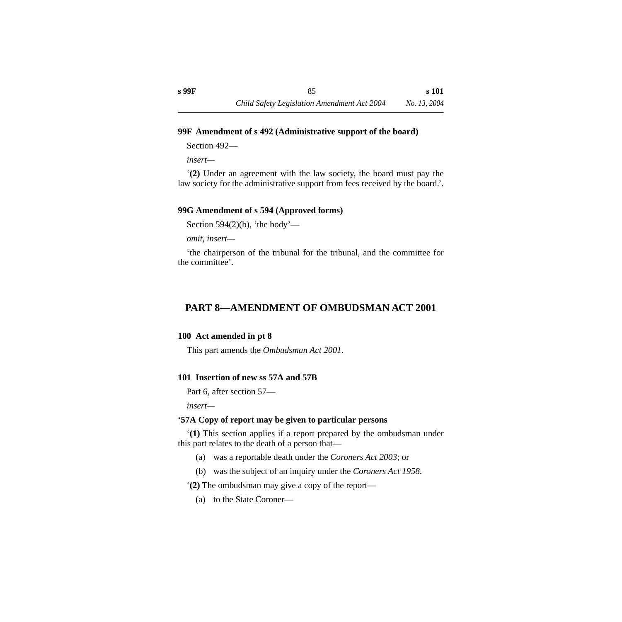#### **99F Amendment of s 492 (Administrative support of the board)**

Section 492—

*insert—*

'**(2)** Under an agreement with the law society, the board must pay the law society for the administrative support from fees received by the board.'.

## **99G Amendment of s 594 (Approved forms)**

Section 594 $(2)(b)$ , 'the body'—

*omit, insert—*

'the chairperson of the tribunal for the tribunal, and the committee for the committee'.

# **PART 8—AMENDMENT OF OMBUDSMAN ACT 2001**

## **100 Act amended in pt 8**

This part amends the *Ombudsman Act 2001*.

## **101 Insertion of new ss 57A and 57B**

Part 6, after section 57—

*insert—*

## **'57A Copy of report may be given to particular persons**

'**(1)** This section applies if a report prepared by the ombudsman under this part relates to the death of a person that—

- (a) was a reportable death under the *Coroners Act 2003*; or
- (b) was the subject of an inquiry under the *Coroners Act 1958*.

'**(2)** The ombudsman may give a copy of the report—

(a) to the State Coroner—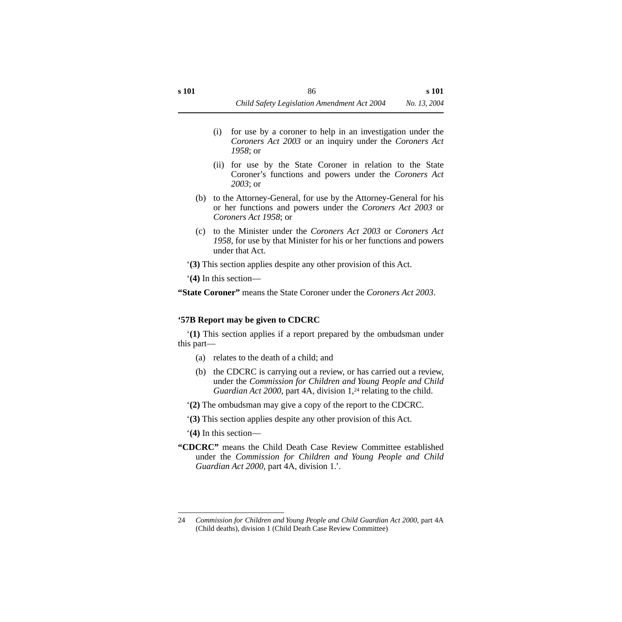- (i) for use by a coroner to help in an investigation under the *Coroners Act 2003* or an inquiry under the *Coroners Act 1958*; or
- (ii) for use by the State Coroner in relation to the State Coroner's functions and powers under the *Coroners Act 2003*; or
- (b) to the Attorney-General, for use by the Attorney-General for his or her functions and powers under the *Coroners Act 2003* or *Coroners Act 1958*; or
- (c) to the Minister under the *Coroners Act 2003* or *Coroners Act 1958*, for use by that Minister for his or her functions and powers under that Act.
- '**(3)** This section applies despite any other provision of this Act.

'**(4)** In this section—

**"State Coroner"** means the State Coroner under the *Coroners Act 2003*.

#### **'57B Report may be given to CDCRC**

'**(1)** This section applies if a report prepared by the ombudsman under this part—

- (a) relates to the death of a child; and
- (b) the CDCRC is carrying out a review, or has carried out a review, under the *Commission for Children and Young People and Child Guardian Act 2000*, part 4A, division 1,<sup>24</sup> relating to the child.
- '**(2)** The ombudsman may give a copy of the report to the CDCRC.
- '**(3)** This section applies despite any other provision of this Act.

'**(4)** In this section—

**"CDCRC"** means the Child Death Case Review Committee established under the *Commission for Children and Young People and Child Guardian Act 2000*, part 4A, division 1.'.

<sup>24</sup> *Commission for Children and Young People and Child Guardian Act 2000*, part 4A (Child deaths), division 1 (Child Death Case Review Committee)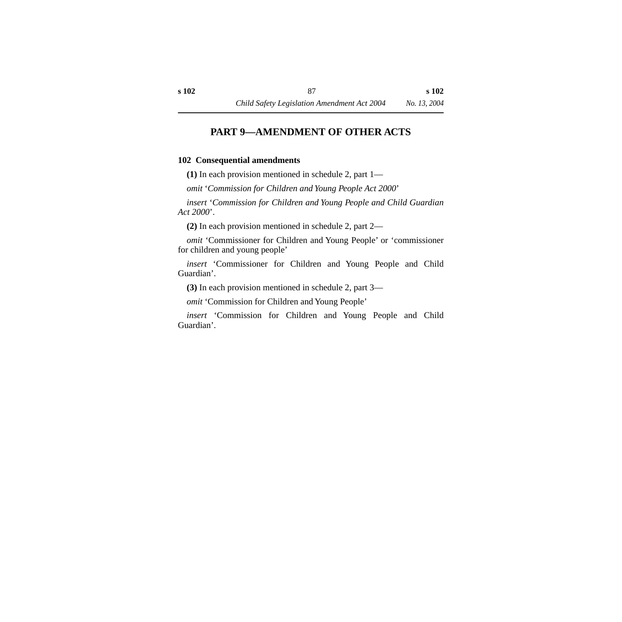# **PART 9—AMENDMENT OF OTHER ACTS**

#### **102 Consequential amendments**

**(1)** In each provision mentioned in schedule 2, part 1—

*omit* '*Commission for Children and Young People Act 2000*'

*insert* '*Commission for Children and Young People and Child Guardian Act 2000*'.

**(2)** In each provision mentioned in schedule 2, part 2—

*omit* 'Commissioner for Children and Young People' or 'commissioner for children and young people'

*insert* 'Commissioner for Children and Young People and Child Guardian'.

**(3)** In each provision mentioned in schedule 2, part 3—

*omit* 'Commission for Children and Young People'

*insert* 'Commission for Children and Young People and Child Guardian'.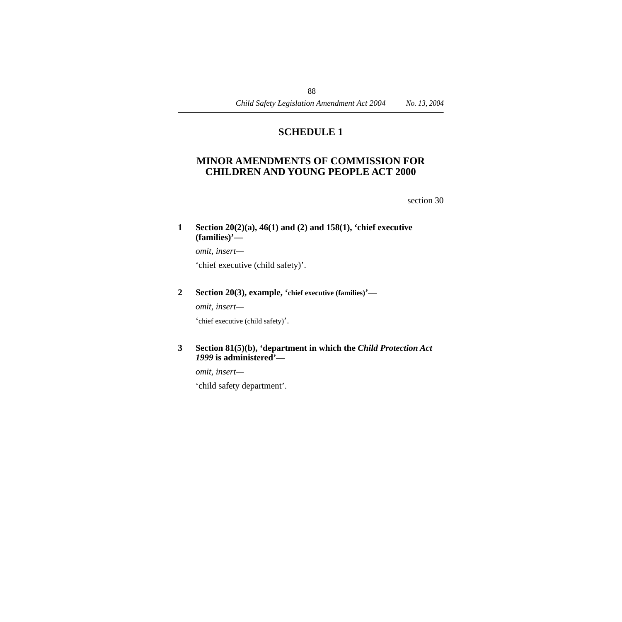# **SCHEDULE 1**

# **MINOR AMENDMENTS OF COMMISSION FOR CHILDREN AND YOUNG PEOPLE ACT 2000**

section 30

#### **1 Section 20(2)(a), 46(1) and (2) and 158(1), 'chief executive (families)'—**

*omit, insert—* 'chief executive (child safety)'.

#### **2 Section 20(3), example, 'chief executive (families)'—**

*omit, insert—*

'chief executive (child safety)'.

#### **3 Section 81(5)(b), 'department in which the** *Child Protection Act 1999* **is administered'—**

*omit, insert—*

'child safety department'.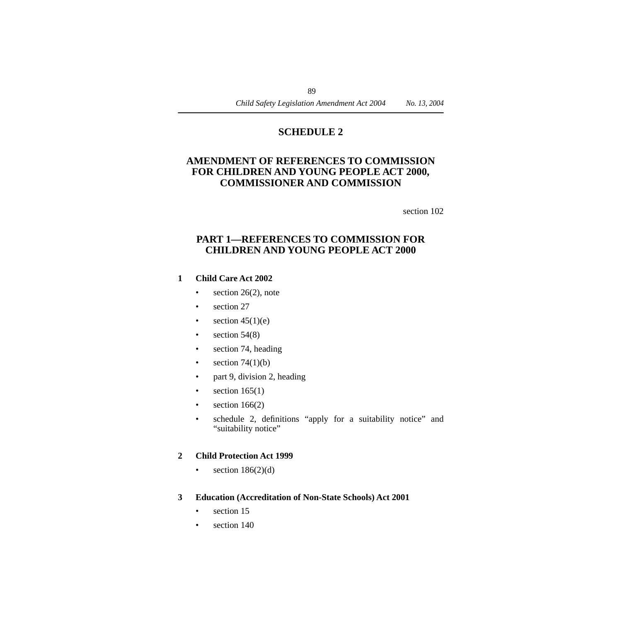# **SCHEDULE 2**

# **AMENDMENT OF REFERENCES TO COMMISSION FOR CHILDREN AND YOUNG PEOPLE ACT 2000, COMMISSIONER AND COMMISSION**

section 102

# **PART 1—REFERENCES TO COMMISSION FOR CHILDREN AND YOUNG PEOPLE ACT 2000**

#### **1 Child Care Act 2002**

- section  $26(2)$ , note
- section 27
- section  $45(1)(e)$
- section  $54(8)$
- section 74, heading
- section  $74(1)(b)$
- part 9, division 2, heading
- section  $165(1)$
- section  $166(2)$
- schedule 2, definitions "apply for a suitability notice" and "suitability notice"

#### **2 Child Protection Act 1999**

- section  $186(2)(d)$
- **3 Education (Accreditation of Non-State Schools) Act 2001**
	- section 15
	- section 140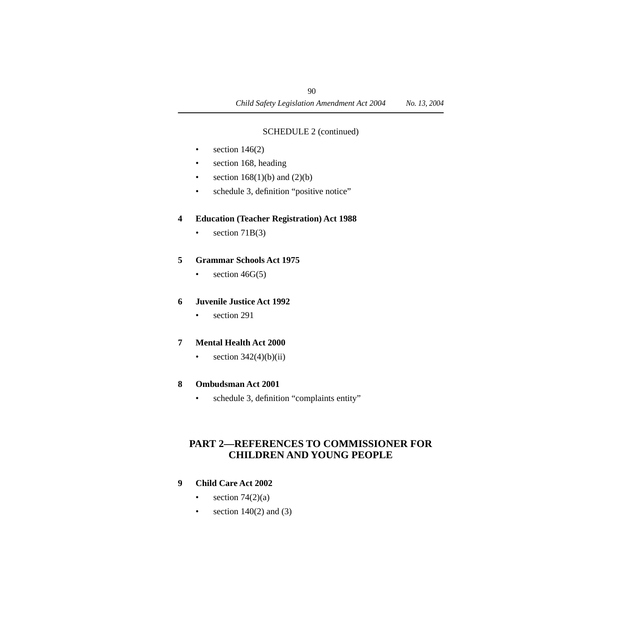## SCHEDULE 2 (continued)

- section  $146(2)$
- section 168, heading
- section  $168(1)(b)$  and  $(2)(b)$
- schedule 3, definition "positive notice"

## **4 Education (Teacher Registration) Act 1988**

• section  $71B(3)$ 

## **5 Grammar Schools Act 1975**

• section  $46G(5)$ 

## **6 Juvenile Justice Act 1992**

• section 291

## **7 Mental Health Act 2000**

• section  $342(4)(b)(ii)$ 

## **8 Ombudsman Act 2001**

• schedule 3, definition "complaints entity"

# **PART 2—REFERENCES TO COMMISSIONER FOR CHILDREN AND YOUNG PEOPLE**

## **9 Child Care Act 2002**

- section  $74(2)(a)$
- section  $140(2)$  and  $(3)$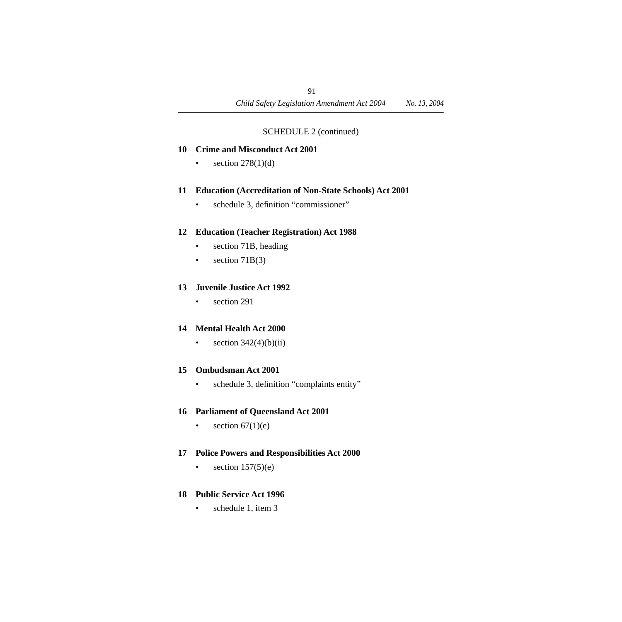#### SCHEDULE 2 (continued)

#### **10 Crime and Misconduct Act 2001**

• section  $278(1)(d)$ 

#### **11 Education (Accreditation of Non-State Schools) Act 2001**

• schedule 3, definition "commissioner"

## **12 Education (Teacher Registration) Act 1988**

- section 71B, heading
- section  $71B(3)$

## **13 Juvenile Justice Act 1992**

• section 291

## **14 Mental Health Act 2000**

• section  $342(4)(b)(ii)$ 

#### **15 Ombudsman Act 2001**

• schedule 3, definition "complaints entity"

## **16 Parliament of Queensland Act 2001**

• section  $67(1)(e)$ 

## **17 Police Powers and Responsibilities Act 2000**

• section  $157(5)(e)$ 

## **18 Public Service Act 1996**

• schedule 1, item 3